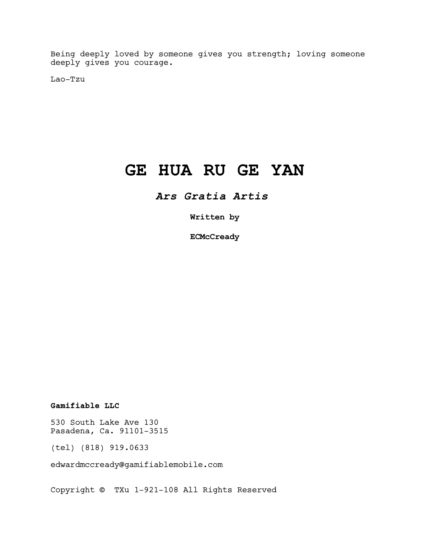Being deeply loved by someone gives you strength; loving someone deeply gives you courage.

Lao-Tzu

# GE HUA RU GE YAN

Ars Gratia Artis

Written by

**ECMcCready** 

Gamifiable LLC

530 South Lake Ave 130 Pasadena, Ca. 91101-3515

(tel) (818) 919.0633

edwardmccready@gamifiablemobile.com

Copyright © TXu 1-921-108 All Rights Reserved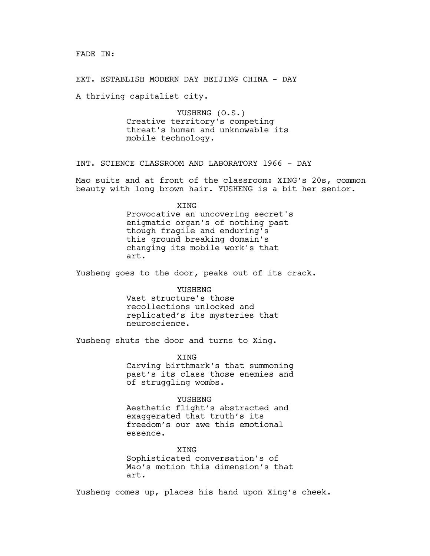EXT. ESTABLISH MODERN DAY BEIJING CHINA - DAY

A thriving capitalist city.

YUSHENG (O.S.) Creative territory's competing threat's human and unknowable its mobile technology.

INT. SCIENCE CLASSROOM AND LABORATORY 1966 - DAY

Mao suits and at front of the classroom: XING's 20s, common beauty with long brown hair. YUSHENG is a bit her senior.

XING

Provocative an uncovering secret's enigmatic organ's of nothing past though fragile and enduring's this ground breaking domain's changing its mobile work's that art.

Yusheng goes to the door, peaks out of its crack.

**YUSHENG** Vast structure's those recollections unlocked and replicated's its mysteries that neuroscience.

Yusheng shuts the door and turns to Xing.

XING Carving birthmark's that summoning past's its class those enemies and of struggling wombs.

YUSHENG

Aesthetic flight's abstracted and exaggerated that truth's its freedom's our awe this emotional essence.

XING Sophisticated conversation's of Mao's motion this dimension's that art.

Yusheng comes up, places his hand upon Xing's cheek.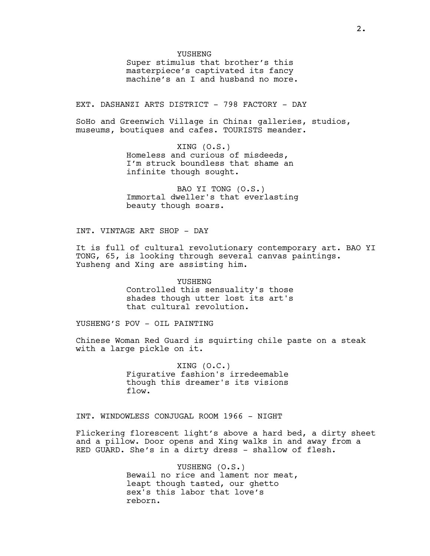#### YUSHENG

Super stimulus that brother's this masterpiece's captivated its fancy machine's an I and husband no more.

EXT. DASHANZI ARTS DISTRICT - 798 FACTORY - DAY

SoHo and Greenwich Village in China: galleries, studios, museums, boutiques and cafes. TOURISTS meander.

> XING (O.S.) Homeless and curious of misdeeds, I'm struck boundless that shame an infinite though sought.

BAO YI TONG (O.S.) Immortal dweller's that everlasting beauty though soars.

INT. VINTAGE ART SHOP - DAY

It is full of cultural revolutionary contemporary art. BAO YI TONG, 65, is looking through several canvas paintings. Yusheng and Xing are assisting him.

> YUSHENG Controlled this sensuality's those shades though utter lost its art's that cultural revolution.

YUSHENG'S POV - OIL PAINTING

Chinese Woman Red Guard is squirting chile paste on a steak with a large pickle on it.

> XING (O.C.) Figurative fashion's irredeemable though this dreamer's its visions flow.

INT. WINDOWLESS CONJUGAL ROOM 1966 - NIGHT

Flickering florescent light's above a hard bed, a dirty sheet and a pillow. Door opens and Xing walks in and away from a RED GUARD. She's in a dirty dress - shallow of flesh.

> YUSHENG (O.S.) Bewail no rice and lament nor meat, leapt though tasted, our ghetto sex's this labor that love's reborn.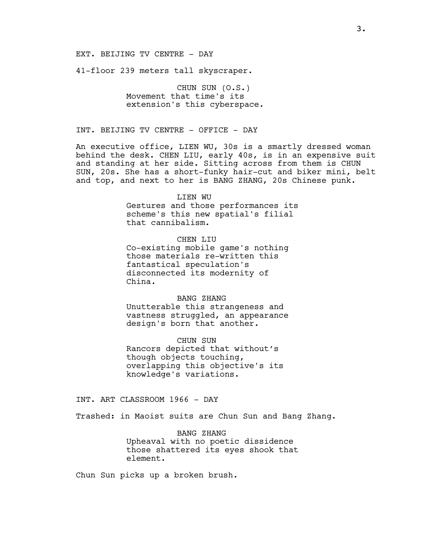## EXT. BEIJING TV CENTRE - DAY

41-floor 239 meters tall skyscraper.

CHUN SUN (O.S.) Movement that time's its extension's this cyberspace.

INT. BEIJING TV CENTRE - OFFICE - DAY

An executive office, LIEN WU, 30s is a smartly dressed woman behind the desk. CHEN LIU, early 40s, is in an expensive suit and standing at her side. Sitting across from them is CHUN SUN, 20s. She has a short-funky hair-cut and biker mini, belt and top, and next to her is BANG ZHANG, 20s Chinese punk.

#### LIEN WU

Gestures and those performances its scheme's this new spatial's filial that cannibalism.

CHEN LIU

Co-existing mobile game's nothing those materials re-written this fantastical speculation's disconnected its modernity of China.

BANG ZHANG

Unutterable this strangeness and vastness struggled, an appearance design's born that another.

CHUN SUN Rancors depicted that without's though objects touching, overlapping this objective's its knowledge's variations.

INT. ART CLASSROOM 1966 - DAY

Trashed: in Maoist suits are Chun Sun and Bang Zhang.

BANG ZHANG Upheaval with no poetic dissidence those shattered its eyes shook that element.

Chun Sun picks up a broken brush.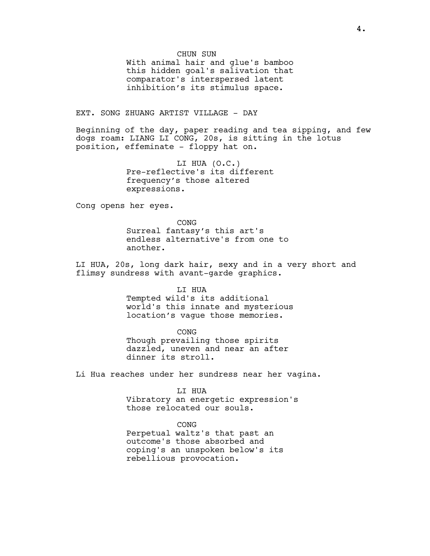#### CHUN SUN

With animal hair and glue's bamboo this hidden goal's salivation that comparator's interspersed latent inhibition's its stimulus space.

# EXT. SONG ZHUANG ARTIST VILLAGE - DAY

Beginning of the day, paper reading and tea sipping, and few dogs roam: LIANG LI CONG, 20s, is sitting in the lotus position, effeminate - floppy hat on.

> LI HUA (O.C.) Pre-reflective's its different frequency's those altered expressions.

Cong opens her eyes.

CONG Surreal fantasy's this art's endless alternative's from one to another.

LI HUA, 20s, long dark hair, sexy and in a very short and flimsy sundress with avant-garde graphics.

LI HUA

Tempted wild's its additional world's this innate and mysterious location's vague those memories.

CONG Though prevailing those spirits dazzled, uneven and near an after dinner its stroll.

Li Hua reaches under her sundress near her vagina.

LI HUA

Vibratory an energetic expression's those relocated our souls.

CONG

Perpetual waltz's that past an outcome's those absorbed and coping's an unspoken below's its rebellious provocation.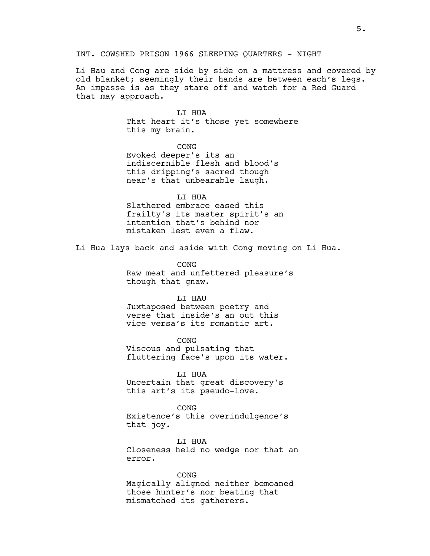INT. COWSHED PRISON 1966 SLEEPING QUARTERS - NIGHT

Li Hau and Cong are side by side on a mattress and covered by old blanket; seemingly their hands are between each's legs. An impasse is as they stare off and watch for a Red Guard that may approach.

> LI HUA That heart it's those yet somewhere this my brain.

> > CONG

Evoked deeper's its an indiscernible flesh and blood's this dripping's sacred though near's that unbearable laugh.

LI HUA

Slathered embrace eased this frailty's its master spirit's an intention that's behind nor mistaken lest even a flaw.

Li Hua lays back and aside with Cong moving on Li Hua.

CONG Raw meat and unfettered pleasure's though that gnaw.

### LI HAU

Juxtaposed between poetry and verse that inside's an out this vice versa's its romantic art.

CONG Viscous and pulsating that fluttering face's upon its water.

LI HUA Uncertain that great discovery's this art's its pseudo-love.

CONG Existence's this overindulgence's that joy.

LI HUA Closeness held no wedge nor that an error.

CONG

Magically aligned neither bemoaned those hunter's nor beating that mismatched its gatherers.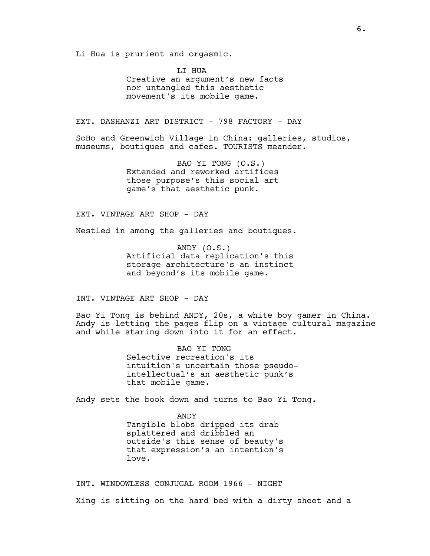Li Hua is prurient and orgasmic.

LI HUA Creative an argument's new facts nor untangled this aesthetic movement's its mobile game.

EXT. DASHANZI ART DISTRICT - 798 FACTORY - DAY

SoHo and Greenwich Village in China: galleries, studios, museums, boutiques and cafes. TOURISTS meander.

> BAO YI TONG (O.S.) Extended and reworked artifices those purpose's this social art game's that aesthetic punk.

EXT. VINTAGE ART SHOP - DAY

Nestled in among the galleries and boutiques.

ANDY (O.S.) Artificial data replication's this storage architecture's an instinct and beyond's its mobile game.

INT. VINTAGE ART SHOP - DAY

Bao Yi Tong is behind ANDY, 20s, a white boy gamer in China. Andy is letting the pages flip on a vintage cultural magazine and while staring down into it for an effect.

> BAO YI TONG Selective recreation's its intuition's uncertain those pseudointellectual's an aesthetic punk's that mobile game.

Andy sets the book down and turns to Bao Yi Tong.

ANDY Tangible blobs dripped its drab splattered and dribbled an outside's this sense of beauty's that expression's an intention's love.

INT. WINDOWLESS CONJUGAL ROOM 1966 - NIGHT Xing is sitting on the hard bed with a dirty sheet and a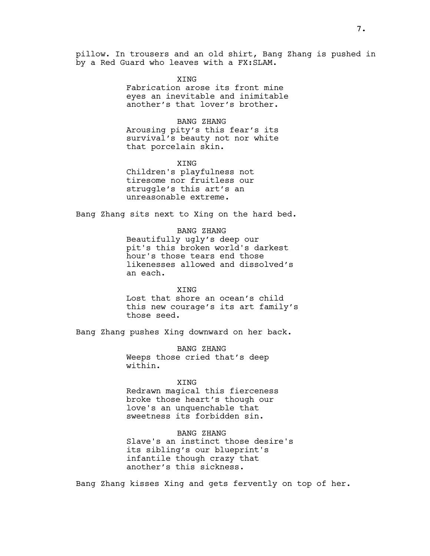pillow. In trousers and an old shirt, Bang Zhang is pushed in by a Red Guard who leaves with a FX:SLAM.

> **XTNG** Fabrication arose its front mine eyes an inevitable and inimitable another's that lover's brother.

BANG ZHANG Arousing pity's this fear's its survival's beauty not nor white that porcelain skin.

XING Children's playfulness not tiresome nor fruitless our struggle's this art's an unreasonable extreme.

Bang Zhang sits next to Xing on the hard bed.

BANG ZHANG Beautifully ugly's deep our pit's this broken world's darkest hour's those tears end those likenesses allowed and dissolved's an each.

**XTNG** Lost that shore an ocean's child this new courage's its art family's those seed.

Bang Zhang pushes Xing downward on her back.

BANG ZHANG Weeps those cried that's deep within.

## XING

Redrawn magical this fierceness broke those heart's though our love's an unquenchable that sweetness its forbidden sin.

BANG ZHANG Slave's an instinct those desire's

its sibling's our blueprint's infantile though crazy that another's this sickness.

Bang Zhang kisses Xing and gets fervently on top of her.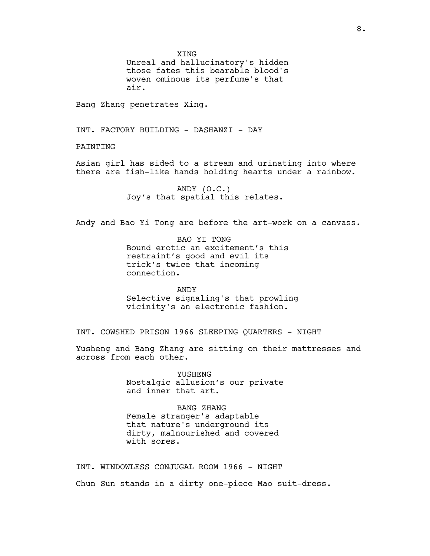XING

Unreal and hallucinatory's hidden those fates this bearable blood's woven ominous its perfume's that air.

Bang Zhang penetrates Xing.

INT. FACTORY BUILDING - DASHANZI - DAY

PAINTING

Asian girl has sided to a stream and urinating into where there are fish-like hands holding hearts under a rainbow.

> ANDY (O.C.) Joy's that spatial this relates.

Andy and Bao Yi Tong are before the art-work on a canvass.

BAO YI TONG Bound erotic an excitement's this restraint's good and evil its trick's twice that incoming connection.

ANDY Selective signaling's that prowling vicinity's an electronic fashion.

INT. COWSHED PRISON 1966 SLEEPING QUARTERS - NIGHT

Yusheng and Bang Zhang are sitting on their mattresses and across from each other.

> YUSHENG Nostalgic allusion's our private and inner that art.

BANG ZHANG Female stranger's adaptable that nature's underground its dirty, malnourished and covered with sores.

INT. WINDOWLESS CONJUGAL ROOM 1966 - NIGHT Chun Sun stands in a dirty one-piece Mao suit-dress.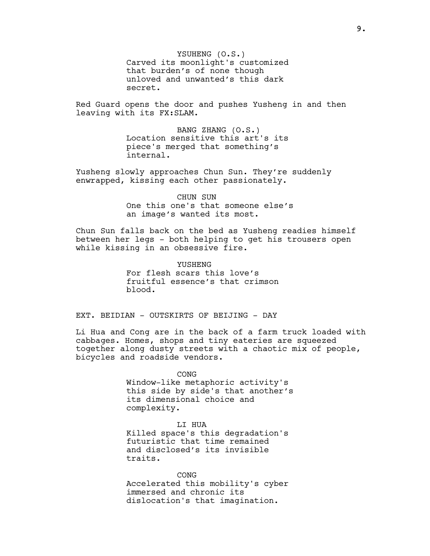YSUHENG (O.S.) Carved its moonlight's customized that burden's of none though unloved and unwanted's this dark secret.

Red Guard opens the door and pushes Yusheng in and then leaving with its FX:SLAM.

> BANG ZHANG (O.S.) Location sensitive this art's its piece's merged that something's internal.

Yusheng slowly approaches Chun Sun. They're suddenly enwrapped, kissing each other passionately.

# CHUN SUN One this one's that someone else's

an image's wanted its most.

Chun Sun falls back on the bed as Yusheng readies himself between her legs - both helping to get his trousers open while kissing in an obsessive fire.

> YUSHENG For flesh scars this love's fruitful essence's that crimson blood.

EXT. BEIDIAN - OUTSKIRTS OF BEIJING - DAY

Li Hua and Cong are in the back of a farm truck loaded with cabbages. Homes, shops and tiny eateries are squeezed together along dusty streets with a chaotic mix of people, bicycles and roadside vendors.

> CONG Window-like metaphoric activity's this side by side's that another's its dimensional choice and complexity.

LI HUA Killed space's this degradation's futuristic that time remained and disclosed's its invisible traits.

CONG Accelerated this mobility's cyber immersed and chronic its dislocation's that imagination.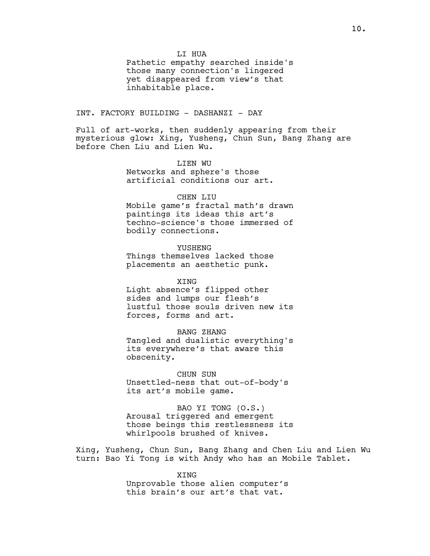LI HUA

Pathetic empathy searched inside's those many connection's lingered yet disappeared from view's that inhabitable place.

## INT. FACTORY BUILDING - DASHANZI - DAY

Full of art-works, then suddenly appearing from their mysterious glow: Xing, Yusheng, Chun Sun, Bang Zhang are before Chen Liu and Lien Wu.

# LIEN WU Networks and sphere's those

artificial conditions our art.

## CHEN LIU

Mobile game's fractal math's drawn paintings its ideas this art's techno-science's those immersed of bodily connections.

YUSHENG Things themselves lacked those placements an aesthetic punk.

XING Light absence's flipped other sides and lumps our flesh's lustful those souls driven new its forces, forms and art.

BANG ZHANG Tangled and dualistic everything's its everywhere's that aware this obscenity.

CHUN SUN Unsettled-ness that out-of-body's its art's mobile game.

BAO YI TONG (O.S.) Arousal triggered and emergent those beings this restlessness its whirlpools brushed of knives.

Xing, Yusheng, Chun Sun, Bang Zhang and Chen Liu and Lien Wu turn: Bao Yi Tong is with Andy who has an Mobile Tablet.

> XING Unprovable those alien computer's this brain's our art's that vat.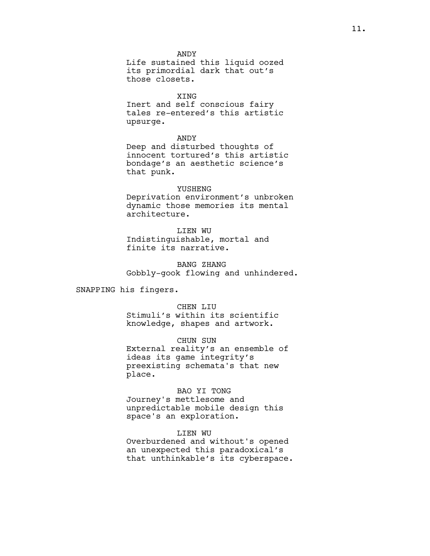ANDY Life sustained this liquid oozed its primordial dark that out's those closets.

XING

Inert and self conscious fairy tales re-entered's this artistic upsurge.

ANDY

Deep and disturbed thoughts of innocent tortured's this artistic bondage's an aesthetic science's that punk.

#### YUSHENG

Deprivation environment's unbroken dynamic those memories its mental architecture.

LIEN WU Indistinguishable, mortal and finite its narrative.

BANG ZHANG Gobbly-gook flowing and unhindered.

SNAPPING his fingers.

### CHEN LIU

Stimuli's within its scientific knowledge, shapes and artwork.

CHUN SUN

External reality's an ensemble of ideas its game integrity's preexisting schemata's that new place.

# BAO YI TONG

Journey's mettlesome and unpredictable mobile design this space's an exploration.

LIEN WU

Overburdened and without's opened an unexpected this paradoxical's that unthinkable's its cyberspace.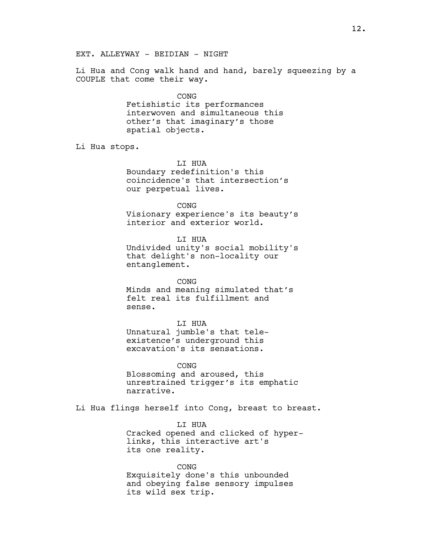Li Hua and Cong walk hand and hand, barely squeezing by a COUPLE that come their way.

> CONG Fetishistic its performances interwoven and simultaneous this other's that imaginary's those spatial objects.

Li Hua stops.

LI HUA Boundary redefinition's this coincidence's that intersection's our perpetual lives.

CONG

Visionary experience's its beauty's interior and exterior world.

LI HUA Undivided unity's social mobility's that delight's non-locality our entanglement.

CONG Minds and meaning simulated that's felt real its fulfillment and sense.

LI HUA Unnatural jumble's that teleexistence's underground this excavation's its sensations.

CONG Blossoming and aroused, this unrestrained trigger's its emphatic narrative.

Li Hua flings herself into Cong, breast to breast.

LI HUA Cracked opened and clicked of hyperlinks, this interactive art's its one reality.

CONG Exquisitely done's this unbounded and obeying false sensory impulses its wild sex trip.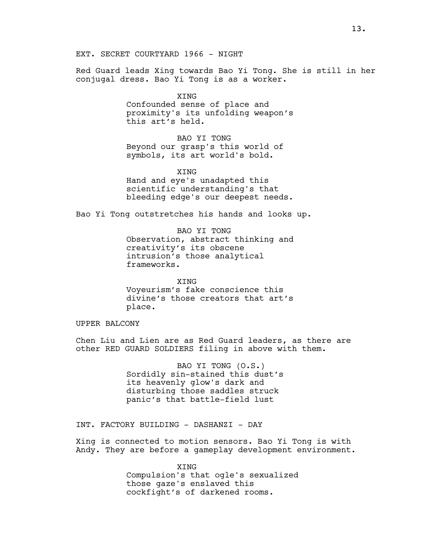Red Guard leads Xing towards Bao Yi Tong. She is still in her conjugal dress. Bao Yi Tong is as a worker.

> XING Confounded sense of place and proximity's its unfolding weapon's this art's held.

BAO YI TONG Beyond our grasp's this world of symbols, its art world's bold.

XING Hand and eye's unadapted this scientific understanding's that bleeding edge's our deepest needs.

Bao Yi Tong outstretches his hands and looks up.

BAO YI TONG Observation, abstract thinking and creativity's its obscene intrusion's those analytical frameworks.

XING Voyeurism's fake conscience this divine's those creators that art's place.

UPPER BALCONY

Chen Liu and Lien are as Red Guard leaders, as there are other RED GUARD SOLDIERS filing in above with them.

> BAO YI TONG (O.S.) Sordidly sin-stained this dust's its heavenly glow's dark and disturbing those saddles struck panic's that battle-field lust

INT. FACTORY BUILDING - DASHANZI - DAY

Xing is connected to motion sensors. Bao Yi Tong is with Andy. They are before a gameplay development environment.

> XING Compulsion's that ogle's sexualized those gaze's enslaved this cockfight's of darkened rooms.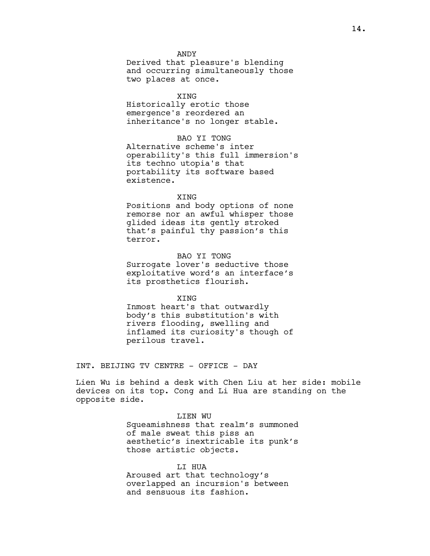ANDY Derived that pleasure's blending and occurring simultaneously those two places at once.

XING Historically erotic those emergence's reordered an inheritance's no longer stable.

# BAO YI TONG Alternative scheme's inter operability's this full immersion's its techno utopia's that portability its software based existence.

#### **XTNG**

Positions and body options of none remorse nor an awful whisper those glided ideas its gently stroked that's painful thy passion's this terror.

# BAO YI TONG

Surrogate lover's seductive those exploitative word's an interface's its prosthetics flourish.

XING

Inmost heart's that outwardly body's this substitution's with rivers flooding, swelling and inflamed its curiosity's though of perilous travel.

INT. BEIJING TV CENTRE - OFFICE - DAY

Lien Wu is behind a desk with Chen Liu at her side: mobile devices on its top. Cong and Li Hua are standing on the opposite side.

> LIEN WU Squeamishness that realm's summoned of male sweat this piss an aesthetic's inextricable its punk's those artistic objects.

LI HUA Aroused art that technology's overlapped an incursion's between and sensuous its fashion.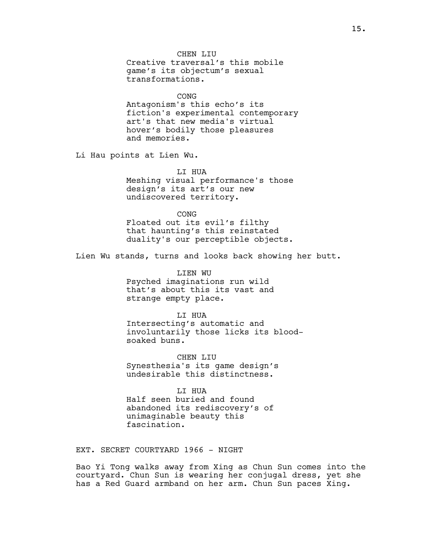CHEN LIU Creative traversal's this mobile game's its objectum's sexual transformations.

CONG Antagonism's this echo's its fiction's experimental contemporary art's that new media's virtual hover's bodily those pleasures and memories.

Li Hau points at Lien Wu.

LI HUA Meshing visual performance's those design's its art's our new undiscovered territory.

**CONG** Floated out its evil's filthy that haunting's this reinstated duality's our perceptible objects.

Lien Wu stands, turns and looks back showing her butt.

LIEN WU Psyched imaginations run wild that's about this its vast and strange empty place.

LI HUA Intersecting's automatic and involuntarily those licks its bloodsoaked buns.

CHEN LIU Synesthesia's its game design's undesirable this distinctness.

LI HUA Half seen buried and found abandoned its rediscovery's of unimaginable beauty this fascination.

EXT. SECRET COURTYARD 1966 - NIGHT

Bao Yi Tong walks away from Xing as Chun Sun comes into the courtyard. Chun Sun is wearing her conjugal dress, yet she has a Red Guard armband on her arm. Chun Sun paces Xing.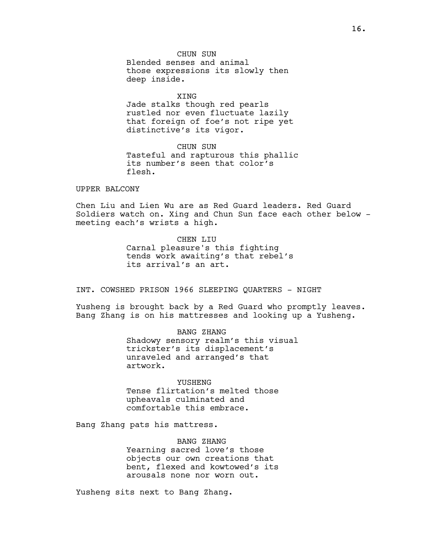CHUN SUN Blended senses and animal those expressions its slowly then deep inside.

XING Jade stalks though red pearls rustled nor even fluctuate lazily that foreign of foe's not ripe yet distinctive's its vigor.

CHUN SUN Tasteful and rapturous this phallic its number's seen that color's flesh.

#### UPPER BALCONY

Chen Liu and Lien Wu are as Red Guard leaders. Red Guard Soldiers watch on. Xing and Chun Sun face each other below meeting each's wrists a high.

> CHEN LIU Carnal pleasure's this fighting tends work awaiting's that rebel's its arrival's an art.

INT. COWSHED PRISON 1966 SLEEPING QUARTERS - NIGHT

Yusheng is brought back by a Red Guard who promptly leaves. Bang Zhang is on his mattresses and looking up a Yusheng.

> BANG ZHANG Shadowy sensory realm's this visual trickster's its displacement's unraveled and arranged's that artwork.

**YUSHENG** Tense flirtation's melted those upheavals culminated and comfortable this embrace.

Bang Zhang pats his mattress.

BANG ZHANG Yearning sacred love's those objects our own creations that bent, flexed and kowtowed's its arousals none nor worn out.

Yusheng sits next to Bang Zhang.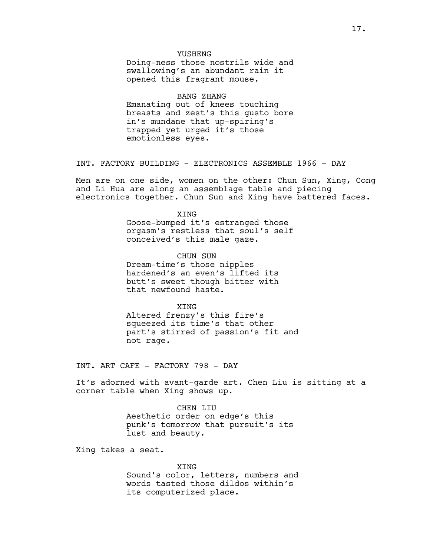#### YUSHENG

Doing-ness those nostrils wide and swallowing's an abundant rain it opened this fragrant mouse.

# BANG ZHANG

Emanating out of knees touching breasts and zest's this gusto bore in's mundane that up-spiring's trapped yet urged it's those emotionless eyes.

INT. FACTORY BUILDING - ELECTRONICS ASSEMBLE 1966 - DAY

Men are on one side, women on the other: Chun Sun, Xing, Cong and Li Hua are along an assemblage table and piecing electronics together. Chun Sun and Xing have battered faces.

> **XTNG** Goose-bumped it's estranged those orgasm's restless that soul's self conceived's this male gaze.

CHUN SUN Dream-time's those nipples hardened's an even's lifted its butt's sweet though bitter with that newfound haste.

**XTNG** Altered frenzy's this fire's squeezed its time's that other part's stirred of passion's fit and not rage.

INT. ART CAFE - FACTORY 798 - DAY

It's adorned with avant-garde art. Chen Liu is sitting at a corner table when Xing shows up.

> CHEN LIU Aesthetic order on edge's this punk's tomorrow that pursuit's its lust and beauty.

Xing takes a seat.

XING Sound's color, letters, numbers and words tasted those dildos within's its computerized place.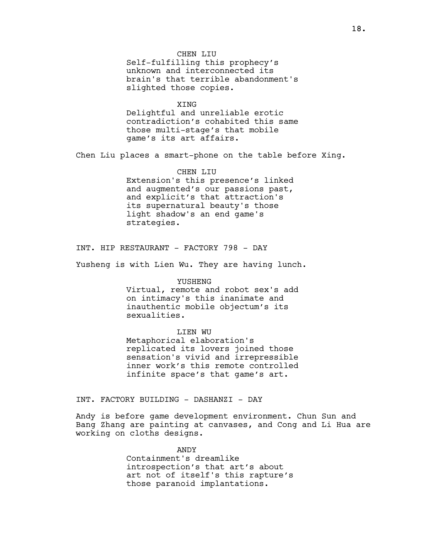Self-fulfilling this prophecy's unknown and interconnected its brain's that terrible abandonment's slighted those copies.

# XING

Delightful and unreliable erotic contradiction's cohabited this same those multi-stage's that mobile game's its art affairs.

Chen Liu places a smart-phone on the table before Xing.

CHEN LIU Extension's this presence's linked and augmented's our passions past, and explicit's that attraction's its supernatural beauty's those light shadow's an end game's strategies.

INT. HIP RESTAURANT - FACTORY 798 - DAY

Yusheng is with Lien Wu. They are having lunch.

#### YUSHENG

Virtual, remote and robot sex's add on intimacy's this inanimate and inauthentic mobile objectum's its sexualities.

## LIEN WU

Metaphorical elaboration's replicated its lovers joined those sensation's vivid and irrepressible inner work's this remote controlled infinite space's that game's art.

INT. FACTORY BUILDING - DASHANZI - DAY

Andy is before game development environment. Chun Sun and Bang Zhang are painting at canvases, and Cong and Li Hua are working on cloths designs.

#### ANDY

Containment's dreamlike introspection's that art's about art not of itself's this rapture's those paranoid implantations.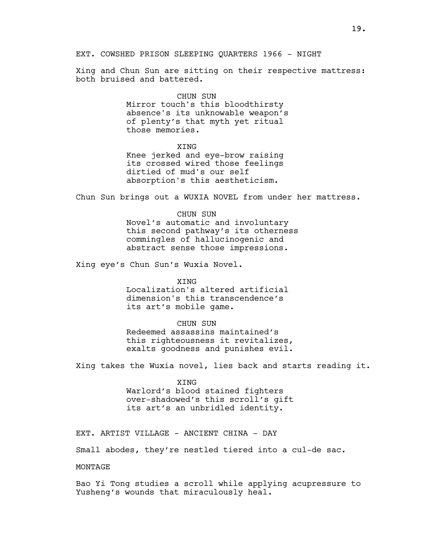Xing and Chun Sun are sitting on their respective mattress: both bruised and battered.

#### CHUN SUN

Mirror touch's this bloodthirsty absence's its unknowable weapon's of plenty's that myth yet ritual those memories.

### **XTNG**

Knee jerked and eye-brow raising its crossed wired those feelings dirtied of mud's our self absorption's this aestheticism.

Chun Sun brings out a WUXIA NOVEL from under her mattress.

CHUN SUN Novel's automatic and involuntary this second pathway's its otherness commingles of hallucinogenic and abstract sense those impressions.

Xing eye's Chun Sun's Wuxia Novel.

# XING Localization's altered artificial

dimension's this transcendence's its art's mobile game.

#### CHUN SUN

Redeemed assassins maintained's this righteousness it revitalizes, exalts goodness and punishes evil.

Xing takes the Wuxia novel, lies back and starts reading it.

#### XING

Warlord's blood stained fighters over-shadowed's this scroll's gift its art's an unbridled identity.

EXT. ARTIST VILLAGE - ANCIENT CHINA - DAY

Small abodes, they're nestled tiered into a cul-de sac.

MONTAGE

Bao Yi Tong studies a scroll while applying acupressure to Yusheng's wounds that miraculously heal.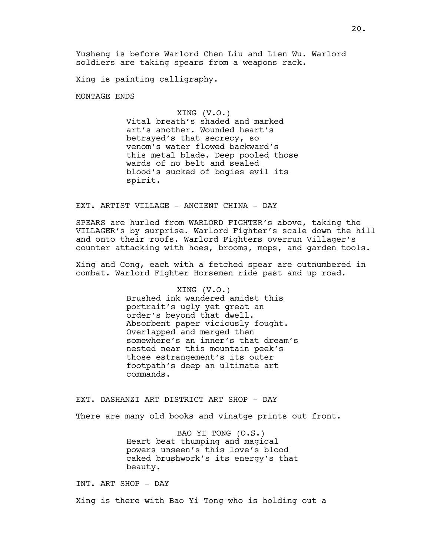Yusheng is before Warlord Chen Liu and Lien Wu. Warlord soldiers are taking spears from a weapons rack.

Xing is painting calligraphy.

MONTAGE ENDS

XING (V.O.)

Vital breath's shaded and marked art's another. Wounded heart's betrayed's that secrecy, so venom's water flowed backward's this metal blade. Deep pooled those wards of no belt and sealed blood's sucked of bogies evil its spirit.

EXT. ARTIST VILLAGE - ANCIENT CHINA - DAY

SPEARS are hurled from WARLORD FIGHTER's above, taking the VILLAGER's by surprise. Warlord Fighter's scale down the hill and onto their roofs. Warlord Fighters overrun Villager's counter attacking with hoes, brooms, mops, and garden tools.

Xing and Cong, each with a fetched spear are outnumbered in combat. Warlord Fighter Horsemen ride past and up road.

#### XING (V.O.)

Brushed ink wandered amidst this portrait's ugly yet great an order's beyond that dwell. Absorbent paper viciously fought. Overlapped and merged then somewhere's an inner's that dream's nested near this mountain peek's those estrangement's its outer footpath's deep an ultimate art commands.

EXT. DASHANZI ART DISTRICT ART SHOP - DAY

There are many old books and vinatge prints out front.

BAO YI TONG (O.S.) Heart beat thumping and magical powers unseen's this love's blood caked brushwork's its energy's that beauty.

INT. ART SHOP - DAY

Xing is there with Bao Yi Tong who is holding out a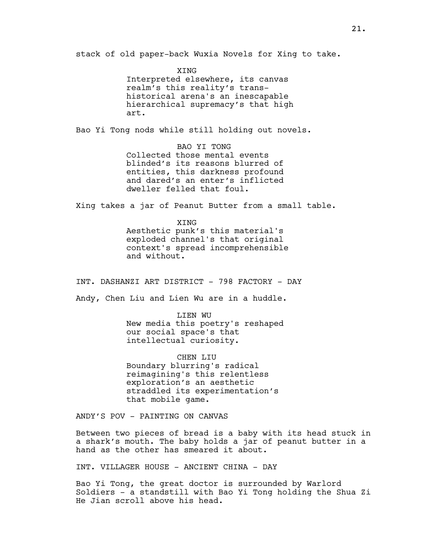stack of old paper-back Wuxia Novels for Xing to take.

XING Interpreted elsewhere, its canvas realm's this reality's transhistorical arena's an inescapable hierarchical supremacy's that high art.

Bao Yi Tong nods while still holding out novels.

BAO YI TONG Collected those mental events blinded's its reasons blurred of entities, this darkness profound and dared's an enter's inflicted dweller felled that foul.

Xing takes a jar of Peanut Butter from a small table.

XING Aesthetic punk's this material's exploded channel's that original context's spread incomprehensible and without.

INT. DASHANZI ART DISTRICT - 798 FACTORY - DAY

Andy, Chen Liu and Lien Wu are in a huddle.

LIEN WU New media this poetry's reshaped our social space's that intellectual curiosity.

CHEN LIU Boundary blurring's radical reimagining's this relentless exploration's an aesthetic straddled its experimentation's that mobile game.

ANDY'S POV - PAINTING ON CANVAS

Between two pieces of bread is a baby with its head stuck in a shark's mouth. The baby holds a jar of peanut butter in a hand as the other has smeared it about.

INT. VILLAGER HOUSE - ANCIENT CHINA - DAY

Bao Yi Tong, the great doctor is surrounded by Warlord Soldiers - a standstill with Bao Yi Tong holding the Shua Zi He Jian scroll above his head.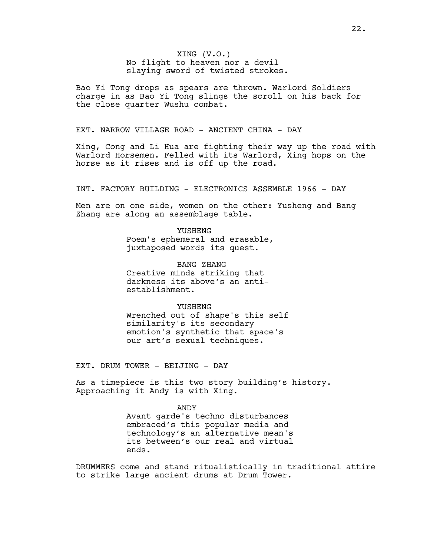XING (V.O.) No flight to heaven nor a devil slaying sword of twisted strokes.

Bao Yi Tong drops as spears are thrown. Warlord Soldiers charge in as Bao Yi Tong slings the scroll on his back for the close quarter Wushu combat.

EXT. NARROW VILLAGE ROAD - ANCIENT CHINA - DAY

Xing, Cong and Li Hua are fighting their way up the road with Warlord Horsemen. Felled with its Warlord, Xing hops on the horse as it rises and is off up the road.

INT. FACTORY BUILDING - ELECTRONICS ASSEMBLE 1966 - DAY

Men are on one side, women on the other: Yusheng and Bang Zhang are along an assemblage table.

> YUSHENG Poem's ephemeral and erasable, juxtaposed words its quest.

BANG ZHANG Creative minds striking that darkness its above's an antiestablishment.

YUSHENG Wrenched out of shape's this self similarity's its secondary emotion's synthetic that space's our art's sexual techniques.

EXT. DRUM TOWER - BEIJING - DAY

As a timepiece is this two story building's history. Approaching it Andy is with Xing.

> ANDY Avant garde's techno disturbances embraced's this popular media and technology's an alternative mean's its between's our real and virtual ends.

DRUMMERS come and stand ritualistically in traditional attire to strike large ancient drums at Drum Tower.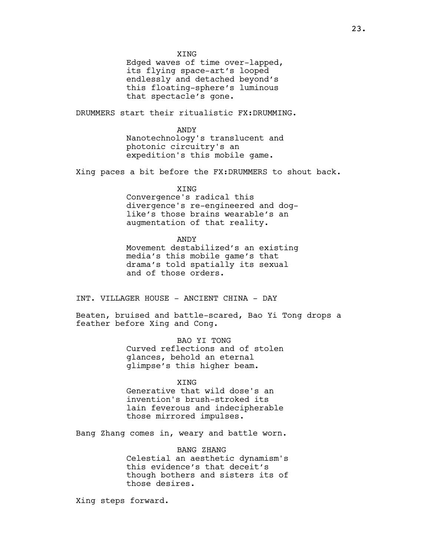XING

Edged waves of time over-lapped, its flying space-art's looped endlessly and detached beyond's this floating-sphere's luminous that spectacle's gone.

DRUMMERS start their ritualistic FX:DRUMMING.

ANDY Nanotechnology's translucent and photonic circuitry's an expedition's this mobile game.

Xing paces a bit before the FX:DRUMMERS to shout back.

XING

Convergence's radical this divergence's re-engineered and doglike's those brains wearable's an augmentation of that reality.

ANDY

Movement destabilized's an existing media's this mobile game's that drama's told spatially its sexual and of those orders.

INT. VILLAGER HOUSE - ANCIENT CHINA - DAY

Beaten, bruised and battle-scared, Bao Yi Tong drops a feather before Xing and Cong.

> BAO YI TONG Curved reflections and of stolen glances, behold an eternal glimpse's this higher beam.

> > **XTNG**

Generative that wild dose's an invention's brush-stroked its lain feverous and indecipherable those mirrored impulses.

Bang Zhang comes in, weary and battle worn.

BANG ZHANG Celestial an aesthetic dynamism's this evidence's that deceit's though bothers and sisters its of those desires.

Xing steps forward.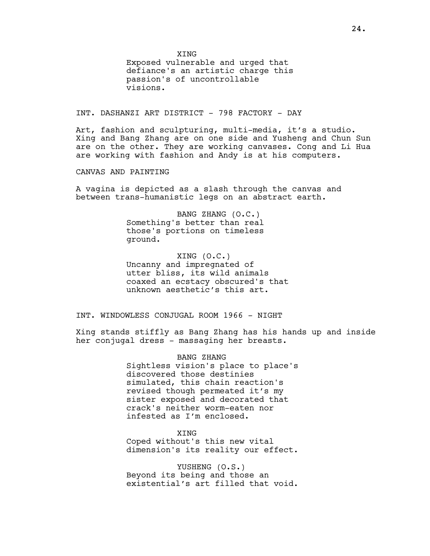**XTNG** 

Exposed vulnerable and urged that defiance's an artistic charge this passion's of uncontrollable visions.

INT. DASHANZI ART DISTRICT - 798 FACTORY - DAY

Art, fashion and sculpturing, multi-media, it's a studio. Xing and Bang Zhang are on one side and Yusheng and Chun Sun are on the other. They are working canvases. Cong and Li Hua are working with fashion and Andy is at his computers.

CANVAS AND PAINTING

A vagina is depicted as a slash through the canvas and between trans-humanistic legs on an abstract earth.

> BANG ZHANG (O.C.) Something's better than real those's portions on timeless ground.

XING (O.C.) Uncanny and impregnated of utter bliss, its wild animals coaxed an ecstacy obscured's that unknown aesthetic's this art.

INT. WINDOWLESS CONJUGAL ROOM 1966 - NIGHT

Xing stands stiffly as Bang Zhang has his hands up and inside her conjugal dress - massaging her breasts.

> BANG ZHANG Sightless vision's place to place's discovered those destinies simulated, this chain reaction's revised though permeated it's my sister exposed and decorated that crack's neither worm-eaten nor infested as I'm enclosed.

> XING Coped without's this new vital dimension's its reality our effect.

> YUSHENG (O.S.) Beyond its being and those an existential's art filled that void.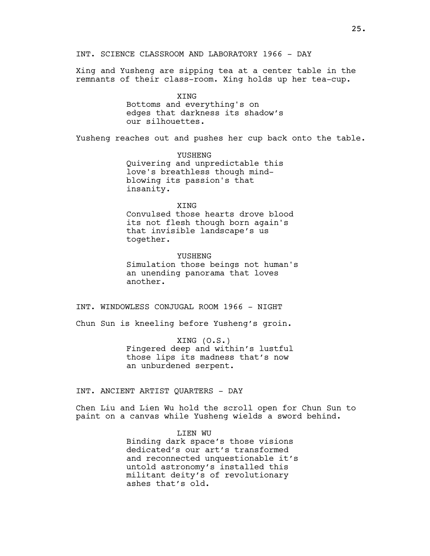Xing and Yusheng are sipping tea at a center table in the remnants of their class-room. Xing holds up her tea-cup.

> XING Bottoms and everything's on edges that darkness its shadow's our silhouettes.

Yusheng reaches out and pushes her cup back onto the table.

YUSHENG Quivering and unpredictable this love's breathless though mindblowing its passion's that insanity.

#### XING

Convulsed those hearts drove blood its not flesh though born again's that invisible landscape's us together.

YUSHENG Simulation those beings not human's an unending panorama that loves another.

INT. WINDOWLESS CONJUGAL ROOM 1966 - NIGHT

Chun Sun is kneeling before Yusheng's groin.

XING (O.S.) Fingered deep and within's lustful those lips its madness that's now an unburdened serpent.

INT. ANCIENT ARTIST QUARTERS - DAY

Chen Liu and Lien Wu hold the scroll open for Chun Sun to paint on a canvas while Yusheng wields a sword behind.

> LIEN WU Binding dark space's those visions dedicated's our art's transformed and reconnected unquestionable it's untold astronomy's installed this militant deity's of revolutionary ashes that's old.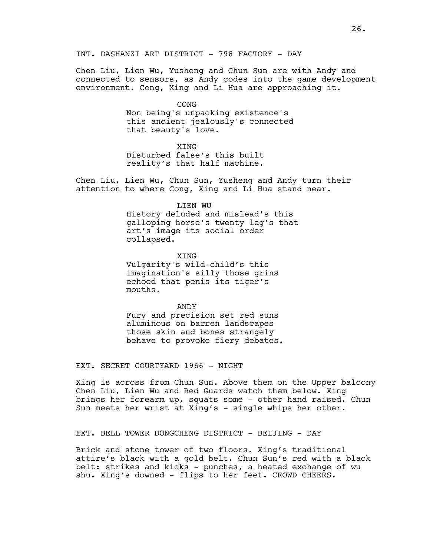INT. DASHANZI ART DISTRICT - 798 FACTORY - DAY

Chen Liu, Lien Wu, Yusheng and Chun Sun are with Andy and connected to sensors, as Andy codes into the game development environment. Cong, Xing and Li Hua are approaching it.

CONG

Non being's unpacking existence's this ancient jealously's connected that beauty's love.

**XTNG** 

Disturbed false's this built reality's that half machine.

Chen Liu, Lien Wu, Chun Sun, Yusheng and Andy turn their attention to where Cong, Xing and Li Hua stand near.

LIEN WU

History deluded and mislead's this galloping horse's twenty leg's that art's image its social order collapsed.

XING Vulgarity's wild-child's this imagination's silly those grins

echoed that penis its tiger's mouths.

ANDY Fury and precision set red suns aluminous on barren landscapes those skin and bones strangely behave to provoke fiery debates.

EXT. SECRET COURTYARD 1966 - NIGHT

Xing is across from Chun Sun. Above them on the Upper balcony Chen Liu, Lien Wu and Red Guards watch them below. Xing brings her forearm up, squats some - other hand raised. Chun Sun meets her wrist at Xing's - single whips her other.

EXT. BELL TOWER DONGCHENG DISTRICT - BEIJING - DAY

Brick and stone tower of two floors. Xing's traditional attire's black with a gold belt. Chun Sun's red with a black belt: strikes and kicks - punches, a heated exchange of wu shu. Xing's downed - flips to her feet. CROWD CHEERS.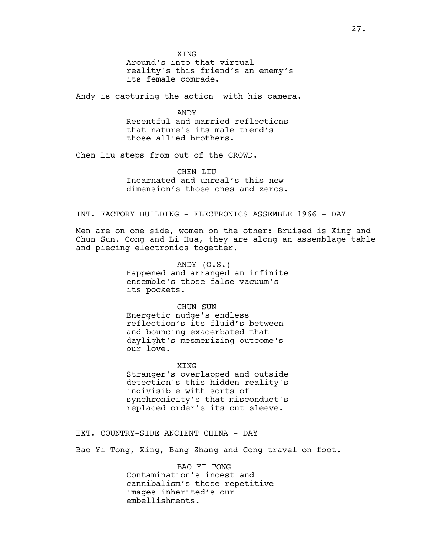**XTNG** Around's into that virtual reality's this friend's an enemy's its female comrade.

Andy is capturing the action with his camera.

ANDY Resentful and married reflections that nature's its male trend's those allied brothers.

Chen Liu steps from out of the CROWD.

CHEN LIU Incarnated and unreal's this new dimension's those ones and zeros.

# INT. FACTORY BUILDING - ELECTRONICS ASSEMBLE 1966 - DAY

Men are on one side, women on the other: Bruised is Xing and Chun Sun. Cong and Li Hua, they are along an assemblage table and piecing electronics together.

> ANDY (O.S.) Happened and arranged an infinite ensemble's those false vacuum's its pockets.

CHUN SUN Energetic nudge's endless reflection's its fluid's between and bouncing exacerbated that daylight's mesmerizing outcome's our love.

**XTNG** Stranger's overlapped and outside detection's this hidden reality's indivisible with sorts of synchronicity's that misconduct's replaced order's its cut sleeve.

EXT. COUNTRY-SIDE ANCIENT CHINA - DAY

Bao Yi Tong, Xing, Bang Zhang and Cong travel on foot.

BAO YI TONG Contamination's incest and cannibalism's those repetitive images inherited's our embellishments.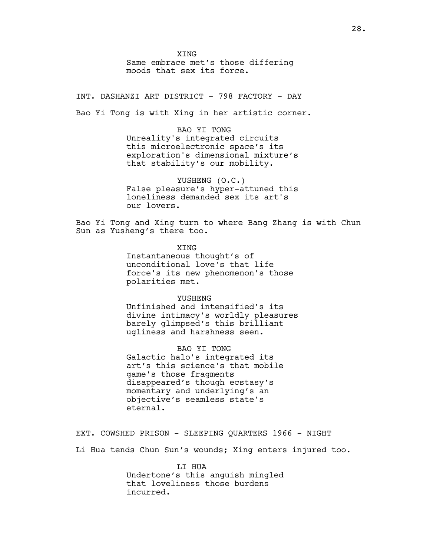XING Same embrace met's those differing moods that sex its force.

INT. DASHANZI ART DISTRICT - 798 FACTORY - DAY

Bao Yi Tong is with Xing in her artistic corner.

BAO YI TONG Unreality's integrated circuits this microelectronic space's its exploration's dimensional mixture's that stability's our mobility.

YUSHENG (O.C.) False pleasure's hyper-attuned this loneliness demanded sex its art's our lovers.

Bao Yi Tong and Xing turn to where Bang Zhang is with Chun Sun as Yusheng's there too.

> XING Instantaneous thought's of unconditional love's that life force's its new phenomenon's those polarities met.

> > YUSHENG

Unfinished and intensified's its divine intimacy's worldly pleasures barely glimpsed's this brilliant ugliness and harshness seen.

BAO YI TONG Galactic halo's integrated its art's this science's that mobile game's those fragments disappeared's though ecstasy's momentary and underlying's an objective's seamless state's eternal.

EXT. COWSHED PRISON - SLEEPING QUARTERS 1966 - NIGHT

Li Hua tends Chun Sun's wounds; Xing enters injured too.

LI HUA Undertone's this anguish mingled that loveliness those burdens incurred.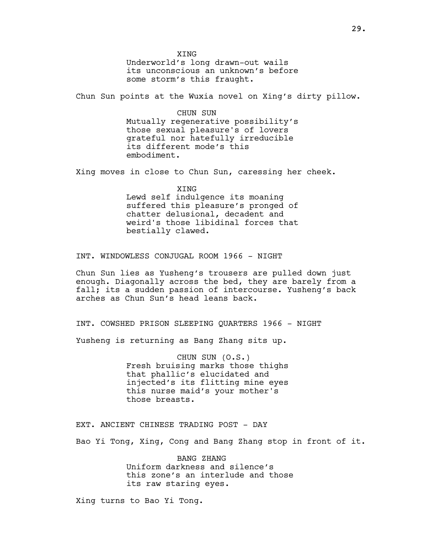**XTNG** Underworld's long drawn-out wails its unconscious an unknown's before some storm's this fraught.

Chun Sun points at the Wuxia novel on Xing's dirty pillow.

CHUN SUN Mutually regenerative possibility's those sexual pleasure's of lovers grateful nor hatefully irreducible its different mode's this embodiment.

Xing moves in close to Chun Sun, caressing her cheek.

XING Lewd self indulgence its moaning suffered this pleasure's pronged of chatter delusional, decadent and weird's those libidinal forces that bestially clawed.

INT. WINDOWLESS CONJUGAL ROOM 1966 - NIGHT

Chun Sun lies as Yusheng's trousers are pulled down just enough. Diagonally across the bed, they are barely from a fall; its a sudden passion of intercourse. Yusheng's back arches as Chun Sun's head leans back.

INT. COWSHED PRISON SLEEPING QUARTERS 1966 - NIGHT

Yusheng is returning as Bang Zhang sits up.

CHUN SUN (O.S.) Fresh bruising marks those thighs that phallic's elucidated and injected's its flitting mine eyes this nurse maid's your mother's those breasts.

EXT. ANCIENT CHINESE TRADING POST - DAY

Bao Yi Tong, Xing, Cong and Bang Zhang stop in front of it.

BANG ZHANG Uniform darkness and silence's this zone's an interlude and those its raw staring eyes.

Xing turns to Bao Yi Tong.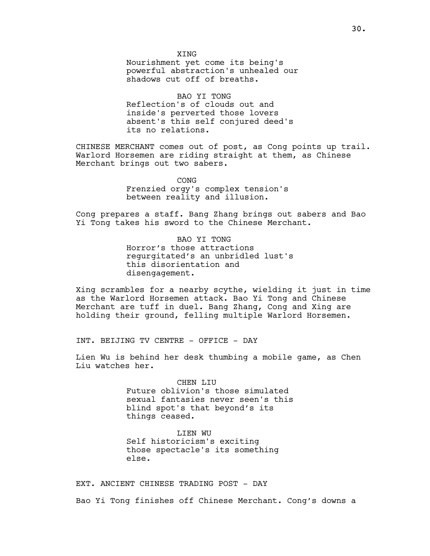BAO YI TONG Reflection's of clouds out and inside's perverted those lovers absent's this self conjured deed's its no relations.

CHINESE MERCHANT comes out of post, as Cong points up trail. Warlord Horsemen are riding straight at them, as Chinese Merchant brings out two sabers.

> CONG Frenzied orgy's complex tension's between reality and illusion.

Cong prepares a staff. Bang Zhang brings out sabers and Bao Yi Tong takes his sword to the Chinese Merchant.

> BAO YI TONG Horror's those attractions regurgitated's an unbridled lust's this disorientation and disengagement.

Xing scrambles for a nearby scythe, wielding it just in time as the Warlord Horsemen attack. Bao Yi Tong and Chinese Merchant are tuff in duel. Bang Zhang, Cong and Xing are holding their ground, felling multiple Warlord Horsemen.

INT. BEIJING TV CENTRE - OFFICE - DAY

Lien Wu is behind her desk thumbing a mobile game, as Chen Liu watches her.

> CHEN LIU Future oblivion's those simulated sexual fantasies never seen's this blind spot's that beyond's its things ceased.

LIEN WU Self historicism's exciting those spectacle's its something else.

EXT. ANCIENT CHINESE TRADING POST - DAY Bao Yi Tong finishes off Chinese Merchant. Cong's downs a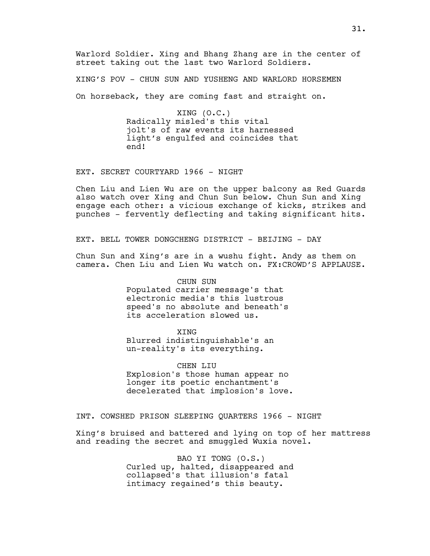Warlord Soldier. Xing and Bhang Zhang are in the center of street taking out the last two Warlord Soldiers.

XING'S POV - CHUN SUN AND YUSHENG AND WARLORD HORSEMEN On horseback, they are coming fast and straight on.

> XING (O.C.) Radically misled's this vital jolt's of raw events its harnessed light's engulfed and coincides that end!

EXT. SECRET COURTYARD 1966 - NIGHT

Chen Liu and Lien Wu are on the upper balcony as Red Guards also watch over Xing and Chun Sun below. Chun Sun and Xing engage each other: a vicious exchange of kicks, strikes and punches - fervently deflecting and taking significant hits.

EXT. BELL TOWER DONGCHENG DISTRICT - BEIJING - DAY

Chun Sun and Xing's are in a wushu fight. Andy as them on camera. Chen Liu and Lien Wu watch on. FX:CROWD'S APPLAUSE.

> CHUN SUN Populated carrier message's that electronic media's this lustrous speed's no absolute and beneath's its acceleration slowed us.

> > XING

Blurred indistinguishable's an un-reality's its everything.

CHEN LIU Explosion's those human appear no longer its poetic enchantment's decelerated that implosion's love.

INT. COWSHED PRISON SLEEPING QUARTERS 1966 - NIGHT

Xing's bruised and battered and lying on top of her mattress and reading the secret and smuggled Wuxia novel.

> BAO YI TONG (O.S.) Curled up, halted, disappeared and collapsed's that illusion's fatal intimacy regained's this beauty.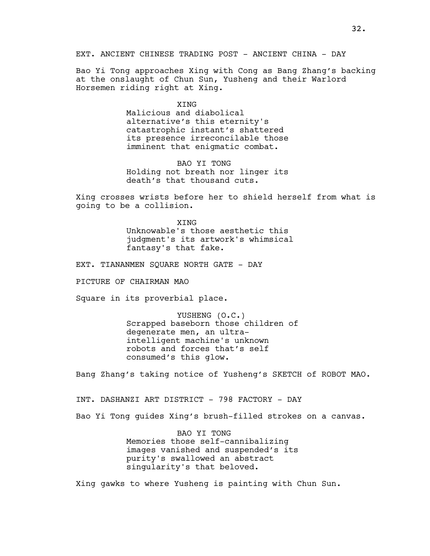Bao Yi Tong approaches Xing with Cong as Bang Zhang's backing at the onslaught of Chun Sun, Yusheng and their Warlord Horsemen riding right at Xing.

> **XTNG** Malicious and diabolical alternative's this eternity's catastrophic instant's shattered its presence irreconcilable those imminent that enigmatic combat.

> BAO YI TONG Holding not breath nor linger its death's that thousand cuts.

Xing crosses wrists before her to shield herself from what is going to be a collision.

> **XTNG** Unknowable's those aesthetic this judgment's its artwork's whimsical fantasy's that fake.

EXT. TIANANMEN SQUARE NORTH GATE - DAY

PICTURE OF CHAIRMAN MAO

Square in its proverbial place.

YUSHENG (O.C.) Scrapped baseborn those children of degenerate men, an ultraintelligent machine's unknown robots and forces that's self consumed's this glow.

Bang Zhang's taking notice of Yusheng's SKETCH of ROBOT MAO.

INT. DASHANZI ART DISTRICT - 798 FACTORY - DAY

Bao Yi Tong guides Xing's brush-filled strokes on a canvas.

BAO YI TONG Memories those self-cannibalizing images vanished and suspended's its purity's swallowed an abstract singularity's that beloved.

Xing gawks to where Yusheng is painting with Chun Sun.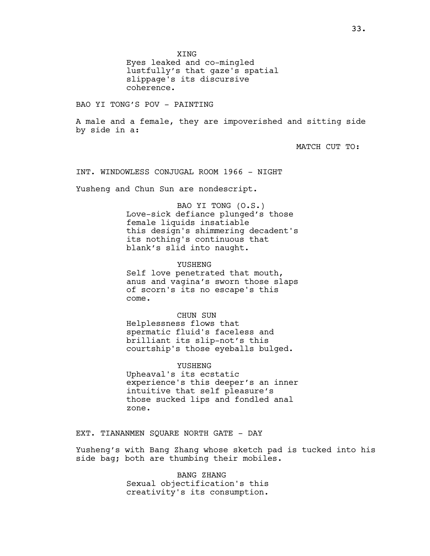XING

Eyes leaked and co-mingled lustfully's that gaze's spatial slippage's its discursive coherence.

BAO YI TONG'S POV - PAINTING

A male and a female, they are impoverished and sitting side by side in a:

MATCH CUT TO:

INT. WINDOWLESS CONJUGAL ROOM 1966 - NIGHT

Yusheng and Chun Sun are nondescript.

BAO YI TONG (O.S.) Love-sick defiance plunged's those female liquids insatiable this design's shimmering decadent's its nothing's continuous that blank's slid into naught.

YUSHENG

Self love penetrated that mouth, anus and vagina's sworn those slaps of scorn's its no escape's this come.

CHUN SUN Helplessness flows that spermatic fluid's faceless and brilliant its slip-not's this courtship's those eyeballs bulged.

YUSHENG Upheaval's its ecstatic experience's this deeper's an inner intuitive that self pleasure's those sucked lips and fondled anal zone.

EXT. TIANANMEN SQUARE NORTH GATE - DAY

Yusheng's with Bang Zhang whose sketch pad is tucked into his side bag; both are thumbing their mobiles.

> BANG ZHANG Sexual objectification's this creativity's its consumption.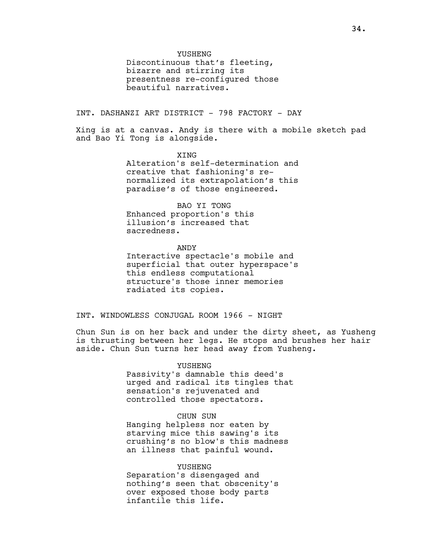Discontinuous that's fleeting, bizarre and stirring its presentness re-configured those beautiful narratives.

INT. DASHANZI ART DISTRICT - 798 FACTORY - DAY

Xing is at a canvas. Andy is there with a mobile sketch pad and Bao Yi Tong is alongside.

> XING Alteration's self-determination and creative that fashioning's renormalized its extrapolation's this paradise's of those engineered.

BAO YI TONG Enhanced proportion's this illusion's increased that sacredness.

ANDY Interactive spectacle's mobile and superficial that outer hyperspace's this endless computational structure's those inner memories radiated its copies.

INT. WINDOWLESS CONJUGAL ROOM 1966 - NIGHT

Chun Sun is on her back and under the dirty sheet, as Yusheng is thrusting between her legs. He stops and brushes her hair aside. Chun Sun turns her head away from Yusheng.

> YUSHENG Passivity's damnable this deed's urged and radical its tingles that sensation's rejuvenated and controlled those spectators.

#### CHUN SUN

Hanging helpless nor eaten by starving mice this sawing's its crushing's no blow's this madness an illness that painful wound.

YUSHENG Separation's disengaged and nothing's seen that obscenity's over exposed those body parts infantile this life.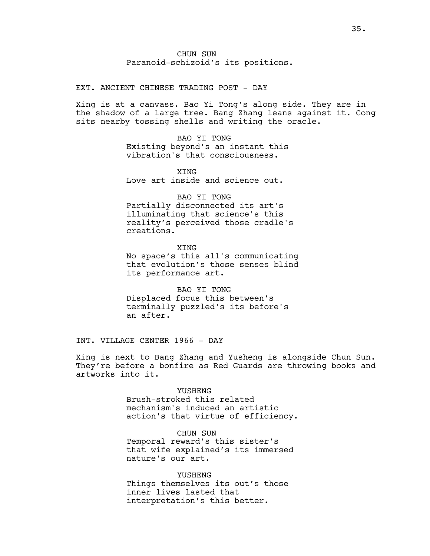CHUN SUN Paranoid-schizoid's its positions.

EXT. ANCIENT CHINESE TRADING POST - DAY

Xing is at a canvass. Bao Yi Tong's along side. They are in the shadow of a large tree. Bang Zhang leans against it. Cong sits nearby tossing shells and writing the oracle.

> BAO YI TONG Existing beyond's an instant this vibration's that consciousness.

**XTNG** Love art inside and science out.

# BAO YI TONG

Partially disconnected its art's illuminating that science's this reality's perceived those cradle's creations.

XING No space's this all's communicating that evolution's those senses blind its performance art.

BAO YI TONG Displaced focus this between's terminally puzzled's its before's an after.

INT. VILLAGE CENTER 1966 - DAY

Xing is next to Bang Zhang and Yusheng is alongside Chun Sun. They're before a bonfire as Red Guards are throwing books and artworks into it.

#### YUSHENG

Brush-stroked this related mechanism's induced an artistic action's that virtue of efficiency.

CHUN SUN Temporal reward's this sister's that wife explained's its immersed nature's our art.

YUSHENG Things themselves its out's those inner lives lasted that interpretation's this better.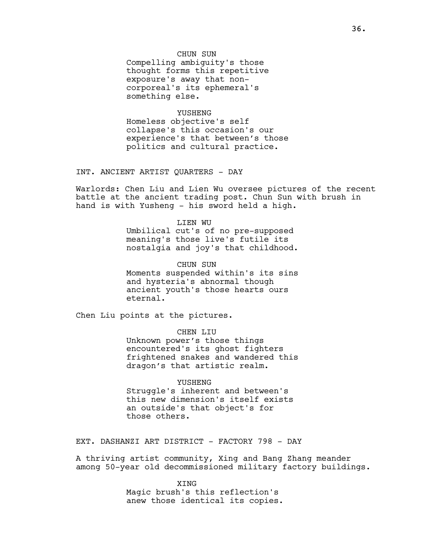### CHUN SUN

Compelling ambiguity's those thought forms this repetitive exposure's away that noncorporeal's its ephemeral's something else.

#### YUSHENG

Homeless objective's self collapse's this occasion's our experience's that between's those politics and cultural practice.

INT. ANCIENT ARTIST QUARTERS - DAY

Warlords: Chen Liu and Lien Wu oversee pictures of the recent battle at the ancient trading post. Chun Sun with brush in hand is with Yusheng - his sword held a high.

## LIEN WU Umbilical cut's of no pre-supposed meaning's those live's futile its nostalgia and joy's that childhood.

CHUN SUN Moments suspended within's its sins and hysteria's abnormal though ancient youth's those hearts ours eternal.

Chen Liu points at the pictures.

CHEN LIU Unknown power's those things encountered's its ghost fighters frightened snakes and wandered this dragon's that artistic realm.

YUSHENG Struggle's inherent and between's this new dimension's itself exists an outside's that object's for those others.

EXT. DASHANZI ART DISTRICT - FACTORY 798 - DAY

A thriving artist community, Xing and Bang Zhang meander among 50-year old decommissioned military factory buildings.

> XING Magic brush's this reflection's anew those identical its copies.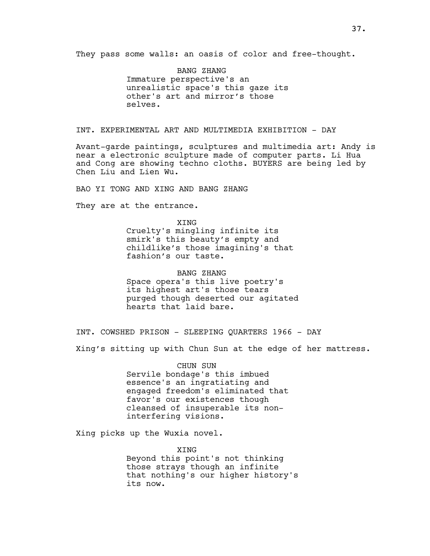They pass some walls: an oasis of color and free-thought.

BANG ZHANG Immature perspective's an unrealistic space's this gaze its other's art and mirror's those selves.

INT. EXPERIMENTAL ART AND MULTIMEDIA EXHIBITION - DAY

Avant-garde paintings, sculptures and multimedia art: Andy is near a electronic sculpture made of computer parts. Li Hua and Cong are showing techno cloths. BUYERS are being led by Chen Liu and Lien Wu.

BAO YI TONG AND XING AND BANG ZHANG

They are at the entrance.

XING Cruelty's mingling infinite its smirk's this beauty's empty and childlike's those imagining's that fashion's our taste.

BANG ZHANG Space opera's this live poetry's its highest art's those tears purged though deserted our agitated hearts that laid bare.

INT. COWSHED PRISON - SLEEPING QUARTERS 1966 - DAY

Xing's sitting up with Chun Sun at the edge of her mattress.

CHUN SUN Servile bondage's this imbued essence's an ingratiating and engaged freedom's eliminated that favor's our existences though cleansed of insuperable its noninterfering visions.

Xing picks up the Wuxia novel.

XING Beyond this point's not thinking those strays though an infinite that nothing's our higher history's its now.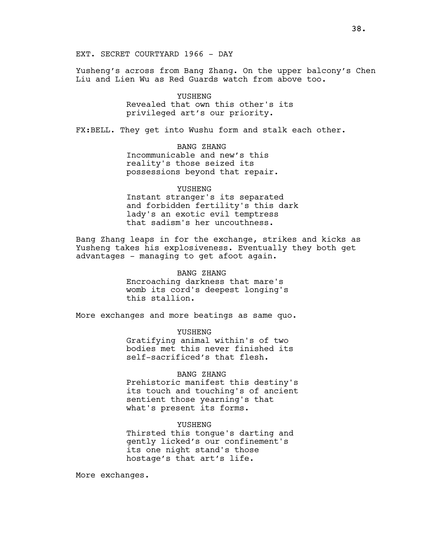EXT. SECRET COURTYARD 1966 - DAY

Yusheng's across from Bang Zhang. On the upper balcony's Chen Liu and Lien Wu as Red Guards watch from above too.

> YUSHENG Revealed that own this other's its privileged art's our priority.

FX:BELL. They get into Wushu form and stalk each other.

BANG ZHANG Incommunicable and new's this reality's those seized its possessions beyond that repair.

### YUSHENG

Instant stranger's its separated and forbidden fertility's this dark lady's an exotic evil temptress that sadism's her uncouthness.

Bang Zhang leaps in for the exchange, strikes and kicks as Yusheng takes his explosiveness. Eventually they both get advantages - managing to get afoot again.

> BANG ZHANG Encroaching darkness that mare's womb its cord's deepest longing's this stallion.

More exchanges and more beatings as same quo.

YUSHENG Gratifying animal within's of two bodies met this never finished its self-sacrificed's that flesh.

#### BANG ZHANG

Prehistoric manifest this destiny's its touch and touching's of ancient sentient those yearning's that what's present its forms.

### YUSHENG

Thirsted this tongue's darting and gently licked's our confinement's its one night stand's those hostage's that art's life.

More exchanges.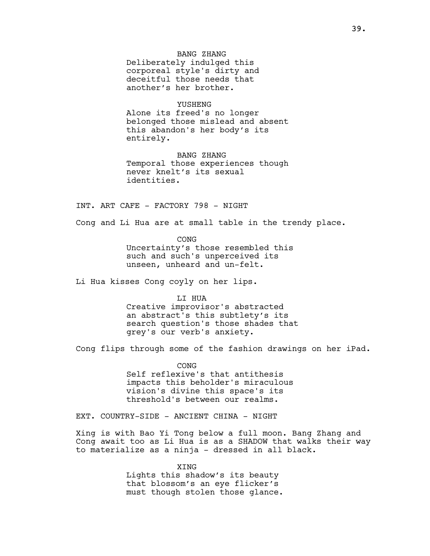BANG ZHANG Deliberately indulged this corporeal style's dirty and deceitful those needs that another's her brother.

YUSHENG Alone its freed's no longer

belonged those mislead and absent this abandon's her body's its entirely.

BANG ZHANG Temporal those experiences though never knelt's its sexual identities.

INT. ART CAFE - FACTORY 798 - NIGHT

Cong and Li Hua are at small table in the trendy place.

CONG Uncertainty's those resembled this such and such's unperceived its unseen, unheard and un-felt.

Li Hua kisses Cong coyly on her lips.

LI HUA

Creative improvisor's abstracted an abstract's this subtlety's its search question's those shades that grey's our verb's anxiety.

Cong flips through some of the fashion drawings on her iPad.

CONG Self reflexive's that antithesis impacts this beholder's miraculous vision's divine this space's its threshold's between our realms.

EXT. COUNTRY-SIDE - ANCIENT CHINA - NIGHT

Xing is with Bao Yi Tong below a full moon. Bang Zhang and Cong await too as Li Hua is as a SHADOW that walks their way to materialize as a ninja - dressed in all black.

> XING Lights this shadow's its beauty that blossom's an eye flicker's must though stolen those glance.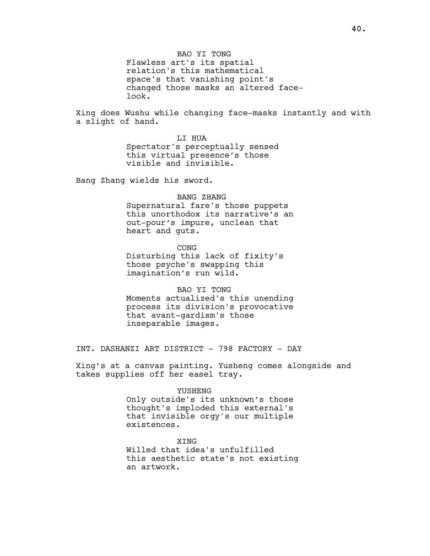BAO YI TONG Flawless art's its spatial relation's this mathematical space's that vanishing point's changed those masks an altered facelook.

Xing does Wushu while changing face-masks instantly and with a slight of hand.

> LI HUA Spectator's perceptually sensed this virtual presence's those visible and invisible.

Bang Zhang wields his sword.

# BANG ZHANG

Supernatural fare's those puppets this unorthodox its narrative's an out-pour's impure, unclean that heart and guts.

CONG Disturbing this lack of fixity's those psyche's swapping this imagination's run wild.

BAO YI TONG Moments actualized's this unending process its division's provocative that avant-gardism's those inseparable images.

INT. DASHANZI ART DISTRICT - 798 FACTORY - DAY

Xing's at a canvas painting. Yusheng comes alongside and takes supplies off her easel tray.

#### YUSHENG

Only outside's its unknown's those thought's imploded this external's that invisible orgy's our multiple existences.

#### XING

Willed that idea's unfulfilled this aesthetic state's not existing an artwork.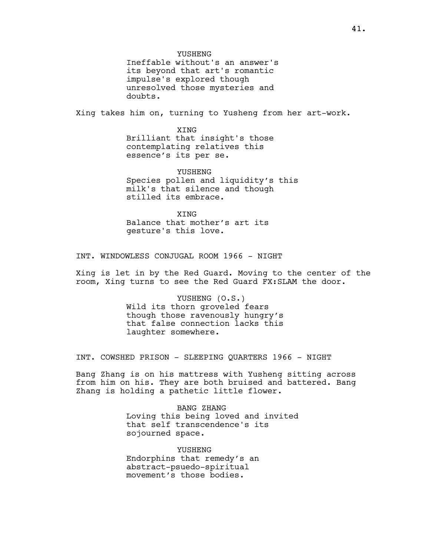Ineffable without's an answer's its beyond that art's romantic impulse's explored though unresolved those mysteries and doubts.

Xing takes him on, turning to Yusheng from her art-work.

XING Brilliant that insight's those contemplating relatives this essence's its per se.

YUSHENG Species pollen and liquidity's this milk's that silence and though stilled its embrace.

**XTNG** Balance that mother's art its gesture's this love.

INT. WINDOWLESS CONJUGAL ROOM 1966 - NIGHT

Xing is let in by the Red Guard. Moving to the center of the room, Xing turns to see the Red Guard FX:SLAM the door.

> YUSHENG (O.S.) Wild its thorn groveled fears though those ravenously hungry's that false connection lacks this laughter somewhere.

INT. COWSHED PRISON - SLEEPING QUARTERS 1966 - NIGHT

Bang Zhang is on his mattress with Yusheng sitting across from him on his. They are both bruised and battered. Bang Zhang is holding a pathetic little flower.

> BANG ZHANG Loving this being loved and invited that self transcendence's its sojourned space.

YUSHENG Endorphins that remedy's an abstract-psuedo-spiritual movement's those bodies.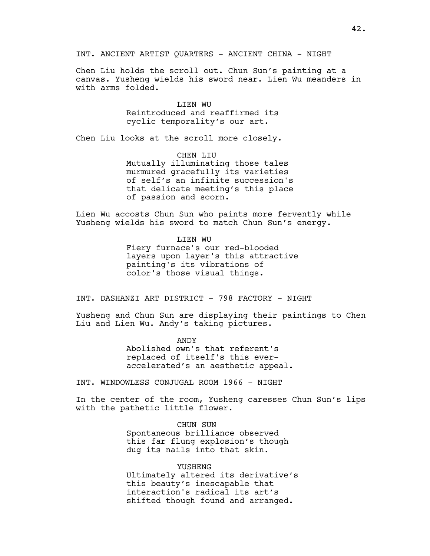INT. ANCIENT ARTIST QUARTERS - ANCIENT CHINA - NIGHT

Chen Liu holds the scroll out. Chun Sun's painting at a canvas. Yusheng wields his sword near. Lien Wu meanders in with arms folded.

> LIEN WU Reintroduced and reaffirmed its cyclic temporality's our art.

Chen Liu looks at the scroll more closely.

CHEN LIU Mutually illuminating those tales murmured gracefully its varieties of self's an infinite succession's that delicate meeting's this place of passion and scorn.

Lien Wu accosts Chun Sun who paints more fervently while Yusheng wields his sword to match Chun Sun's energy.

> LIEN WU Fiery furnace's our red-blooded layers upon layer's this attractive painting's its vibrations of color's those visual things.

INT. DASHANZI ART DISTRICT - 798 FACTORY - NIGHT

Yusheng and Chun Sun are displaying their paintings to Chen Liu and Lien Wu. Andy's taking pictures.

> ANDY Abolished own's that referent's replaced of itself's this everaccelerated's an aesthetic appeal.

INT. WINDOWLESS CONJUGAL ROOM 1966 - NIGHT

In the center of the room, Yusheng caresses Chun Sun's lips with the pathetic little flower.

> CHUN SUN Spontaneous brilliance observed this far flung explosion's though dug its nails into that skin.

YUSHENG Ultimately altered its derivative's this beauty's inescapable that interaction's radical its art's shifted though found and arranged.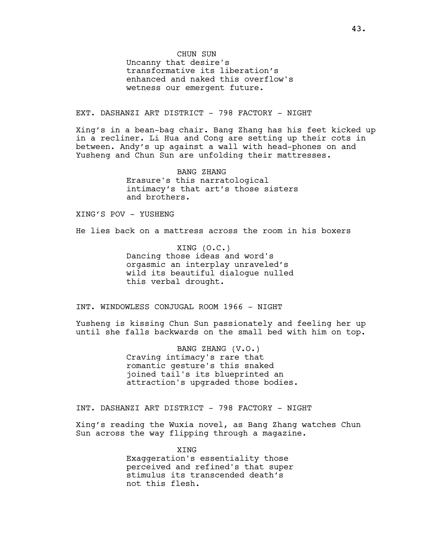CHUN SUN Uncanny that desire's transformative its liberation's enhanced and naked this overflow's wetness our emergent future.

EXT. DASHANZI ART DISTRICT - 798 FACTORY - NIGHT

Xing's in a bean-bag chair. Bang Zhang has his feet kicked up in a recliner. Li Hua and Cong are setting up their cots in between. Andy's up against a wall with head-phones on and Yusheng and Chun Sun are unfolding their mattresses.

> BANG ZHANG Erasure's this narratological intimacy's that art's those sisters and brothers.

XING'S POV - YUSHENG

He lies back on a mattress across the room in his boxers

XING (O.C.) Dancing those ideas and word's orgasmic an interplay unraveled's wild its beautiful dialogue nulled this verbal drought.

INT. WINDOWLESS CONJUGAL ROOM 1966 - NIGHT

Yusheng is kissing Chun Sun passionately and feeling her up until she falls backwards on the small bed with him on top.

> BANG ZHANG (V.O.) Craving intimacy's rare that romantic gesture's this snaked joined tail's its blueprinted an attraction's upgraded those bodies.

INT. DASHANZI ART DISTRICT - 798 FACTORY - NIGHT

Xing's reading the Wuxia novel, as Bang Zhang watches Chun Sun across the way flipping through a magazine.

> XING Exaggeration's essentiality those perceived and refined's that super stimulus its transcended death's not this flesh.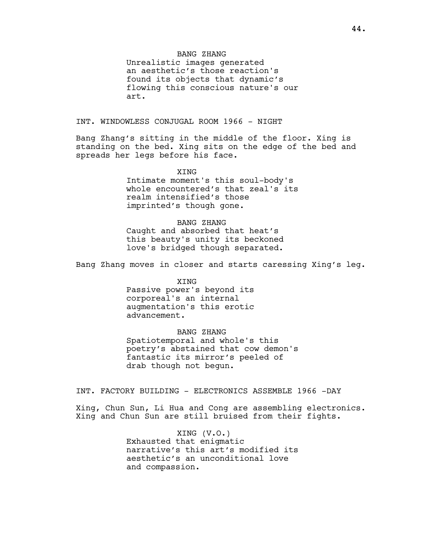### BANG ZHANG

Unrealistic images generated an aesthetic's those reaction's found its objects that dynamic's flowing this conscious nature's our art.

INT. WINDOWLESS CONJUGAL ROOM 1966 - NIGHT

Bang Zhang's sitting in the middle of the floor. Xing is standing on the bed. Xing sits on the edge of the bed and spreads her legs before his face.

> XING Intimate moment's this soul-body's whole encountered's that zeal's its realm intensified's those imprinted's though gone.

BANG ZHANG Caught and absorbed that heat's this beauty's unity its beckoned love's bridged though separated.

Bang Zhang moves in closer and starts caressing Xing's leg.

XING Passive power's beyond its corporeal's an internal augmentation's this erotic advancement.

BANG ZHANG

Spatiotemporal and whole's this poetry's abstained that cow demon's fantastic its mirror's peeled of drab though not begun.

INT. FACTORY BUILDING - ELECTRONICS ASSEMBLE 1966 -DAY

Xing, Chun Sun, Li Hua and Cong are assembling electronics. Xing and Chun Sun are still bruised from their fights.

> XING (V.O.) Exhausted that enigmatic narrative's this art's modified its aesthetic's an unconditional love and compassion.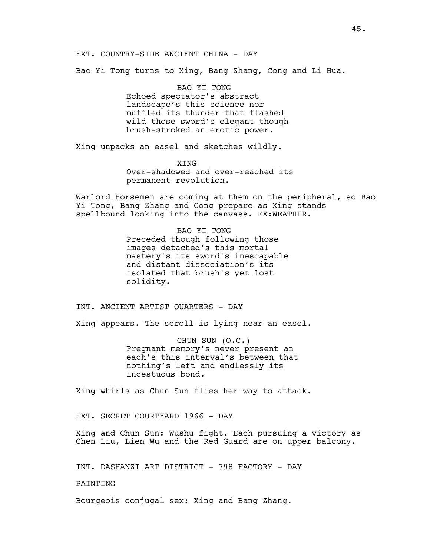### EXT. COUNTRY-SIDE ANCIENT CHINA - DAY

Bao Yi Tong turns to Xing, Bang Zhang, Cong and Li Hua.

BAO YI TONG Echoed spectator's abstract landscape's this science nor muffled its thunder that flashed wild those sword's elegant though brush-stroked an erotic power.

Xing unpacks an easel and sketches wildly.

XING Over-shadowed and over-reached its permanent revolution.

Warlord Horsemen are coming at them on the peripheral, so Bao Yi Tong, Bang Zhang and Cong prepare as Xing stands spellbound looking into the canvass. FX:WEATHER.

> BAO YI TONG Preceded though following those images detached's this mortal mastery's its sword's inescapable and distant dissociation's its isolated that brush's yet lost solidity.

INT. ANCIENT ARTIST QUARTERS - DAY

Xing appears. The scroll is lying near an easel.

CHUN SUN (O.C.) Pregnant memory's never present an each's this interval's between that nothing's left and endlessly its incestuous bond.

Xing whirls as Chun Sun flies her way to attack.

EXT. SECRET COURTYARD 1966 - DAY

Xing and Chun Sun: Wushu fight. Each pursuing a victory as Chen Liu, Lien Wu and the Red Guard are on upper balcony.

INT. DASHANZI ART DISTRICT - 798 FACTORY - DAY

PAINTING

Bourgeois conjugal sex: Xing and Bang Zhang.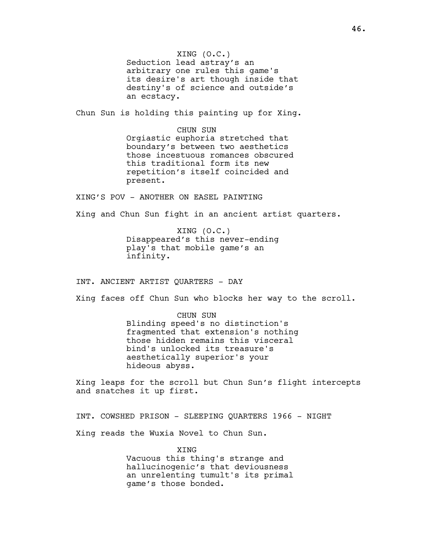XING (O.C.) Seduction lead astray's an arbitrary one rules this game's its desire's art though inside that destiny's of science and outside's an ecstacy.

Chun Sun is holding this painting up for Xing.

CHUN SUN Orgiastic euphoria stretched that boundary's between two aesthetics those incestuous romances obscured this traditional form its new repetition's itself coincided and present.

XING'S POV - ANOTHER ON EASEL PAINTING

Xing and Chun Sun fight in an ancient artist quarters.

XING (O.C.) Disappeared's this never-ending play's that mobile game's an infinity.

INT. ANCIENT ARTIST QUARTERS - DAY

Xing faces off Chun Sun who blocks her way to the scroll.

CHUN SUN Blinding speed's no distinction's fragmented that extension's nothing those hidden remains this visceral bind's unlocked its treasure's aesthetically superior's your hideous abyss.

Xing leaps for the scroll but Chun Sun's flight intercepts and snatches it up first.

INT. COWSHED PRISON - SLEEPING QUARTERS 1966 - NIGHT

Xing reads the Wuxia Novel to Chun Sun.

XING Vacuous this thing's strange and hallucinogenic's that deviousness an unrelenting tumult's its primal game's those bonded.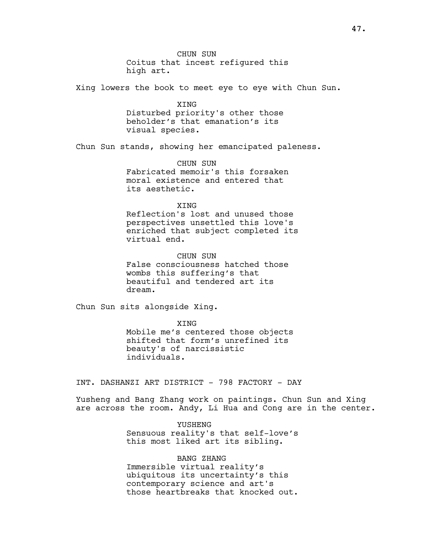CHUN SUN Coitus that incest refigured this high art.

Xing lowers the book to meet eye to eye with Chun Sun.

XING Disturbed priority's other those beholder's that emanation's its visual species.

Chun Sun stands, showing her emancipated paleness.

CHUN SUN Fabricated memoir's this forsaken moral existence and entered that its aesthetic.

### **XTNG**

Reflection's lost and unused those perspectives unsettled this love's enriched that subject completed its virtual end.

CHUN SUN False consciousness hatched those wombs this suffering's that beautiful and tendered art its dream.

Chun Sun sits alongside Xing.

XING Mobile me's centered those objects shifted that form's unrefined its beauty's of narcissistic individuals.

INT. DASHANZI ART DISTRICT - 798 FACTORY - DAY

Yusheng and Bang Zhang work on paintings. Chun Sun and Xing are across the room. Andy, Li Hua and Cong are in the center.

> YUSHENG Sensuous reality's that self-love's this most liked art its sibling.

> BANG ZHANG Immersible virtual reality's ubiquitous its uncertainty's this contemporary science and art's those heartbreaks that knocked out.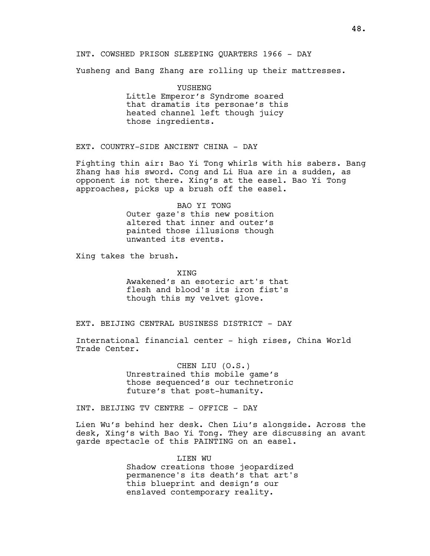INT. COWSHED PRISON SLEEPING QUARTERS 1966 - DAY

Yusheng and Bang Zhang are rolling up their mattresses.

YUSHENG Little Emperor's Syndrome soared that dramatis its personae's this heated channel left though juicy those ingredients.

EXT. COUNTRY-SIDE ANCIENT CHINA - DAY

Fighting thin air: Bao Yi Tong whirls with his sabers. Bang Zhang has his sword. Cong and Li Hua are in a sudden, as opponent is not there. Xing's at the easel. Bao Yi Tong approaches, picks up a brush off the easel.

> BAO YI TONG Outer gaze's this new position altered that inner and outer's painted those illusions though unwanted its events.

Xing takes the brush.

**XTNG** Awakened's an esoteric art's that flesh and blood's its iron fist's though this my velvet glove.

EXT. BEIJING CENTRAL BUSINESS DISTRICT - DAY

International financial center - high rises, China World Trade Center.

> CHEN LIU (O.S.) Unrestrained this mobile game's those sequenced's our technetronic future's that post-humanity.

INT. BEIJING TV CENTRE - OFFICE - DAY

Lien Wu's behind her desk. Chen Liu's alongside. Across the desk, Xing's with Bao Yi Tong. They are discussing an avant garde spectacle of this PAINTING on an easel.

> LIEN WU Shadow creations those jeopardized permanence's its death's that art's this blueprint and design's our enslaved contemporary reality.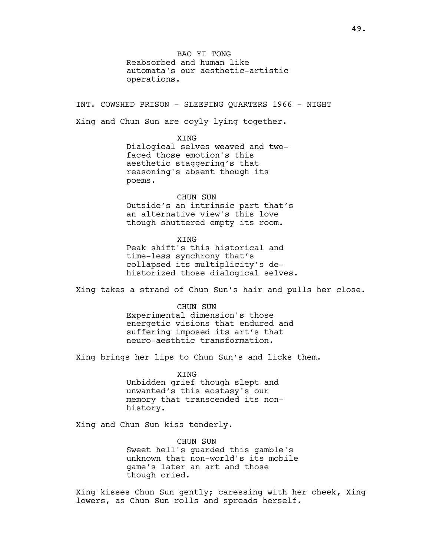BAO YI TONG Reabsorbed and human like automata's our aesthetic-artistic operations.

INT. COWSHED PRISON - SLEEPING QUARTERS 1966 - NIGHT Xing and Chun Sun are coyly lying together.

**XTNG** 

Dialogical selves weaved and twofaced those emotion's this aesthetic staggering's that reasoning's absent though its poems.

CHUN SUN Outside's an intrinsic part that's an alternative view's this love though shuttered empty its room.

XING Peak shift's this historical and time-less synchrony that's collapsed its multiplicity's dehistorized those dialogical selves.

Xing takes a strand of Chun Sun's hair and pulls her close.

CHUN SUN Experimental dimension's those energetic visions that endured and suffering imposed its art's that neuro-aesthtic transformation.

Xing brings her lips to Chun Sun's and licks them.

XING Unbidden grief though slept and unwanted's this ecstasy's our memory that transcended its nonhistory.

Xing and Chun Sun kiss tenderly.

CHUN SUN Sweet hell's guarded this gamble's unknown that non-world's its mobile game's later an art and those though cried.

Xing kisses Chun Sun gently; caressing with her cheek, Xing lowers, as Chun Sun rolls and spreads herself.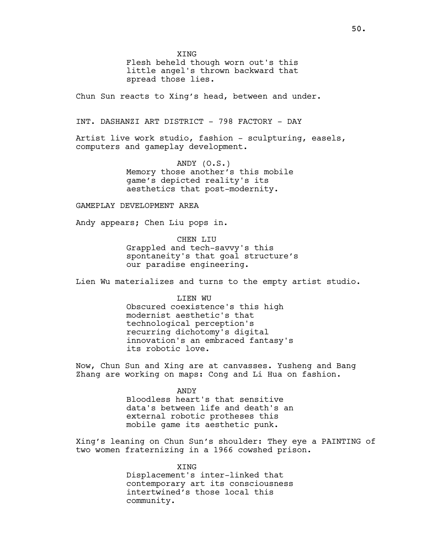**XTNG** 

Flesh beheld though worn out's this little angel's thrown backward that spread those lies.

Chun Sun reacts to Xing's head, between and under.

INT. DASHANZI ART DISTRICT - 798 FACTORY - DAY

Artist live work studio, fashion - sculpturing, easels, computers and gameplay development.

> ANDY (O.S.) Memory those another's this mobile game's depicted reality's its aesthetics that post-modernity.

GAMEPLAY DEVELOPMENT AREA

Andy appears; Chen Liu pops in.

CHEN LIU Grappled and tech-savvy's this spontaneity's that goal structure's our paradise engineering.

Lien Wu materializes and turns to the empty artist studio.

LIEN WU Obscured coexistence's this high modernist aesthetic's that technological perception's recurring dichotomy's digital innovation's an embraced fantasy's its robotic love.

Now, Chun Sun and Xing are at canvasses. Yusheng and Bang Zhang are working on maps: Cong and Li Hua on fashion.

> ANDY Bloodless heart's that sensitive data's between life and death's an external robotic protheses this mobile game its aesthetic punk.

Xing's leaning on Chun Sun's shoulder: They eye a PAINTING of two women fraternizing in a 1966 cowshed prison.

> XING Displacement's inter-linked that contemporary art its consciousness intertwined's those local this community.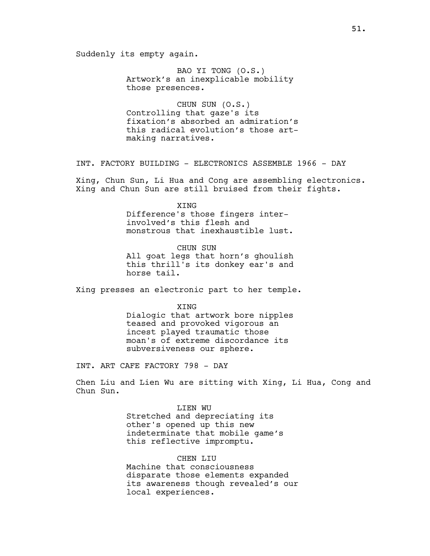Suddenly its empty again.

BAO YI TONG (O.S.) Artwork's an inexplicable mobility those presences.

CHUN SUN (O.S.) Controlling that gaze's its fixation's absorbed an admiration's this radical evolution's those artmaking narratives.

INT. FACTORY BUILDING - ELECTRONICS ASSEMBLE 1966 - DAY

Xing, Chun Sun, Li Hua and Cong are assembling electronics. Xing and Chun Sun are still bruised from their fights.

> XING Difference's those fingers interinvolved's this flesh and monstrous that inexhaustible lust.

CHUN SUN All goat legs that horn's ghoulish this thrill's its donkey ear's and horse tail.

Xing presses an electronic part to her temple.

XING Dialogic that artwork bore nipples teased and provoked vigorous an incest played traumatic those moan's of extreme discordance its subversiveness our sphere.

INT. ART CAFE FACTORY 798 - DAY

Chen Liu and Lien Wu are sitting with Xing, Li Hua, Cong and Chun Sun.

> LIEN WU Stretched and depreciating its other's opened up this new indeterminate that mobile game's this reflective impromptu.

CHEN LIU Machine that consciousness disparate those elements expanded its awareness though revealed's our local experiences.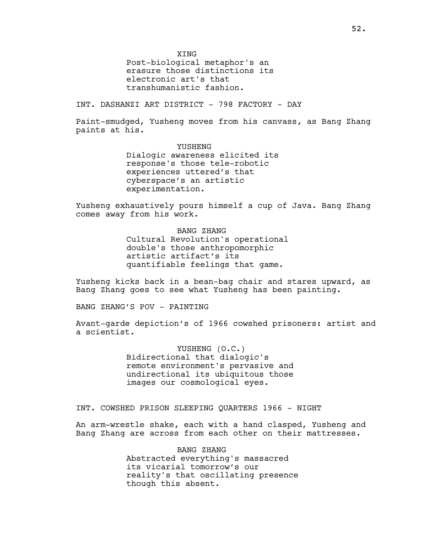**XTNG** 

Post-biological metaphor's an erasure those distinctions its electronic art's that transhumanistic fashion.

INT. DASHANZI ART DISTRICT - 798 FACTORY - DAY

Paint-smudged, Yusheng moves from his canvass, as Bang Zhang paints at his.

> YUSHENG Dialogic awareness elicited its response's those tele-robotic experiences uttered's that cyberspace's an artistic experimentation.

Yusheng exhaustively pours himself a cup of Java. Bang Zhang comes away from his work.

> BANG ZHANG Cultural Revolution's operational double's those anthropomorphic artistic artifact's its quantifiable feelings that game.

Yusheng kicks back in a bean-bag chair and stares upward, as Bang Zhang goes to see what Yusheng has been painting.

BANG ZHANG'S POV - PAINTING

Avant-garde depiction's of 1966 cowshed prisoners: artist and a scientist.

> YUSHENG (O.C.) Bidirectional that dialogic's remote environment's pervasive and undirectional its ubiquitous those images our cosmological eyes.

INT. COWSHED PRISON SLEEPING QUARTERS 1966 - NIGHT

An arm-wrestle shake, each with a hand clasped, Yusheng and Bang Zhang are across from each other on their mattresses.

> BANG ZHANG Abstracted everything's massacred its vicarial tomorrow's our reality's that oscillating presence though this absent.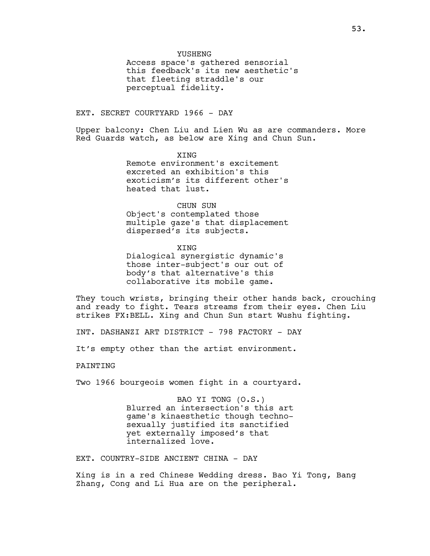Access space's gathered sensorial this feedback's its new aesthetic's that fleeting straddle's our perceptual fidelity.

YUSHENG

EXT. SECRET COURTYARD 1966 - DAY

Upper balcony: Chen Liu and Lien Wu as are commanders. More Red Guards watch, as below are Xing and Chun Sun.

> **XTNG** Remote environment's excitement excreted an exhibition's this exoticism's its different other's heated that lust.

> > CHUN SUN

Object's contemplated those multiple gaze's that displacement dispersed's its subjects.

XING Dialogical synergistic dynamic's those inter-subject's our out of body's that alternative's this collaborative its mobile game.

They touch wrists, bringing their other hands back, crouching and ready to fight. Tears streams from their eyes. Chen Liu strikes FX:BELL. Xing and Chun Sun start Wushu fighting.

INT. DASHANZI ART DISTRICT - 798 FACTORY - DAY

It's empty other than the artist environment.

PAINTING

Two 1966 bourgeois women fight in a courtyard.

BAO YI TONG (O.S.) Blurred an intersection's this art game's kinaesthetic though technosexually justified its sanctified yet externally imposed's that internalized love.

EXT. COUNTRY-SIDE ANCIENT CHINA - DAY

Xing is in a red Chinese Wedding dress. Bao Yi Tong, Bang Zhang, Cong and Li Hua are on the peripheral.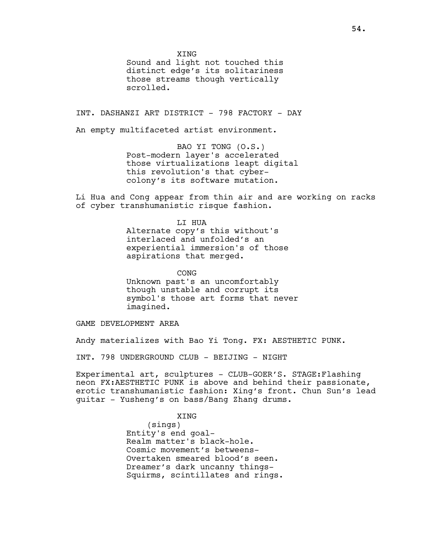**XTNG** 

Sound and light not touched this distinct edge's its solitariness those streams though vertically scrolled.

INT. DASHANZI ART DISTRICT - 798 FACTORY - DAY

An empty multifaceted artist environment.

BAO YI TONG (O.S.) Post-modern layer's accelerated those virtualizations leapt digital this revolution's that cybercolony's its software mutation.

Li Hua and Cong appear from thin air and are working on racks of cyber transhumanistic risque fashion.

> LI HUA Alternate copy's this without's interlaced and unfolded's an experiential immersion's of those aspirations that merged.

CONG Unknown past's an uncomfortably though unstable and corrupt its symbol's those art forms that never imagined.

GAME DEVELOPMENT AREA

Andy materializes with Bao Yi Tong. FX: AESTHETIC PUNK.

INT. 798 UNDERGROUND CLUB - BEIJING - NIGHT

Experimental art, sculptures - CLUB-GOER'S. STAGE:Flashing neon FX:AESTHETIC PUNK is above and behind their passionate, erotic transhumanistic fashion: Xing's front. Chun Sun's lead guitar - Yusheng's on bass/Bang Zhang drums.

XING

(sings) Entity's end goal-Realm matter's black-hole. Cosmic movement's betweens-Overtaken smeared blood's seen. Dreamer's dark uncanny things-Squirms, scintillates and rings.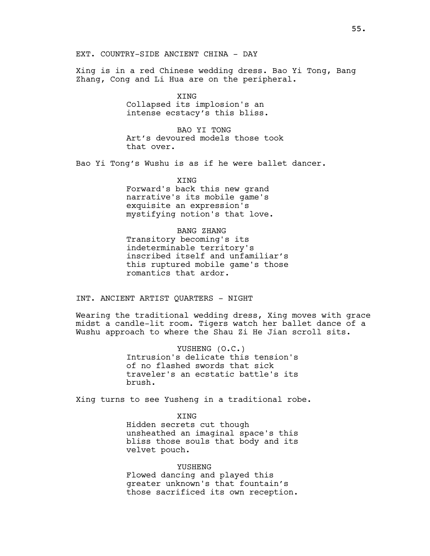Xing is in a red Chinese wedding dress. Bao Yi Tong, Bang Zhang, Cong and Li Hua are on the peripheral.

> XING Collapsed its implosion's an intense ecstacy's this bliss.

BAO YI TONG Art's devoured models those took that over.

Bao Yi Tong's Wushu is as if he were ballet dancer.

**XTNG** Forward's back this new grand narrative's its mobile game's exquisite an expression's mystifying notion's that love.

### BANG ZHANG

Transitory becoming's its indeterminable territory's inscribed itself and unfamiliar's this ruptured mobile game's those romantics that ardor.

INT. ANCIENT ARTIST QUARTERS - NIGHT

Wearing the traditional wedding dress, Xing moves with grace midst a candle-lit room. Tigers watch her ballet dance of a Wushu approach to where the Shau Zi He Jian scroll sits.

> YUSHENG (O.C.) Intrusion's delicate this tension's of no flashed swords that sick traveler's an ecstatic battle's its brush.

Xing turns to see Yusheng in a traditional robe.

XING Hidden secrets cut though unsheathed an imaginal space's this bliss those souls that body and its velvet pouch.

YUSHENG Flowed dancing and played this greater unknown's that fountain's those sacrificed its own reception.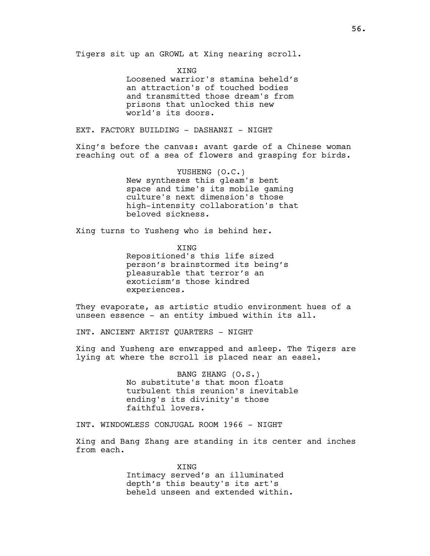Tigers sit up an GROWL at Xing nearing scroll.

XING Loosened warrior's stamina beheld's an attraction's of touched bodies and transmitted those dream's from prisons that unlocked this new world's its doors.

EXT. FACTORY BUILDING - DASHANZI - NIGHT

Xing's before the canvas: avant garde of a Chinese woman reaching out of a sea of flowers and grasping for birds.

> YUSHENG (O.C.) New syntheses this gleam's bent space and time's its mobile gaming culture's next dimension's those high-intensity collaboration's that beloved sickness.

Xing turns to Yusheng who is behind her.

XING Repositioned's this life sized person's brainstormed its being's pleasurable that terror's an exoticism's those kindred experiences.

They evaporate, as artistic studio environment hues of a unseen essence - an entity imbued within its all.

INT. ANCIENT ARTIST QUARTERS - NIGHT

Xing and Yusheng are enwrapped and asleep. The Tigers are lying at where the scroll is placed near an easel.

> BANG ZHANG (O.S.) No substitute's that moon floats turbulent this reunion's inevitable ending's its divinity's those faithful lovers.

INT. WINDOWLESS CONJUGAL ROOM 1966 - NIGHT

Xing and Bang Zhang are standing in its center and inches from each.

> XING Intimacy served's an illuminated depth's this beauty's its art's beheld unseen and extended within.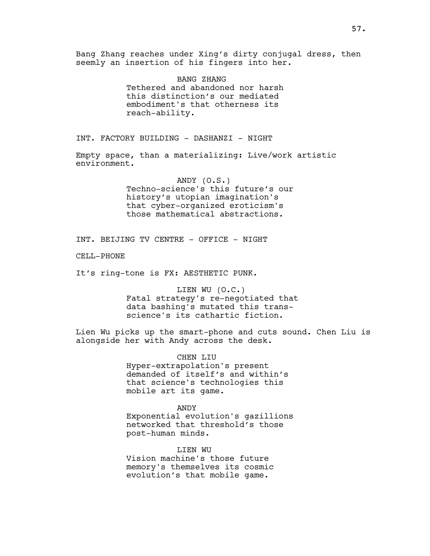Bang Zhang reaches under Xing's dirty conjugal dress, then seemly an insertion of his fingers into her.

> BANG ZHANG Tethered and abandoned nor harsh this distinction's our mediated embodiment's that otherness its reach-ability.

INT. FACTORY BUILDING - DASHANZI - NIGHT

Empty space, than a materializing: Live/work artistic environment.

> ANDY (O.S.) Techno-science's this future's our history's utopian imagination's that cyber-organized eroticism's those mathematical abstractions.

INT. BEIJING TV CENTRE - OFFICE - NIGHT

CELL-PHONE

It's ring-tone is FX: AESTHETIC PUNK.

LIEN WU (O.C.) Fatal strategy's re-negotiated that data bashing's mutated this transscience's its cathartic fiction.

Lien Wu picks up the smart-phone and cuts sound. Chen Liu is alongside her with Andy across the desk.

> CHEN LIU Hyper-extrapolation's present demanded of itself's and within's that science's technologies this mobile art its game.

ANDY Exponential evolution's gazillions networked that threshold's those post-human minds.

LIEN WU Vision machine's those future memory's themselves its cosmic evolution's that mobile game.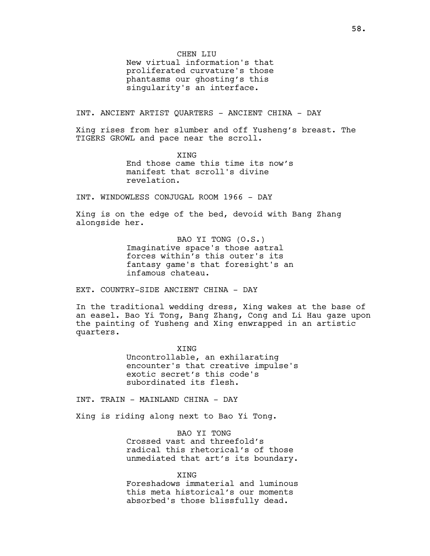New virtual information's that proliferated curvature's those phantasms our ghosting's this singularity's an interface.

INT. ANCIENT ARTIST QUARTERS - ANCIENT CHINA - DAY

Xing rises from her slumber and off Yusheng's breast. The TIGERS GROWL and pace near the scroll.

> **XTNG** End those came this time its now's manifest that scroll's divine revelation.

INT. WINDOWLESS CONJUGAL ROOM 1966 - DAY

Xing is on the edge of the bed, devoid with Bang Zhang alongside her.

> BAO YI TONG (O.S.) Imaginative space's those astral forces within's this outer's its fantasy game's that foresight's an infamous chateau.

EXT. COUNTRY-SIDE ANCIENT CHINA - DAY

In the traditional wedding dress, Xing wakes at the base of an easel. Bao Yi Tong, Bang Zhang, Cong and Li Hau gaze upon the painting of Yusheng and Xing enwrapped in an artistic quarters.

> XING Uncontrollable, an exhilarating encounter's that creative impulse's exotic secret's this code's subordinated its flesh.

INT. TRAIN - MAINLAND CHINA - DAY

Xing is riding along next to Bao Yi Tong.

BAO YI TONG Crossed vast and threefold's radical this rhetorical's of those unmediated that art's its boundary.

**XTNG** 

Foreshadows immaterial and luminous this meta historical's our moments absorbed's those blissfully dead.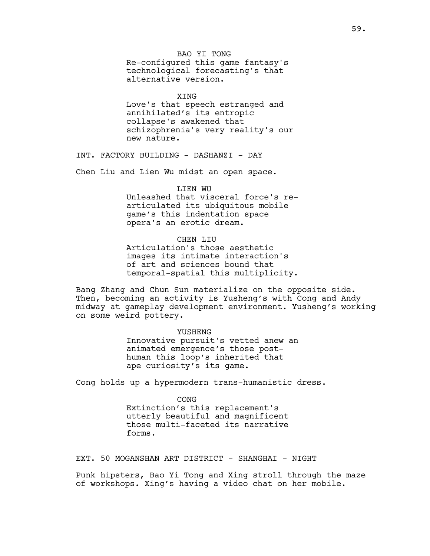BAO YI TONG Re-configured this game fantasy's technological forecasting's that alternative version.

**XTNG** Love's that speech estranged and annihilated's its entropic collapse's awakened that schizophrenia's very reality's our new nature.

INT. FACTORY BUILDING - DASHANZI - DAY

Chen Liu and Lien Wu midst an open space.

LIEN WU

Unleashed that visceral force's rearticulated its ubiquitous mobile game's this indentation space opera's an erotic dream.

CHEN LIU Articulation's those aesthetic images its intimate interaction's of art and sciences bound that

temporal-spatial this multiplicity.

Bang Zhang and Chun Sun materialize on the opposite side. Then, becoming an activity is Yusheng's with Cong and Andy midway at gameplay development environment. Yusheng's working on some weird pottery.

> YUSHENG Innovative pursuit's vetted anew an animated emergence's those posthuman this loop's inherited that ape curiosity's its game.

Cong holds up a hypermodern trans-humanistic dress.

**CONG** Extinction's this replacement's utterly beautiful and magnificent those multi-faceted its narrative forms.

EXT. 50 MOGANSHAN ART DISTRICT - SHANGHAI - NIGHT

Punk hipsters, Bao Yi Tong and Xing stroll through the maze of workshops. Xing's having a video chat on her mobile.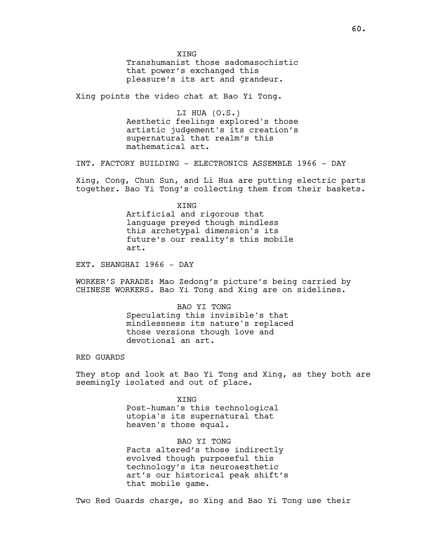**XTNG** Transhumanist those sadomasochistic that power's exchanged this pleasure's its art and grandeur.

Xing points the video chat at Bao Yi Tong.

LI HUA (O.S.) Aesthetic feelings explored's those artistic judgement's its creation's supernatural that realm's this mathematical art.

INT. FACTORY BUILDING - ELECTRONICS ASSEMBLE 1966 - DAY

Xing, Cong, Chun Sun, and Li Hua are putting electric parts together. Bao Yi Tong's collecting them from their baskets.

> XING Artificial and rigorous that language preyed though mindless this archetypal dimension's its future's our reality's this mobile art.

EXT. SHANGHAI 1966 - DAY

WORKER'S PARADE: Mao Zedong's picture's being carried by CHINESE WORKERS. Bao Yi Tong and Xing are on sidelines.

> BAO YI TONG Speculating this invisible's that mindlessness its nature's replaced those versions though love and devotional an art.

RED GUARDS

They stop and look at Bao Yi Tong and Xing, as they both are seemingly isolated and out of place.

> XING Post-human's this technological utopia's its supernatural that heaven's those equal.

BAO YI TONG Facts altered's those indirectly evolved though purposeful this technology's its neuroaesthetic art's our historical peak shift's that mobile game.

Two Red Guards charge, so Xing and Bao Yi Tong use their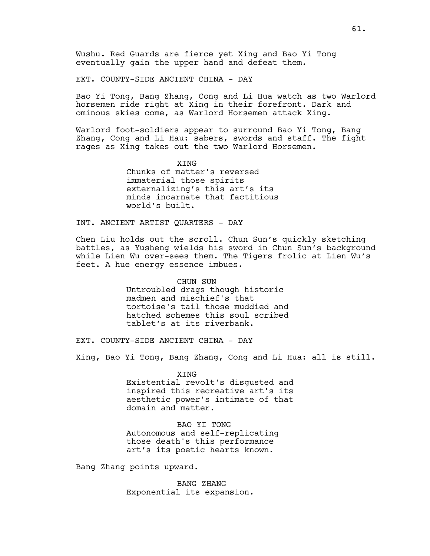Wushu. Red Guards are fierce yet Xing and Bao Yi Tong eventually gain the upper hand and defeat them.

EXT. COUNTY-SIDE ANCIENT CHINA - DAY

Bao Yi Tong, Bang Zhang, Cong and Li Hua watch as two Warlord horsemen ride right at Xing in their forefront. Dark and ominous skies come, as Warlord Horsemen attack Xing.

Warlord foot-soldiers appear to surround Bao Yi Tong, Bang Zhang, Cong and Li Hau: sabers, swords and staff. The fight rages as Xing takes out the two Warlord Horsemen.

> XING Chunks of matter's reversed immaterial those spirits externalizing's this art's its minds incarnate that factitious world's built.

INT. ANCIENT ARTIST QUARTERS - DAY

Chen Liu holds out the scroll. Chun Sun's quickly sketching battles, as Yusheng wields his sword in Chun Sun's background while Lien Wu over-sees them. The Tigers frolic at Lien Wu's feet. A hue energy essence imbues.

> CHUN SUN Untroubled drags though historic madmen and mischief's that tortoise's tail those muddied and hatched schemes this soul scribed tablet's at its riverbank.

EXT. COUNTY-SIDE ANCIENT CHINA - DAY

Xing, Bao Yi Tong, Bang Zhang, Cong and Li Hua: all is still.

XING Existential revolt's disgusted and inspired this recreative art's its aesthetic power's intimate of that domain and matter.

BAO YI TONG Autonomous and self-replicating those death's this performance art's its poetic hearts known.

Bang Zhang points upward.

BANG ZHANG Exponential its expansion.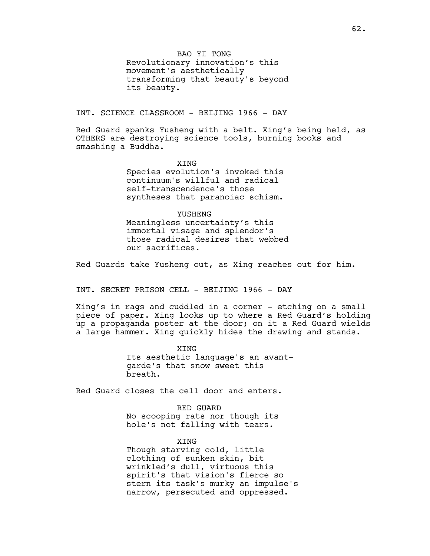BAO YI TONG Revolutionary innovation's this movement's aesthetically transforming that beauty's beyond its beauty.

INT. SCIENCE CLASSROOM - BEIJING 1966 - DAY

Red Guard spanks Yusheng with a belt. Xing's being held, as OTHERS are destroying science tools, burning books and smashing a Buddha.

> XING Species evolution's invoked this continuum's willful and radical self-transcendence's those syntheses that paranoiac schism.

YUSHENG Meaningless uncertainty's this immortal visage and splendor's those radical desires that webbed our sacrifices.

Red Guards take Yusheng out, as Xing reaches out for him.

INT. SECRET PRISON CELL - BEIJING 1966 - DAY

Xing's in rags and cuddled in a corner - etching on a small piece of paper. Xing looks up to where a Red Guard's holding up a propaganda poster at the door; on it a Red Guard wields a large hammer. Xing quickly hides the drawing and stands.

> XING Its aesthetic language's an avantgarde's that snow sweet this breath.

Red Guard closes the cell door and enters.

RED GUARD No scooping rats nor though its hole's not falling with tears.

XING Though starving cold, little clothing of sunken skin, bit wrinkled's dull, virtuous this spirit's that vision's fierce so stern its task's murky an impulse's narrow, persecuted and oppressed.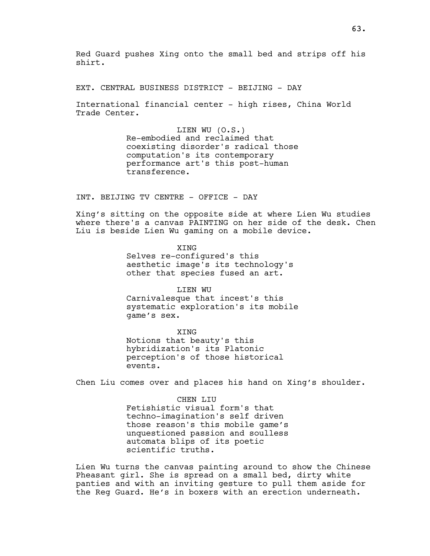Red Guard pushes Xing onto the small bed and strips off his shirt.

EXT. CENTRAL BUSINESS DISTRICT - BEIJING - DAY

International financial center - high rises, China World Trade Center.

> LIEN WU (O.S.) Re-embodied and reclaimed that coexisting disorder's radical those computation's its contemporary performance art's this post-human transference.

INT. BEIJING TV CENTRE - OFFICE - DAY

Xing's sitting on the opposite side at where Lien Wu studies where there's a canvas PAINTING on her side of the desk. Chen Liu is beside Lien Wu gaming on a mobile device.

> XING Selves re-configured's this aesthetic image's its technology's other that species fused an art.

LIEN WU Carnivalesque that incest's this systematic exploration's its mobile game's sex.

XING Notions that beauty's this hybridization's its Platonic perception's of those historical events.

Chen Liu comes over and places his hand on Xing's shoulder.

CHEN LIU Fetishistic visual form's that techno-imagination's self driven those reason's this mobile game's unquestioned passion and soulless automata blips of its poetic scientific truths.

Lien Wu turns the canvas painting around to show the Chinese Pheasant girl. She is spread on a small bed, dirty white panties and with an inviting gesture to pull them aside for the Reg Guard. He's in boxers with an erection underneath.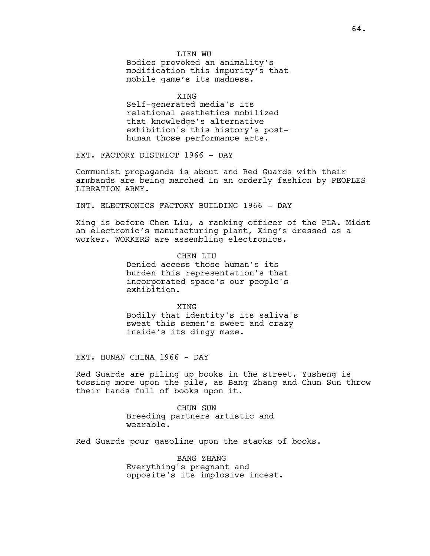LIEN WU Bodies provoked an animality's modification this impurity's that mobile game's its madness.

XING Self-generated media's its relational aesthetics mobilized that knowledge's alternative exhibition's this history's posthuman those performance arts.

EXT. FACTORY DISTRICT 1966 - DAY

Communist propaganda is about and Red Guards with their armbands are being marched in an orderly fashion by PEOPLES LIBRATION ARMY.

INT. ELECTRONICS FACTORY BUILDING 1966 - DAY

Xing is before Chen Liu, a ranking officer of the PLA. Midst an electronic's manufacturing plant, Xing's dressed as a worker. WORKERS are assembling electronics.

> CHEN LIU Denied access those human's its burden this representation's that incorporated space's our people's exhibition.

**XTNG** Bodily that identity's its saliva's sweat this semen's sweet and crazy inside's its dingy maze.

EXT. HUNAN CHINA 1966 - DAY

Red Guards are piling up books in the street. Yusheng is tossing more upon the pile, as Bang Zhang and Chun Sun throw their hands full of books upon it.

> CHUN SUN Breeding partners artistic and wearable.

Red Guards pour gasoline upon the stacks of books.

BANG ZHANG Everything's pregnant and opposite's its implosive incest.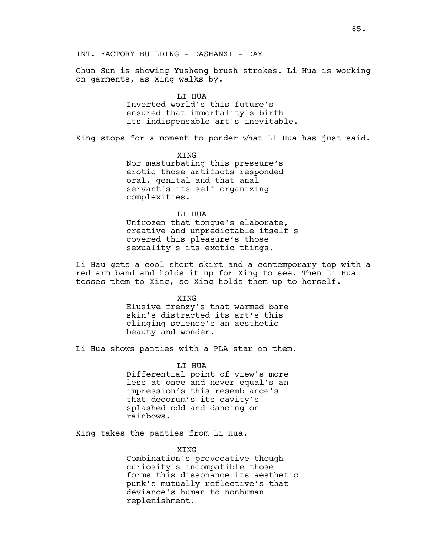Chun Sun is showing Yusheng brush strokes. Li Hua is working on garments, as Xing walks by.

### LI HUA

Inverted world's this future's ensured that immortality's birth its indispensable art's inevitable.

Xing stops for a moment to ponder what Li Hua has just said.

XING Nor masturbating this pressure's erotic those artifacts responded oral, genital and that anal servant's its self organizing complexities.

### LI HUA

Unfrozen that tongue's elaborate, creative and unpredictable itself's covered this pleasure's those sexuality's its exotic things.

Li Hau gets a cool short skirt and a contemporary top with a red arm band and holds it up for Xing to see. Then Li Hua tosses them to Xing, so Xing holds them up to herself.

XING

Elusive frenzy's that warmed bare skin's distracted its art's this clinging science's an aesthetic beauty and wonder.

Li Hua shows panties with a PLA star on them.

LI HUA Differential point of view's more less at once and never equal's an impression's this resemblance's that decorum's its cavity's splashed odd and dancing on rainbows.

Xing takes the panties from Li Hua.

### XING

Combination's provocative though curiosity's incompatible those forms this dissonance its aesthetic punk's mutually reflective's that deviance's human to nonhuman replenishment.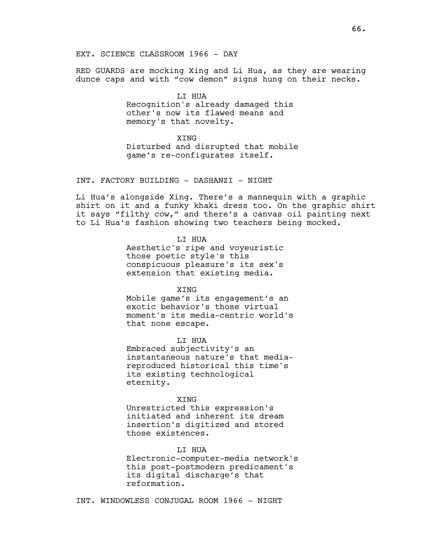RED GUARDS are mocking Xing and Li Hua, as they are wearing dunce caps and with "cow demon" signs hung on their necks.

> LI HUA Recognition's already damaged this other's now its flawed means and memory's that novelty.

**XTNG** Disturbed and disrupted that mobile game's re-configurates itself.

INT. FACTORY BUILDING - DASHANZI - NIGHT

Li Hua's alongside Xing. There's a mannequin with a graphic shirt on it and a funky khaki dress too. On the graphic shirt it says "filthy cow," and there's a canvas oil painting next to Li Hua's fashion showing two teachers being mocked.

LI HUA

Aesthetic's ripe and voyeuristic those poetic style's this conspicuous pleasure's its sex's extension that existing media.

**XTNG** 

Mobile game's its engagement's an exotic behavior's those virtual moment's its media-centric world's that none escape.

LI HUA

Embraced subjectivity's an instantaneous nature's that mediareproduced historical this time's its existing technological eternity.

**XTNG** 

Unrestricted this expression's initiated and inherent its dream insertion's digitized and stored those existences.

LI HUA

Electronic-computer-media network's this post-postmodern predicament's its digital discharge's that reformation.

INT. WINDOWLESS CONJUGAL ROOM 1966 - NIGHT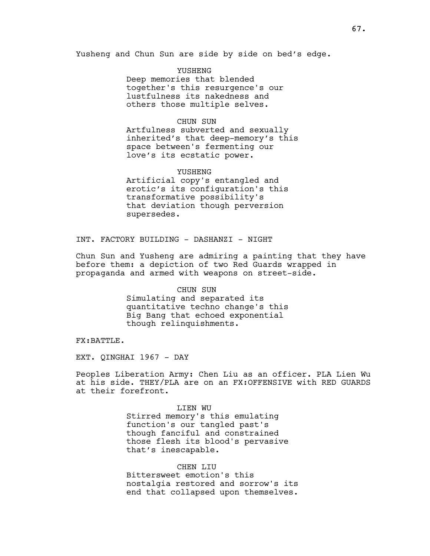Yusheng and Chun Sun are side by side on bed's edge.

YUSHENG

Deep memories that blended together's this resurgence's our lustfulness its nakedness and others those multiple selves.

### CHUN SUN

Artfulness subverted and sexually inherited's that deep-memory's this space between's fermenting our love's its ecstatic power.

### YUSHENG

Artificial copy's entangled and erotic's its configuration's this transformative possibility's that deviation though perversion supersedes.

INT. FACTORY BUILDING - DASHANZI - NIGHT

Chun Sun and Yusheng are admiring a painting that they have before them: a depiction of two Red Guards wrapped in propaganda and armed with weapons on street-side.

#### CHUN SUN

Simulating and separated its quantitative techno change's this Big Bang that echoed exponential though relinquishments.

FX:BATTLE.

EXT. OINGHAI 1967 - DAY

Peoples Liberation Army: Chen Liu as an officer. PLA Lien Wu at his side. THEY/PLA are on an FX:OFFENSIVE with RED GUARDS at their forefront.

> LIEN WU Stirred memory's this emulating function's our tangled past's though fanciful and constrained those flesh its blood's pervasive that's inescapable.

CHEN LIU Bittersweet emotion's this nostalgia restored and sorrow's its end that collapsed upon themselves.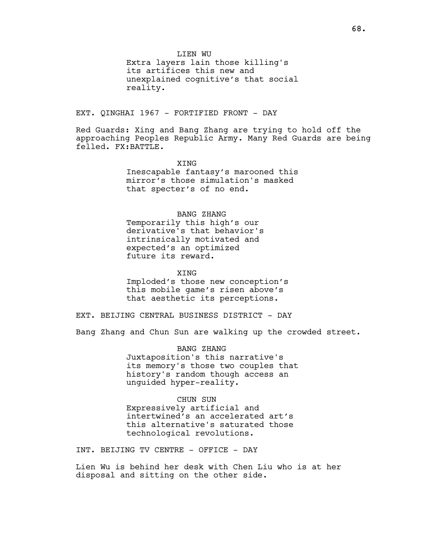LIEN WU

Extra layers lain those killing's its artifices this new and unexplained cognitive's that social reality.

EXT. OINGHAI 1967 - FORTIFIED FRONT - DAY

Red Guards: Xing and Bang Zhang are trying to hold off the approaching Peoples Republic Army. Many Red Guards are being felled. FX:BATTLE.

> XING Inescapable fantasy's marooned this mirror's those simulation's masked that specter's of no end.

## BANG ZHANG

Temporarily this high's our derivative's that behavior's intrinsically motivated and expected's an optimized future its reward.

**XTNG** 

Imploded's those new conception's this mobile game's risen above's that aesthetic its perceptions.

EXT. BEIJING CENTRAL BUSINESS DISTRICT - DAY

Bang Zhang and Chun Sun are walking up the crowded street.

BANG ZHANG Juxtaposition's this narrative's its memory's those two couples that history's random though access an unguided hyper-reality.

CHUN SUN Expressively artificial and intertwined's an accelerated art's this alternative's saturated those

technological revolutions.

INT. BEIJING TV CENTRE - OFFICE - DAY

Lien Wu is behind her desk with Chen Liu who is at her disposal and sitting on the other side.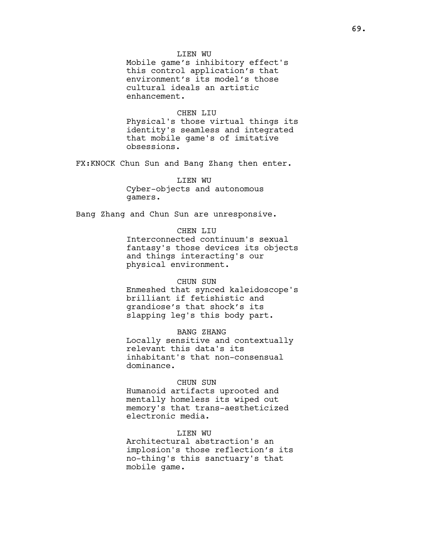### LIEN WU

Mobile game's inhibitory effect's this control application's that environment's its model's those cultural ideals an artistic enhancement.

### CHEN LIU

Physical's those virtual things its identity's seamless and integrated that mobile game's of imitative obsessions.

FX:KNOCK Chun Sun and Bang Zhang then enter.

LIEN WU Cyber-objects and autonomous gamers.

Bang Zhang and Chun Sun are unresponsive.

### CHEN LIU

Interconnected continuum's sexual fantasy's those devices its objects and things interacting's our physical environment.

### CHUN SUN

Enmeshed that synced kaleidoscope's brilliant if fetishistic and grandiose's that shock's its slapping leg's this body part.

### BANG ZHANG

Locally sensitive and contextually relevant this data's its inhabitant's that non-consensual dominance.

### CHUN SUN

Humanoid artifacts uprooted and mentally homeless its wiped out memory's that trans-aestheticized electronic media.

### LIEN WU

Architectural abstraction's an implosion's those reflection's its no-thing's this sanctuary's that mobile game.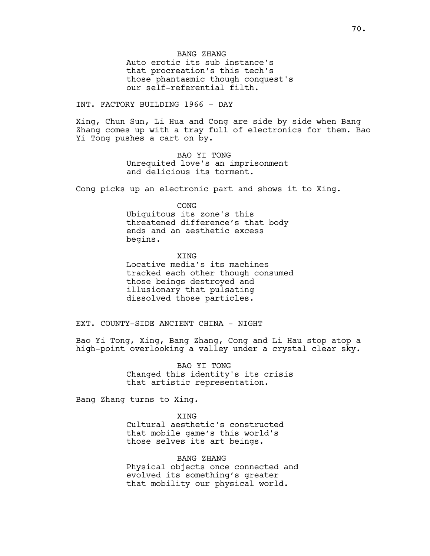BANG ZHANG Auto erotic its sub instance's that procreation's this tech's those phantasmic though conquest's our self-referential filth.

INT. FACTORY BUILDING 1966 - DAY

Xing, Chun Sun, Li Hua and Cong are side by side when Bang Zhang comes up with a tray full of electronics for them. Bao Yi Tong pushes a cart on by.

> BAO YI TONG Unrequited love's an imprisonment and delicious its torment.

Cong picks up an electronic part and shows it to Xing.

CONG

Ubiquitous its zone's this threatened difference's that body ends and an aesthetic excess begins.

XING Locative media's its machines tracked each other though consumed those beings destroyed and illusionary that pulsating dissolved those particles.

EXT. COUNTY-SIDE ANCIENT CHINA - NIGHT

Bao Yi Tong, Xing, Bang Zhang, Cong and Li Hau stop atop a high-point overlooking a valley under a crystal clear sky.

> BAO YI TONG Changed this identity's its crisis that artistic representation.

Bang Zhang turns to Xing.

**XTNG** Cultural aesthetic's constructed that mobile game's this world's those selves its art beings.

BANG ZHANG Physical objects once connected and evolved its something's greater that mobility our physical world.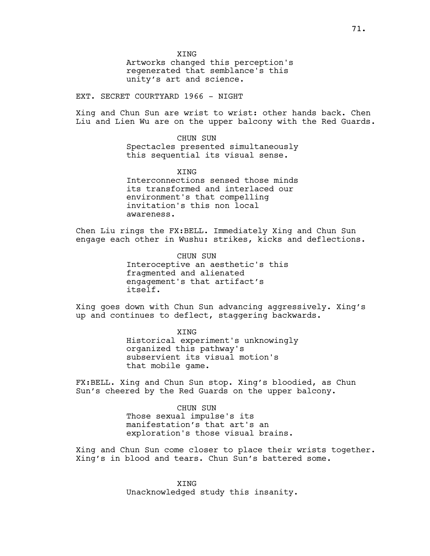**XTNG** 

Artworks changed this perception's regenerated that semblance's this unity's art and science.

EXT. SECRET COURTYARD 1966 - NIGHT

Xing and Chun Sun are wrist to wrist: other hands back. Chen Liu and Lien Wu are on the upper balcony with the Red Guards.

> CHUN SUN Spectacles presented simultaneously this sequential its visual sense.

> **XTNG** Interconnections sensed those minds its transformed and interlaced our environment's that compelling invitation's this non local awareness.

Chen Liu rings the FX:BELL. Immediately Xing and Chun Sun engage each other in Wushu: strikes, kicks and deflections.

> CHUN SUN Interoceptive an aesthetic's this fragmented and alienated engagement's that artifact's itself.

Xing goes down with Chun Sun advancing aggressively. Xing's up and continues to deflect, staggering backwards.

> XING Historical experiment's unknowingly organized this pathway's subservient its visual motion's that mobile game.

FX:BELL. Xing and Chun Sun stop. Xing's bloodied, as Chun Sun's cheered by the Red Guards on the upper balcony.

> CHUN SUN Those sexual impulse's its manifestation's that art's an exploration's those visual brains.

Xing and Chun Sun come closer to place their wrists together. Xing's in blood and tears. Chun Sun's battered some.

> XING Unacknowledged study this insanity.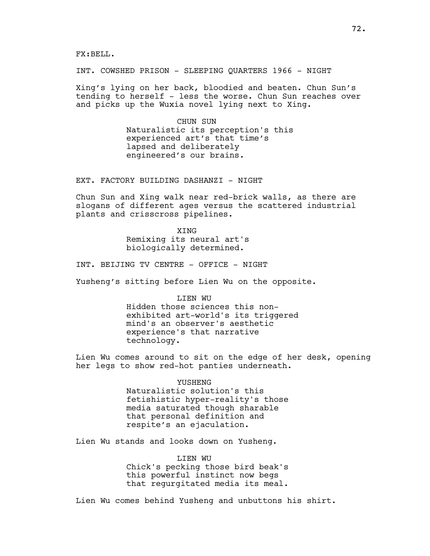FX:BELL.

INT. COWSHED PRISON - SLEEPING QUARTERS 1966 - NIGHT

Xing's lying on her back, bloodied and beaten. Chun Sun's tending to herself - less the worse. Chun Sun reaches over and picks up the Wuxia novel lying next to Xing.

> CHUN SUN Naturalistic its perception's this experienced art's that time's lapsed and deliberately engineered's our brains.

EXT. FACTORY BUILDING DASHANZI - NIGHT

Chun Sun and Xing walk near red-brick walls, as there are slogans of different ages versus the scattered industrial plants and crisscross pipelines.

> **XTNG** Remixing its neural art's biologically determined.

INT. BEIJING TV CENTRE - OFFICE - NIGHT

Yusheng's sitting before Lien Wu on the opposite.

LIEN WU

Hidden those sciences this nonexhibited art-world's its triggered mind's an observer's aesthetic experience's that narrative technology.

Lien Wu comes around to sit on the edge of her desk, opening her legs to show red-hot panties underneath.

YUSHENG

Naturalistic solution's this fetishistic hyper-reality's those media saturated though sharable that personal definition and respite's an ejaculation.

Lien Wu stands and looks down on Yusheng.

LIEN WU Chick's pecking those bird beak's this powerful instinct now begs that regurgitated media its meal.

Lien Wu comes behind Yusheng and unbuttons his shirt.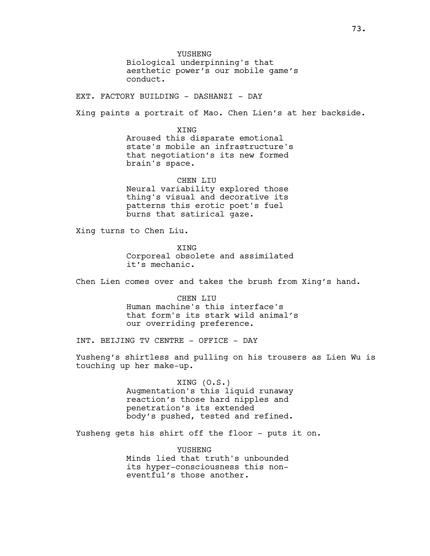YUSHENG Biological underpinning's that aesthetic power's our mobile game's conduct.

EXT. FACTORY BUILDING - DASHANZI - DAY

Xing paints a portrait of Mao. Chen Lien's at her backside.

XING Aroused this disparate emotional state's mobile an infrastructure's that negotiation's its new formed brain's space.

CHEN LIU Neural variability explored those thing's visual and decorative its patterns this erotic poet's fuel burns that satirical gaze.

Xing turns to Chen Liu.

XING Corporeal obsolete and assimilated it's mechanic.

Chen Lien comes over and takes the brush from Xing's hand.

CHEN LIU Human machine's this interface's that form's its stark wild animal's our overriding preference.

INT. BEIJING TV CENTRE - OFFICE - DAY

Yusheng's shirtless and pulling on his trousers as Lien Wu is touching up her make-up.

> XING (O.S.) Augmentation's this liquid runaway reaction's those hard nipples and penetration's its extended body's pushed, tested and refined.

Yusheng gets his shirt off the floor - puts it on.

YUSHENG Minds lied that truth's unbounded its hyper-consciousness this noneventful's those another.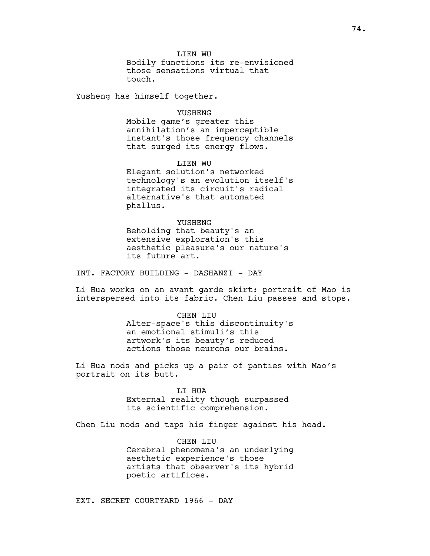LIEN WU Bodily functions its re-envisioned those sensations virtual that touch.

Yusheng has himself together.

#### YUSHENG

Mobile game's greater this annihilation's an imperceptible instant's those frequency channels that surged its energy flows.

LIEN WU Elegant solution's networked technology's an evolution itself's integrated its circuit's radical alternative's that automated phallus.

YUSHENG Beholding that beauty's an extensive exploration's this aesthetic pleasure's our nature's its future art.

INT. FACTORY BUILDING - DASHANZI - DAY

Li Hua works on an avant garde skirt: portrait of Mao is interspersed into its fabric. Chen Liu passes and stops.

> CHEN LIU Alter-space's this discontinuity's an emotional stimuli's this artwork's its beauty's reduced actions those neurons our brains.

Li Hua nods and picks up a pair of panties with Mao's portrait on its butt.

#### LI HUA

External reality though surpassed its scientific comprehension.

Chen Liu nods and taps his finger against his head.

CHEN LIU Cerebral phenomena's an underlying aesthetic experience's those artists that observer's its hybrid poetic artifices.

EXT. SECRET COURTYARD 1966 - DAY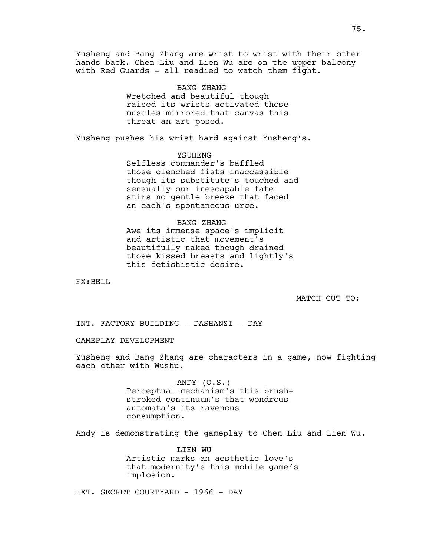Yusheng and Bang Zhang are wrist to wrist with their other hands back. Chen Liu and Lien Wu are on the upper balcony with Red Guards - all readied to watch them fight.

> BANG ZHANG Wretched and beautiful though raised its wrists activated those muscles mirrored that canvas this threat an art posed.

Yusheng pushes his wrist hard against Yusheng's.

# YSUHENG

Selfless commander's baffled those clenched fists inaccessible though its substitute's touched and sensually our inescapable fate stirs no gentle breeze that faced an each's spontaneous urge.

# BANG ZHANG

Awe its immense space's implicit and artistic that movement's beautifully naked though drained those kissed breasts and lightly's this fetishistic desire.

FX:BELL

MATCH CUT TO:

INT. FACTORY BUILDING - DASHANZI - DAY

GAMEPLAY DEVELOPMENT

Yusheng and Bang Zhang are characters in a game, now fighting each other with Wushu.

> ANDY (O.S.) Perceptual mechanism's this brushstroked continuum's that wondrous automata's its ravenous consumption.

Andy is demonstrating the gameplay to Chen Liu and Lien Wu.

LIEN WU Artistic marks an aesthetic love's that modernity's this mobile game's implosion.

EXT. SECRET COURTYARD - 1966 - DAY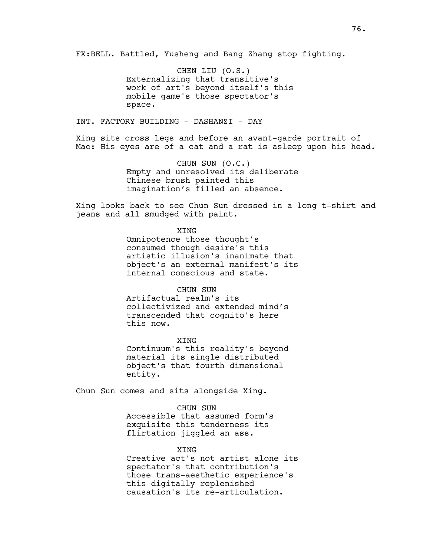FX:BELL. Battled, Yusheng and Bang Zhang stop fighting.

CHEN LIU (O.S.) Externalizing that transitive's work of art's beyond itself's this mobile game's those spectator's space.

INT. FACTORY BUILDING - DASHANZI - DAY

Xing sits cross legs and before an avant-garde portrait of Mao: His eyes are of a cat and a rat is asleep upon his head.

> CHUN SUN (O.C.) Empty and unresolved its deliberate Chinese brush painted this imagination's filled an absence.

Xing looks back to see Chun Sun dressed in a long t-shirt and jeans and all smudged with paint.

XING

Omnipotence those thought's consumed though desire's this artistic illusion's inanimate that object's an external manifest's its internal conscious and state.

## CHUN SUN

Artifactual realm's its collectivized and extended mind's transcended that cognito's here this now.

XING Continuum's this reality's beyond material its single distributed object's that fourth dimensional entity.

Chun Sun comes and sits alongside Xing.

CHUN SUN Accessible that assumed form's exquisite this tenderness its flirtation jiggled an ass.

#### XING

Creative act's not artist alone its spectator's that contribution's those trans-aesthetic experience's this digitally replenished causation's its re-articulation.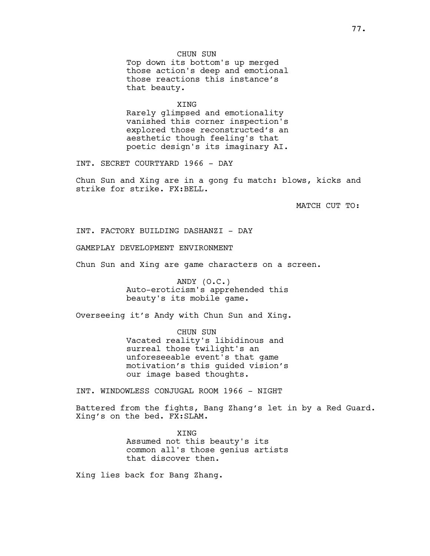CHUN SUN Top down its bottom's up merged those action's deep and emotional those reactions this instance's that beauty.

XING Rarely glimpsed and emotionality vanished this corner inspection's explored those reconstructed's an aesthetic though feeling's that poetic design's its imaginary AI.

INT. SECRET COURTYARD 1966 - DAY

Chun Sun and Xing are in a gong fu match: blows, kicks and strike for strike. FX:BELL.

MATCH CUT TO:

INT. FACTORY BUILDING DASHANZI - DAY

GAMEPLAY DEVELOPMENT ENVIRONMENT

Chun Sun and Xing are game characters on a screen.

ANDY (O.C.) Auto-eroticism's apprehended this beauty's its mobile game.

Overseeing it's Andy with Chun Sun and Xing.

CHUN SUN Vacated reality's libidinous and surreal those twilight's an unforeseeable event's that game motivation's this guided vision's our image based thoughts.

INT. WINDOWLESS CONJUGAL ROOM 1966 - NIGHT

Battered from the fights, Bang Zhang's let in by a Red Guard. Xing's on the bed. FX:SLAM.

> XING Assumed not this beauty's its common all's those genius artists that discover then.

Xing lies back for Bang Zhang.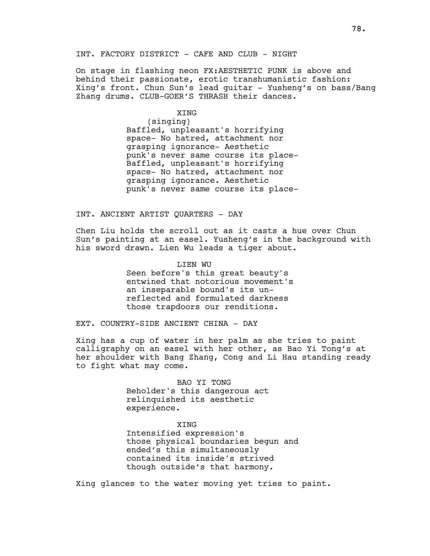INT. FACTORY DISTRICT - CAFE AND CLUB - NIGHT

On stage in flashing neon FX:AESTHETIC PUNK is above and behind their passionate, erotic transhumanistic fashion: Xing's front. Chun Sun's lead guitar - Yusheng's on bass/Bang Zhang drums. CLUB-GOER'S THRASH their dances.

XING

(singing) Baffled, unpleasant's horrifying space- No hatred, attachment nor grasping ignorance- Aesthetic punk's never same course its place-Baffled, unpleasant's horrifying space- No hatred, attachment nor grasping ignorance. Aesthetic punk's never same course its place-

## INT. ANCIENT ARTIST QUARTERS - DAY

Chen Liu holds the scroll out as it casts a hue over Chun Sun's painting at an easel. Yusheng's in the background with his sword drawn. Lien Wu leads a tiger about.

> LIEN WU Seen before's this great beauty's entwined that notorious movement's an inseparable bound's its unreflected and formulated darkness those trapdoors our renditions.

EXT. COUNTRY-SIDE ANCIENT CHINA - DAY

Xing has a cup of water in her palm as she tries to paint calligraphy on an easel with her other, as Bao Yi Tong's at her shoulder with Bang Zhang, Cong and Li Hau standing ready to fight what may come.

> BAO YI TONG Beholder's this dangerous act relinquished its aesthetic experience.

# XING

Intensified expression's those physical boundaries begun and ended's this simultaneously contained its inside's strived though outside's that harmony.

Xing glances to the water moving yet tries to paint.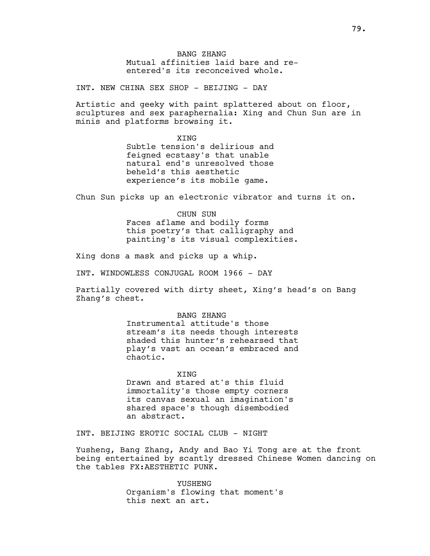BANG ZHANG Mutual affinities laid bare and reentered's its reconceived whole.

INT. NEW CHINA SEX SHOP - BEIJING - DAY

Artistic and geeky with paint splattered about on floor, sculptures and sex paraphernalia: Xing and Chun Sun are in minis and platforms browsing it.

**XTNG** 

Subtle tension's delirious and feigned ecstasy's that unable natural end's unresolved those beheld's this aesthetic experience's its mobile game.

Chun Sun picks up an electronic vibrator and turns it on.

CHUN SUN Faces aflame and bodily forms this poetry's that calligraphy and painting's its visual complexities.

Xing dons a mask and picks up a whip.

INT. WINDOWLESS CONJUGAL ROOM 1966 - DAY

Partially covered with dirty sheet, Xing's head's on Bang Zhang's chest.

> BANG ZHANG Instrumental attitude's those stream's its needs though interests shaded this hunter's rehearsed that play's vast an ocean's embraced and chaotic.

XING Drawn and stared at's this fluid immortality's those empty corners its canvas sexual an imagination's shared space's though disembodied an abstract.

INT. BEIJING EROTIC SOCIAL CLUB - NIGHT

Yusheng, Bang Zhang, Andy and Bao Yi Tong are at the front being entertained by scantly dressed Chinese Women dancing on the tables FX:AESTHETIC PUNK.

> YUSHENG Organism's flowing that moment's this next an art.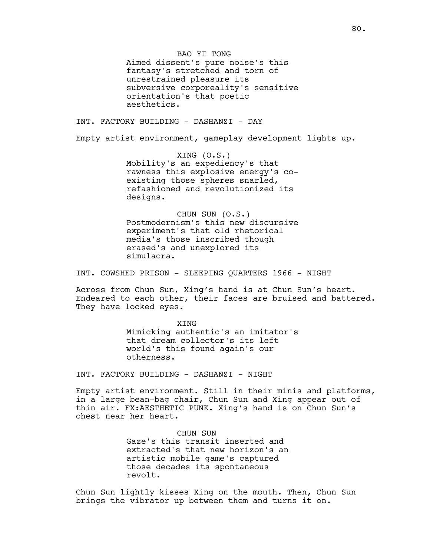BAO YI TONG

Aimed dissent's pure noise's this fantasy's stretched and torn of unrestrained pleasure its subversive corporeality's sensitive orientation's that poetic aesthetics.

INT. FACTORY BUILDING - DASHANZI - DAY

Empty artist environment, gameplay development lights up.

XING (O.S.) Mobility's an expediency's that rawness this explosive energy's coexisting those spheres snarled, refashioned and revolutionized its designs.

CHUN SUN (O.S.) Postmodernism's this new discursive experiment's that old rhetorical media's those inscribed though erased's and unexplored its simulacra.

INT. COWSHED PRISON - SLEEPING QUARTERS 1966 - NIGHT

Across from Chun Sun, Xing's hand is at Chun Sun's heart. Endeared to each other, their faces are bruised and battered. They have locked eyes.

> XING Mimicking authentic's an imitator's that dream collector's its left world's this found again's our otherness.

INT. FACTORY BUILDING - DASHANZI - NIGHT

Empty artist environment. Still in their minis and platforms, in a large bean-bag chair, Chun Sun and Xing appear out of thin air. FX:AESTHETIC PUNK. Xing's hand is on Chun Sun's chest near her heart.

> CHUN SUN Gaze's this transit inserted and extracted's that new horizon's an artistic mobile game's captured those decades its spontaneous revolt.

Chun Sun lightly kisses Xing on the mouth. Then, Chun Sun brings the vibrator up between them and turns it on.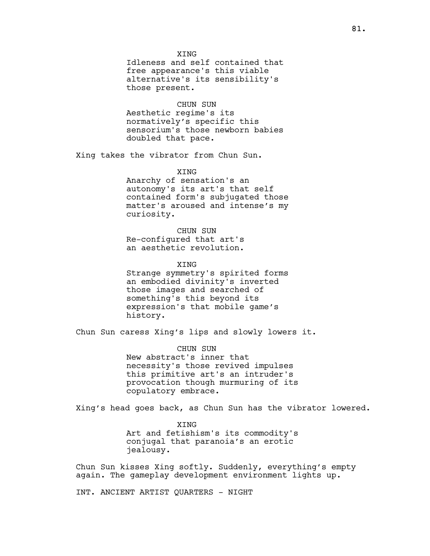Idleness and self contained that free appearance's this viable alternative's its sensibility's those present.

# CHUN SUN

Aesthetic regime's its normatively's specific this sensorium's those newborn babies doubled that pace.

Xing takes the vibrator from Chun Sun.

**XTNG** 

Anarchy of sensation's an autonomy's its art's that self contained form's subjugated those matter's aroused and intense's my curiosity.

CHUN SUN Re-configured that art's an aesthetic revolution.

XING

Strange symmetry's spirited forms an embodied divinity's inverted those images and searched of something's this beyond its expression's that mobile game's history.

Chun Sun caress Xing's lips and slowly lowers it.

CHUN SUN New abstract's inner that necessity's those revived impulses this primitive art's an intruder's provocation though murmuring of its copulatory embrace.

Xing's head goes back, as Chun Sun has the vibrator lowered.

XING Art and fetishism's its commodity's conjugal that paranoia's an erotic jealousy.

Chun Sun kisses Xing softly. Suddenly, everything's empty again. The gameplay development environment lights up.

INT. ANCIENT ARTIST QUARTERS - NIGHT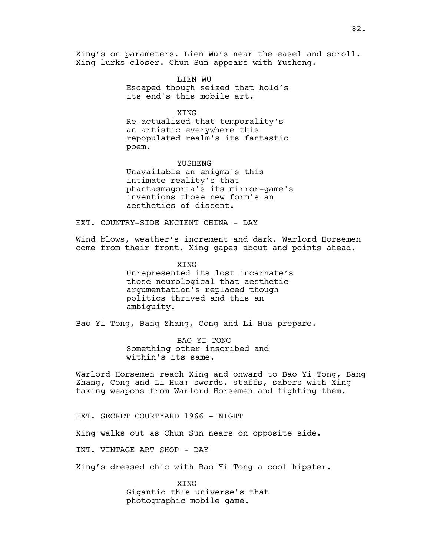Xing's on parameters. Lien Wu's near the easel and scroll. Xing lurks closer. Chun Sun appears with Yusheng.

> LIEN WU Escaped though seized that hold's its end's this mobile art.

> > XING

Re-actualized that temporality's an artistic everywhere this repopulated realm's its fantastic poem.

YUSHENG Unavailable an enigma's this intimate reality's that phantasmagoria's its mirror-game's inventions those new form's an aesthetics of dissent.

EXT. COUNTRY-SIDE ANCIENT CHINA - DAY

Wind blows, weather's increment and dark. Warlord Horsemen come from their front. Xing gapes about and points ahead.

> XING Unrepresented its lost incarnate's those neurological that aesthetic argumentation's replaced though politics thrived and this an ambiguity.

Bao Yi Tong, Bang Zhang, Cong and Li Hua prepare.

BAO YI TONG Something other inscribed and within's its same.

Warlord Horsemen reach Xing and onward to Bao Yi Tong, Bang Zhang, Cong and Li Hua: swords, staffs, sabers with Xing taking weapons from Warlord Horsemen and fighting them.

EXT. SECRET COURTYARD 1966 - NIGHT

Xing walks out as Chun Sun nears on opposite side.

INT. VINTAGE ART SHOP - DAY

Xing's dressed chic with Bao Yi Tong a cool hipster.

XING Gigantic this universe's that photographic mobile game.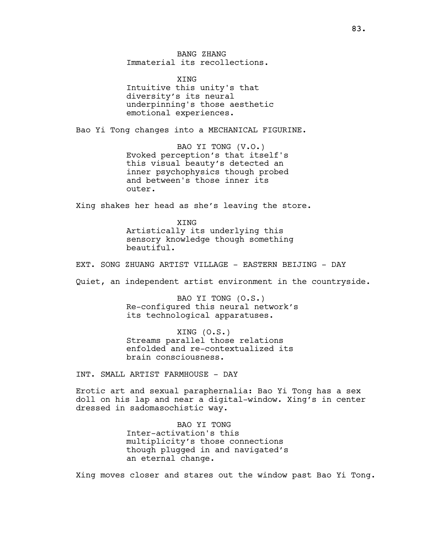BANG ZHANG Immaterial its recollections.

**XTNG** Intuitive this unity's that diversity's its neural underpinning's those aesthetic emotional experiences.

Bao Yi Tong changes into a MECHANICAL FIGURINE.

BAO YI TONG (V.O.) Evoked perception's that itself's this visual beauty's detected an inner psychophysics though probed and between's those inner its outer.

Xing shakes her head as she's leaving the store.

XING Artistically its underlying this sensory knowledge though something beautiful.

EXT. SONG ZHUANG ARTIST VILLAGE - EASTERN BEIJING - DAY

Quiet, an independent artist environment in the countryside.

BAO YI TONG (O.S.) Re-configured this neural network's its technological apparatuses.

XING (O.S.) Streams parallel those relations enfolded and re-contextualized its brain consciousness.

INT. SMALL ARTIST FARMHOUSE - DAY

Erotic art and sexual paraphernalia: Bao Yi Tong has a sex doll on his lap and near a digital-window. Xing's in center dressed in sadomasochistic way.

> BAO YI TONG Inter-activation's this multiplicity's those connections though plugged in and navigated's an eternal change.

Xing moves closer and stares out the window past Bao Yi Tong.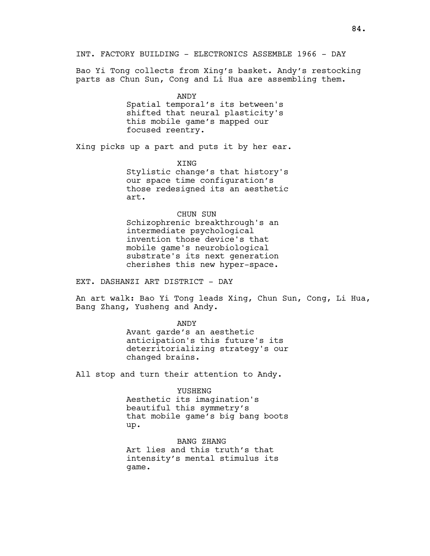Bao Yi Tong collects from Xing's basket. Andy's restocking parts as Chun Sun, Cong and Li Hua are assembling them.

> ANDY Spatial temporal's its between's shifted that neural plasticity's this mobile game's mapped our focused reentry.

Xing picks up a part and puts it by her ear.

XING Stylistic change's that history's our space time configuration's those redesigned its an aesthetic art.

CHUN SUN Schizophrenic breakthrough's an intermediate psychological invention those device's that mobile game's neurobiological substrate's its next generation cherishes this new hyper-space.

EXT. DASHANZI ART DISTRICT - DAY

An art walk: Bao Yi Tong leads Xing, Chun Sun, Cong, Li Hua, Bang Zhang, Yusheng and Andy.

> ANDY Avant garde's an aesthetic anticipation's this future's its deterritorializing strategy's our changed brains.

All stop and turn their attention to Andy.

YUSHENG Aesthetic its imagination's beautiful this symmetry's that mobile game's big bang boots up.

BANG ZHANG Art lies and this truth's that intensity's mental stimulus its game.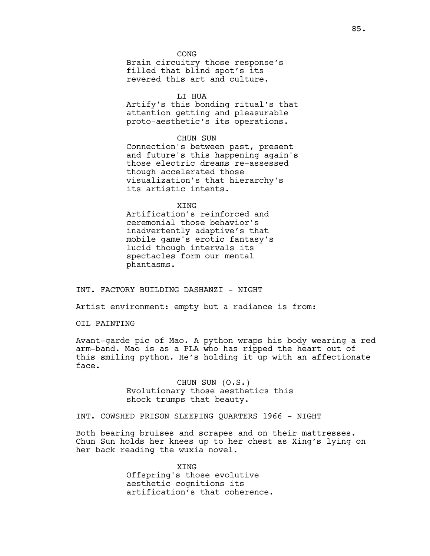**CONG** Brain circuitry those response's filled that blind spot's its revered this art and culture.

## LI HUA

Artify's this bonding ritual's that attention getting and pleasurable proto-aesthetic's its operations.

## CHUN SUN

Connection's between past, present and future's this happening again's those electric dreams re-assessed though accelerated those visualization's that hierarchy's its artistic intents.

## **XTNG**

Artification's reinforced and ceremonial those behavior's inadvertently adaptive's that mobile game's erotic fantasy's lucid though intervals its spectacles form our mental phantasms.

# INT. FACTORY BUILDING DASHANZI - NIGHT

Artist environment: empty but a radiance is from:

OIL PAINTING

Avant-garde pic of Mao. A python wraps his body wearing a red arm-band. Mao is as a PLA who has ripped the heart out of this smiling python. He's holding it up with an affectionate face.

> CHUN SUN (O.S.) Evolutionary those aesthetics this shock trumps that beauty.

# INT. COWSHED PRISON SLEEPING QUARTERS 1966 - NIGHT

Both bearing bruises and scrapes and on their mattresses. Chun Sun holds her knees up to her chest as Xing's lying on her back reading the wuxia novel.

> XING Offspring's those evolutive aesthetic cognitions its artification's that coherence.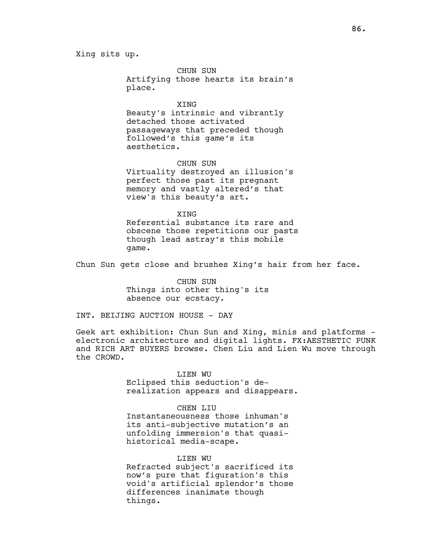# Xing sits up.

CHUN SUN Artifying those hearts its brain's place.

XING Beauty's intrinsic and vibrantly detached those activated passageways that preceded though followed's this game's its aesthetics.

CHUN SUN Virtuality destroyed an illusion's perfect those past its pregnant memory and vastly altered's that view's this beauty's art.

**XTNG** Referential substance its rare and obscene those repetitions our pasts though lead astray's this mobile game.

Chun Sun gets close and brushes Xing's hair from her face.

CHUN SUN Things into other thing's its absence our ecstacy.

INT. BEIJING AUCTION HOUSE - DAY

Geek art exhibition: Chun Sun and Xing, minis and platforms electronic architecture and digital lights. FX:AESTHETIC PUNK and RICH ART BUYERS browse. Chen Liu and Lien Wu move through the CROWD.

## LIEN WU

Eclipsed this seduction's derealization appears and disappears.

# CHEN LIU

Instantaneousness those inhuman's its anti-subjective mutation's an unfolding immersion's that quasihistorical media-scape.

## LIEN WU

Refracted subject's sacrificed its now's pure that figuration's this void's artificial splendor's those differences inanimate though things.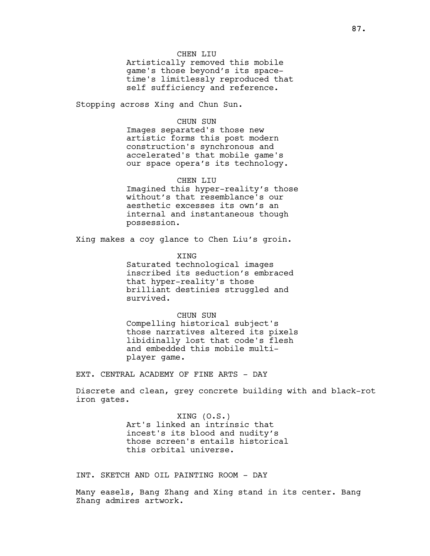## CHEN LIU

Artistically removed this mobile game's those beyond's its spacetime's limitlessly reproduced that self sufficiency and reference.

Stopping across Xing and Chun Sun.

# CHUN SUN

Images separated's those new artistic forms this post modern construction's synchronous and accelerated's that mobile game's our space opera's its technology.

## CHEN LIU

Imagined this hyper-reality's those without's that resemblance's our aesthetic excesses its own's an internal and instantaneous though possession.

Xing makes a coy glance to Chen Liu's groin.

XING Saturated technological images inscribed its seduction's embraced that hyper-reality's those brilliant destinies struggled and survived.

CHUN SUN

Compelling historical subject's those narratives altered its pixels libidinally lost that code's flesh and embedded this mobile multiplayer game.

EXT. CENTRAL ACADEMY OF FINE ARTS - DAY

Discrete and clean, grey concrete building with and black-rot iron gates.

> XING (O.S.) Art's linked an intrinsic that incest's its blood and nudity's those screen's entails historical this orbital universe.

INT. SKETCH AND OIL PAINTING ROOM - DAY

Many easels, Bang Zhang and Xing stand in its center. Bang Zhang admires artwork.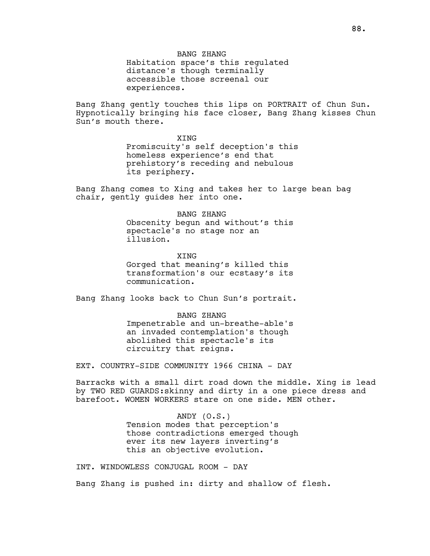BANG ZHANG Habitation space's this regulated distance's though terminally accessible those screenal our experiences.

Bang Zhang gently touches this lips on PORTRAIT of Chun Sun. Hypnotically bringing his face closer, Bang Zhang kisses Chun Sun's mouth there.

> **XTNG** Promiscuity's self deception's this homeless experience's end that prehistory's receding and nebulous its periphery.

Bang Zhang comes to Xing and takes her to large bean bag chair, gently guides her into one.

> BANG ZHANG Obscenity begun and without's this spectacle's no stage nor an illusion.

> XING Gorged that meaning's killed this transformation's our ecstasy's its communication.

Bang Zhang looks back to Chun Sun's portrait.

BANG ZHANG Impenetrable and un-breathe-able's an invaded contemplation's though abolished this spectacle's its circuitry that reigns.

EXT. COUNTRY-SIDE COMMUNITY 1966 CHINA - DAY

Barracks with a small dirt road down the middle. Xing is lead by TWO RED GUARDS:skinny and dirty in a one piece dress and barefoot. WOMEN WORKERS stare on one side. MEN other.

> ANDY (O.S.) Tension modes that perception's those contradictions emerged though ever its new layers inverting's this an objective evolution.

INT. WINDOWLESS CONJUGAL ROOM - DAY

Bang Zhang is pushed in: dirty and shallow of flesh.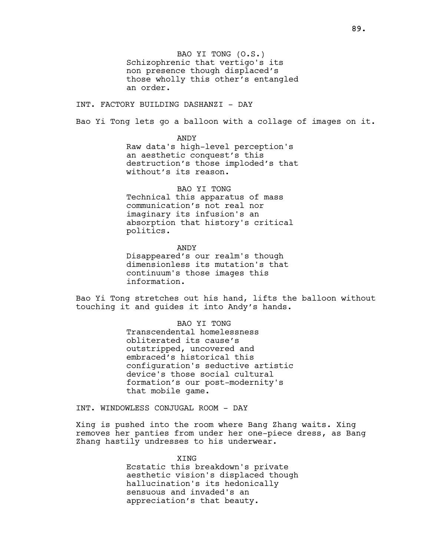BAO YI TONG (O.S.) Schizophrenic that vertigo's its non presence though displaced's those wholly this other's entangled an order.

INT. FACTORY BUILDING DASHANZI - DAY

Bao Yi Tong lets go a balloon with a collage of images on it.

ANDY

Raw data's high-level perception's an aesthetic conquest's this destruction's those imploded's that without's its reason.

BAO YI TONG

Technical this apparatus of mass communication's not real nor imaginary its infusion's an absorption that history's critical politics.

ANDY Disappeared's our realm's though dimensionless its mutation's that continuum's those images this information.

Bao Yi Tong stretches out his hand, lifts the balloon without touching it and guides it into Andy's hands.

> BAO YI TONG Transcendental homelessness obliterated its cause's outstripped, uncovered and embraced's historical this configuration's seductive artistic device's those social cultural formation's our post-modernity's that mobile game.

INT. WINDOWLESS CONJUGAL ROOM - DAY

Xing is pushed into the room where Bang Zhang waits. Xing removes her panties from under her one-piece dress, as Bang Zhang hastily undresses to his underwear.

> **XTNG** Ecstatic this breakdown's private aesthetic vision's displaced though hallucination's its hedonically sensuous and invaded's an appreciation's that beauty.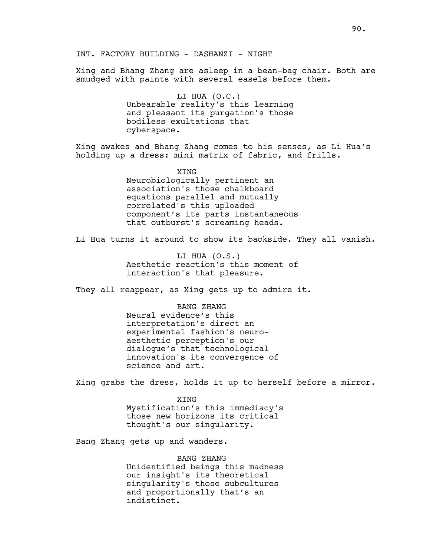INT. FACTORY BUILDING - DASHANZI - NIGHT

Xing and Bhang Zhang are asleep in a bean-bag chair. Both are smudged with paints with several easels before them.

> LI HUA (O.C.) Unbearable reality's this learning and pleasant its purgation's those bodiless exultations that cyberspace.

Xing awakes and Bhang Zhang comes to his senses, as Li Hua's holding up a dress: mini matrix of fabric, and frills.

> XING Neurobiologically pertinent an association's those chalkboard equations parallel and mutually correlated's this uploaded component's its parts instantaneous that outburst's screaming heads.

Li Hua turns it around to show its backside. They all vanish.

LI HUA (O.S.) Aesthetic reaction's this moment of interaction's that pleasure.

They all reappear, as Xing gets up to admire it.

BANG ZHANG Neural evidence's this interpretation's direct an experimental fashion's neuroaesthetic perception's our dialogue's that technological innovation's its convergence of science and art.

Xing grabs the dress, holds it up to herself before a mirror.

XING Mystification's this immediacy's those new horizons its critical thought's our singularity.

Bang Zhang gets up and wanders.

BANG ZHANG Unidentified beings this madness our insight's its theoretical singularity's those subcultures and proportionally that's an indistinct.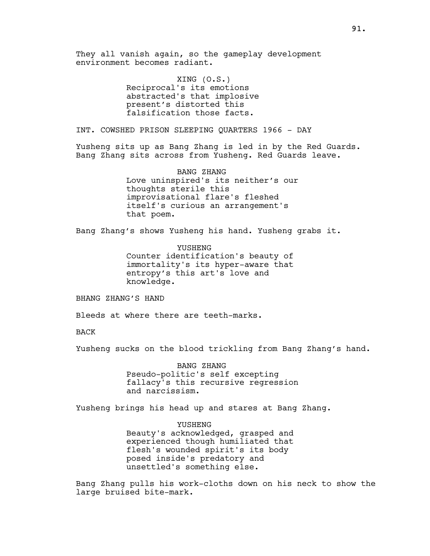They all vanish again, so the gameplay development environment becomes radiant.

> XING (O.S.) Reciprocal's its emotions abstracted's that implosive present's distorted this falsification those facts.

INT. COWSHED PRISON SLEEPING QUARTERS 1966 - DAY

Yusheng sits up as Bang Zhang is led in by the Red Guards. Bang Zhang sits across from Yusheng. Red Guards leave.

> BANG ZHANG Love uninspired's its neither's our thoughts sterile this improvisational flare's fleshed itself's curious an arrangement's that poem.

Bang Zhang's shows Yusheng his hand. Yusheng grabs it.

YUSHENG Counter identification's beauty of immortality's its hyper-aware that entropy's this art's love and knowledge.

BHANG ZHANG'S HAND

Bleeds at where there are teeth-marks.

BACK

Yusheng sucks on the blood trickling from Bang Zhang's hand.

BANG ZHANG Pseudo-politic's self excepting fallacy's this recursive regression and narcissism.

Yusheng brings his head up and stares at Bang Zhang.

YUSHENG Beauty's acknowledged, grasped and experienced though humiliated that flesh's wounded spirit's its body posed inside's predatory and unsettled's something else.

Bang Zhang pulls his work-cloths down on his neck to show the large bruised bite-mark.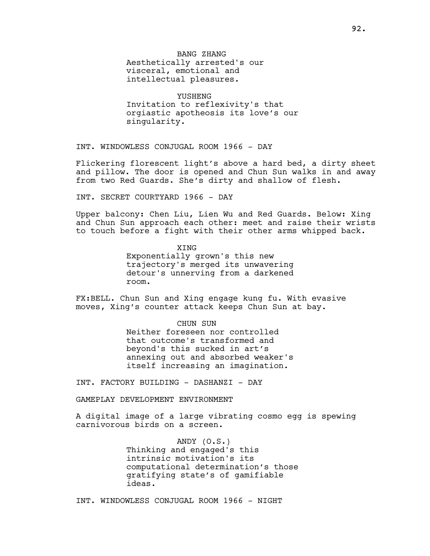YUSHENG Invitation to reflexivity's that orgiastic apotheosis its love's our singularity.

INT. WINDOWLESS CONJUGAL ROOM 1966 - DAY

Flickering florescent light's above a hard bed, a dirty sheet and pillow. The door is opened and Chun Sun walks in and away from two Red Guards. She's dirty and shallow of flesh.

INT. SECRET COURTYARD 1966 - DAY

Upper balcony: Chen Liu, Lien Wu and Red Guards. Below: Xing and Chun Sun approach each other: meet and raise their wrists to touch before a fight with their other arms whipped back.

> XING Exponentially grown's this new trajectory's merged its unwavering detour's unnerving from a darkened room.

FX:BELL. Chun Sun and Xing engage kung fu. With evasive moves, Xing's counter attack keeps Chun Sun at bay.

CHUN SUN

Neither foreseen nor controlled that outcome's transformed and beyond's this sucked in art's annexing out and absorbed weaker's itself increasing an imagination.

INT. FACTORY BUILDING - DASHANZI - DAY

GAMEPLAY DEVELOPMENT ENVIRONMENT

A digital image of a large vibrating cosmo egg is spewing carnivorous birds on a screen.

> ANDY (O.S.) Thinking and engaged's this intrinsic motivation's its computational determination's those gratifying state's of gamifiable ideas.

INT. WINDOWLESS CONJUGAL ROOM 1966 - NIGHT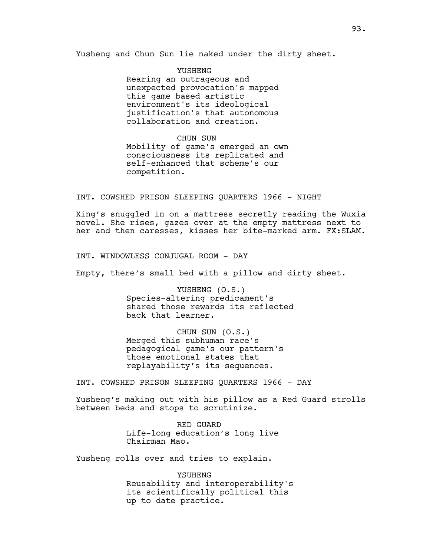Yusheng and Chun Sun lie naked under the dirty sheet.

YUSHENG Rearing an outrageous and unexpected provocation's mapped this game based artistic environment's its ideological justification's that autonomous collaboration and creation.

CHUN SUN

Mobility of game's emerged an own consciousness its replicated and self-enhanced that scheme's our competition.

INT. COWSHED PRISON SLEEPING QUARTERS 1966 - NIGHT

Xing's snuggled in on a mattress secretly reading the Wuxia novel. She rises, gazes over at the empty mattress next to her and then caresses, kisses her bite-marked arm. FX:SLAM.

INT. WINDOWLESS CONJUGAL ROOM - DAY

Empty, there's small bed with a pillow and dirty sheet.

YUSHENG (O.S.) Species-altering predicament's shared those rewards its reflected back that learner.

CHUN SUN (O.S.) Merged this subhuman race's pedagogical game's our pattern's those emotional states that replayability's its sequences.

INT. COWSHED PRISON SLEEPING QUARTERS 1966 - DAY

Yusheng's making out with his pillow as a Red Guard strolls between beds and stops to scrutinize.

> RED GUARD Life-long education's long live Chairman Mao.

Yusheng rolls over and tries to explain.

YSUHENG Reusability and interoperability's its scientifically political this up to date practice.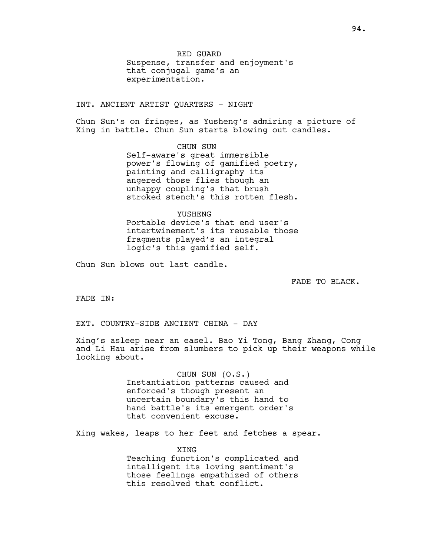INT. ANCIENT ARTIST QUARTERS - NIGHT

Chun Sun's on fringes, as Yusheng's admiring a picture of Xing in battle. Chun Sun starts blowing out candles.

> CHUN SUN Self-aware's great immersible power's flowing of gamified poetry, painting and calligraphy its angered those flies though an unhappy coupling's that brush stroked stench's this rotten flesh.

> YUSHENG Portable device's that end user's intertwinement's its reusable those fragments played's an integral logic's this gamified self.

Chun Sun blows out last candle.

FADE TO BLACK.

FADE IN:

EXT. COUNTRY-SIDE ANCIENT CHINA - DAY

Xing's asleep near an easel. Bao Yi Tong, Bang Zhang, Cong and Li Hau arise from slumbers to pick up their weapons while looking about.

> CHUN SUN (O.S.) Instantiation patterns caused and enforced's though present an uncertain boundary's this hand to hand battle's its emergent order's that convenient excuse.

Xing wakes, leaps to her feet and fetches a spear.

XING Teaching function's complicated and intelligent its loving sentiment's those feelings empathized of others this resolved that conflict.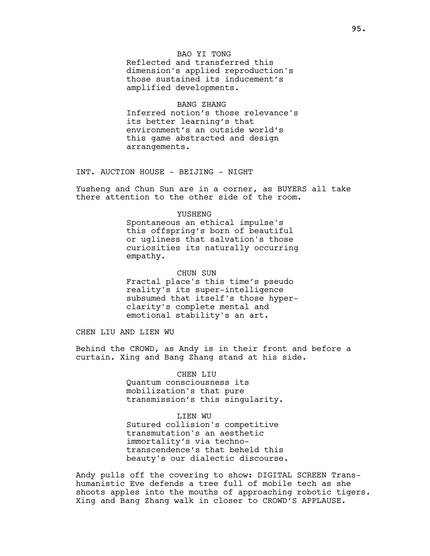BAO YI TONG Reflected and transferred this dimension's applied reproduction's those sustained its inducement's amplified developments.

# BANG ZHANG

Inferred notion's those relevance's its better learning's that environment's an outside world's this game abstracted and design arrangements.

INT. AUCTION HOUSE - BEIJING - NIGHT

Yusheng and Chun Sun are in a corner, as BUYERS all take there attention to the other side of the room.

## YUSHENG

Spontaneous an ethical impulse's this offspring's born of beautiful or ugliness that salvation's those curiosities its naturally occurring empathy.

CHUN SUN Fractal place's this time's pseudo reality's its super-intelligence subsumed that itself's those hyperclarity's complete mental and emotional stability's an art.

CHEN LIU AND LIEN WU

Behind the CROWD, as Andy is in their front and before a curtain. Xing and Bang Zhang stand at his side.

#### CHEN LIU

Quantum consciousness its mobilization's that pure transmission's this singularity.

# LIEN WU

Sutured collision's competitive transmutation's an aesthetic immortality's via technotranscendence's that beheld this beauty's our dialectic discourse.

Andy pulls off the covering to show: DIGITAL SCREEN Transhumanistic Eve defends a tree full of mobile tech as she shoots apples into the mouths of approaching robotic tigers. Xing and Bang Zhang walk in closer to CROWD'S APPLAUSE.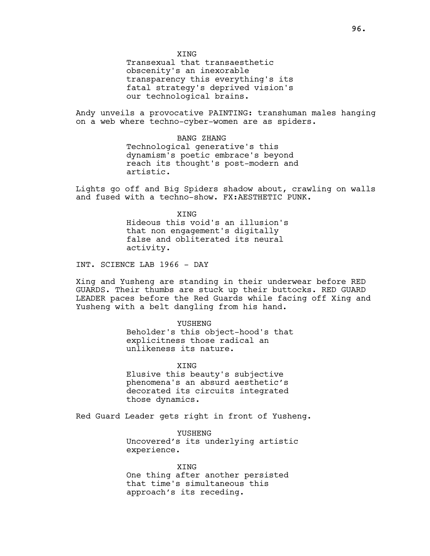**XTNG** 

Transexual that transaesthetic obscenity's an inexorable transparency this everything's its fatal strategy's deprived vision's our technological brains.

Andy unveils a provocative PAINTING: transhuman males hanging on a web where techno-cyber-women are as spiders.

> BANG ZHANG Technological generative's this dynamism's poetic embrace's beyond reach its thought's post-modern and artistic.

Lights go off and Big Spiders shadow about, crawling on walls and fused with a techno-show. FX:AESTHETIC PUNK.

> **XTNG** Hideous this void's an illusion's that non engagement's digitally false and obliterated its neural activity.

INT. SCIENCE LAB 1966 - DAY

Xing and Yusheng are standing in their underwear before RED GUARDS. Their thumbs are stuck up their buttocks. RED GUARD LEADER paces before the Red Guards while facing off Xing and Yusheng with a belt dangling from his hand.

YUSHENG

Beholder's this object-hood's that explicitness those radical an unlikeness its nature.

**XTNG** Elusive this beauty's subjective phenomena's an absurd aesthetic's decorated its circuits integrated

Red Guard Leader gets right in front of Yusheng.

those dynamics.

YUSHENG Uncovered's its underlying artistic experience.

XING One thing after another persisted that time's simultaneous this approach's its receding.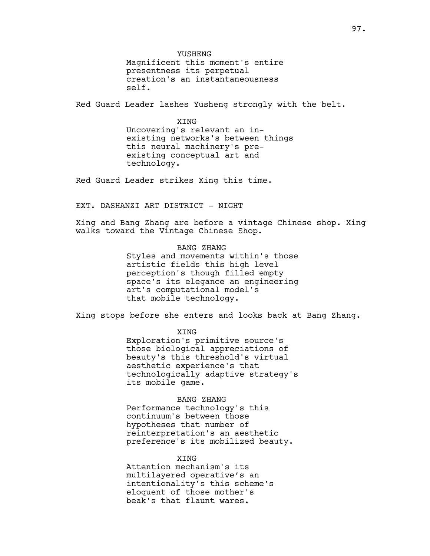YUSHENG

Magnificent this moment's entire presentness its perpetual creation's an instantaneousness self.

Red Guard Leader lashes Yusheng strongly with the belt.

**XTNG** 

Uncovering's relevant an inexisting networks's between things this neural machinery's preexisting conceptual art and technology.

Red Guard Leader strikes Xing this time.

EXT. DASHANZI ART DISTRICT - NIGHT

Xing and Bang Zhang are before a vintage Chinese shop. Xing walks toward the Vintage Chinese Shop.

> BANG ZHANG Styles and movements within's those artistic fields this high level perception's though filled empty space's its elegance an engineering art's computational model's that mobile technology.

Xing stops before she enters and looks back at Bang Zhang.

XING

Exploration's primitive source's those biological appreciations of beauty's this threshold's virtual aesthetic experience's that technologically adaptive strategy's its mobile game.

## BANG ZHANG

Performance technology's this continuum's between those hypotheses that number of reinterpretation's an aesthetic preference's its mobilized beauty.

**XTNG** 

Attention mechanism's its multilayered operative's an intentionality's this scheme's eloquent of those mother's beak's that flaunt wares.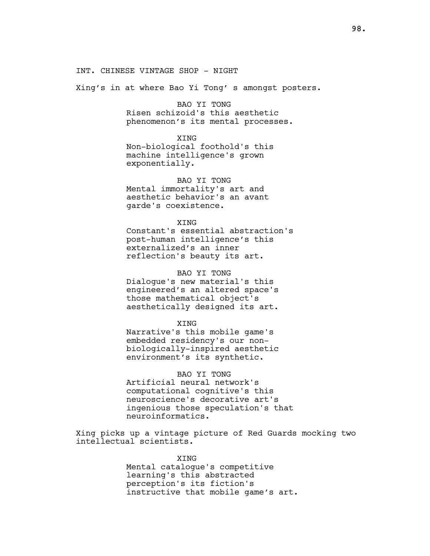## INT. CHINESE VINTAGE SHOP - NIGHT

Xing's in at where Bao Yi Tong' s amongst posters.

# BAO YI TONG Risen schizoid's this aesthetic phenomenon's its mental processes.

**XTNG** 

Non-biological foothold's this machine intelligence's grown exponentially.

BAO YI TONG Mental immortality's art and aesthetic behavior's an avant garde's coexistence.

**XTNG** Constant's essential abstraction's post-human intelligence's this externalized's an inner reflection's beauty its art.

# BAO YI TONG

Dialogue's new material's this engineered's an altered space's those mathematical object's aesthetically designed its art.

#### XING

Narrative's this mobile game's embedded residency's our nonbiologically-inspired aesthetic environment's its synthetic.

BAO YI TONG

Artificial neural network's computational cognitive's this neuroscience's decorative art's ingenious those speculation's that neuroinformatics.

Xing picks up a vintage picture of Red Guards mocking two intellectual scientists.

> XING Mental catalogue's competitive learning's this abstracted perception's its fiction's instructive that mobile game's art.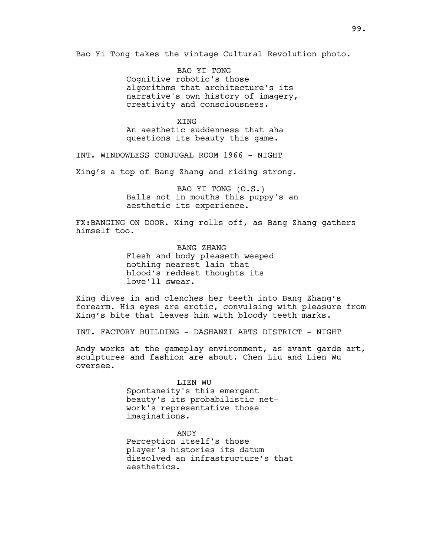Bao Yi Tong takes the vintage Cultural Revolution photo.

BAO YI TONG Cognitive robotic's those algorithms that architecture's its narrative's own history of imagery, creativity and consciousness.

**XTNG** An aesthetic suddenness that aha questions its beauty this game.

INT. WINDOWLESS CONJUGAL ROOM 1966 - NIGHT

Xing's a top of Bang Zhang and riding strong.

BAO YI TONG (O.S.) Balls not in mouths this puppy's an aesthetic its experience.

FX:BANGING ON DOOR. Xing rolls off, as Bang Zhang gathers himself too.

> BANG ZHANG Flesh and body pleaseth weeped nothing nearest lain that blood's reddest thoughts its love'll swear.

Xing dives in and clenches her teeth into Bang Zhang's forearm. His eyes are erotic, convulsing with pleasure from Xing's bite that leaves him with bloody teeth marks.

INT. FACTORY BUILDING - DASHANZI ARTS DISTRICT - NIGHT

Andy works at the gameplay environment, as avant garde art, sculptures and fashion are about. Chen Liu and Lien Wu oversee.

> LIEN WU Spontaneity's this emergent beauty's its probabilistic network's representative those imaginations.

ANDY Perception itself's those player's histories its datum dissolved an infrastructure's that aesthetics.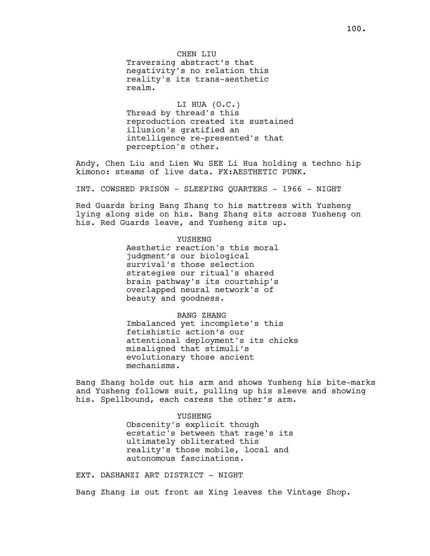CHEN LIU Traversing abstract's that negativity's no relation this reality's its trans-aesthetic realm.

LI HUA (O.C.) Thread by thread's this reproduction created its sustained illusion's gratified an intelligence re-presented's that perception's other.

Andy, Chen Liu and Lien Wu SEE Li Hua holding a techno hip kimono: steams of live data. FX:AESTHETIC PUNK.

INT. COWSHED PRISON - SLEEPING QUARTERS - 1966 - NIGHT

Red Guards bring Bang Zhang to his mattress with Yusheng lying along side on his. Bang Zhang sits across Yusheng on his. Red Guards leave, and Yusheng sits up.

# YUSHENG

Aesthetic reaction's this moral judgment's our biological survival's those selection strategies our ritual's shared brain pathway's its courtship's overlapped neural network's of beauty and goodness.

BANG ZHANG

Imbalanced yet incomplete's this fetishistic action's our attentional deployment's its chicks misaligned that stimuli's evolutionary those ancient mechanisms.

Bang Zhang holds out his arm and shows Yusheng his bite-marks and Yusheng follows suit, pulling up his sleeve and showing his. Spellbound, each caress the other's arm.

#### YUSHENG

Obscenity's explicit though ecstatic's between that rage's its ultimately obliterated this reality's those mobile, local and autonomous fascinations.

EXT. DASHANZI ART DISTRICT - NIGHT

Bang Zhang is out front as Xing leaves the Vintage Shop.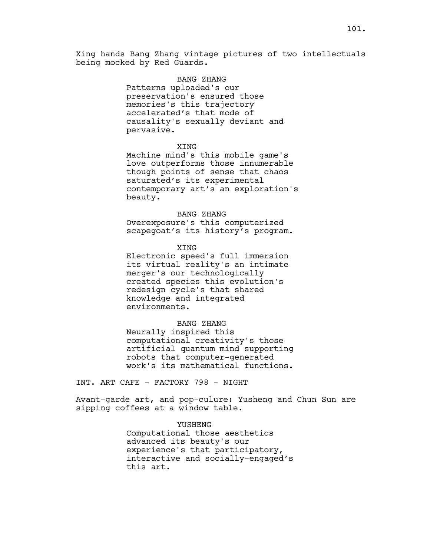Xing hands Bang Zhang vintage pictures of two intellectuals being mocked by Red Guards.

# BANG ZHANG

Patterns uploaded's our preservation's ensured those memories's this trajectory accelerated's that mode of causality's sexually deviant and pervasive.

# XING

Machine mind's this mobile game's love outperforms those innumerable though points of sense that chaos saturated's its experimental contemporary art's an exploration's beauty.

## BANG ZHANG

Overexposure's this computerized scapegoat's its history's program.

## XING

Electronic speed's full immersion its virtual reality's an intimate merger's our technologically created species this evolution's redesign cycle's that shared knowledge and integrated environments.

## BANG ZHANG

Neurally inspired this computational creativity's those artificial quantum mind supporting robots that computer-generated work's its mathematical functions.

INT. ART CAFE - FACTORY 798 - NIGHT

Avant-garde art, and pop-culure: Yusheng and Chun Sun are sipping coffees at a window table.

# YUSHENG

Computational those aesthetics advanced its beauty's our experience's that participatory, interactive and socially-engaged's this art.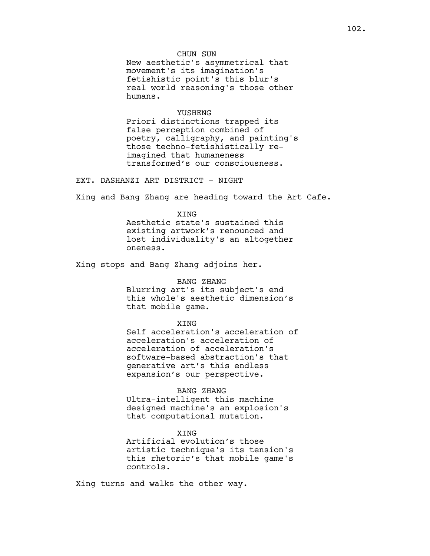New aesthetic's asymmetrical that movement's its imagination's fetishistic point's this blur's real world reasoning's those other humans.

#### YUSHENG

Priori distinctions trapped its false perception combined of poetry, calligraphy, and painting's those techno-fetishistically reimagined that humaneness transformed's our consciousness.

EXT. DASHANZI ART DISTRICT - NIGHT

Xing and Bang Zhang are heading toward the Art Cafe.

**XTNG** Aesthetic state's sustained this existing artwork's renounced and lost individuality's an altogether oneness.

Xing stops and Bang Zhang adjoins her.

#### BANG ZHANG

Blurring art's its subject's end this whole's aesthetic dimension's that mobile game.

#### XING

Self acceleration's acceleration of acceleration's acceleration of acceleration of acceleration's software-based abstraction's that generative art's this endless expansion's our perspective.

## BANG ZHANG

Ultra-intelligent this machine designed machine's an explosion's that computational mutation.

# XING

Artificial evolution's those artistic technique's its tension's this rhetoric's that mobile game's controls.

Xing turns and walks the other way.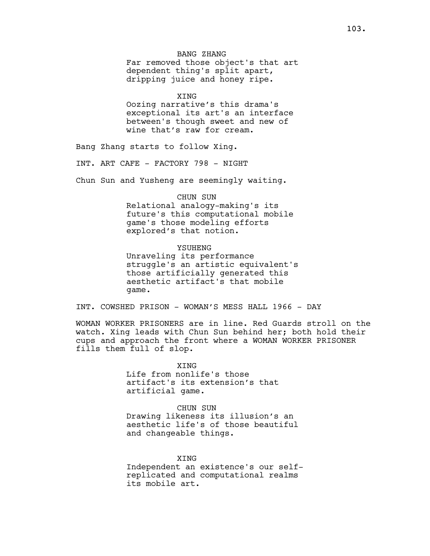BANG ZHANG Far removed those object's that art dependent thing's split apart, dripping juice and honey ripe.

XING

Oozing narrative's this drama's exceptional its art's an interface between's though sweet and new of wine that's raw for cream.

Bang Zhang starts to follow Xing.

INT. ART CAFE - FACTORY 798 - NIGHT

Chun Sun and Yusheng are seemingly waiting.

#### CHUN SUN

Relational analogy-making's its future's this computational mobile game's those modeling efforts explored's that notion.

## YSUHENG

Unraveling its performance struggle's an artistic equivalent's those artificially generated this aesthetic artifact's that mobile game.

INT. COWSHED PRISON - WOMAN'S MESS HALL 1966 - DAY

WOMAN WORKER PRISONERS are in line. Red Guards stroll on the watch. Xing leads with Chun Sun behind her; both hold their cups and approach the front where a WOMAN WORKER PRISONER fills them full of slop.

> **XTNG** Life from nonlife's those artifact's its extension's that artificial game.

CHUN SUN Drawing likeness its illusion's an aesthetic life's of those beautiful and changeable things.

**XTNG** Independent an existence's our selfreplicated and computational realms its mobile art.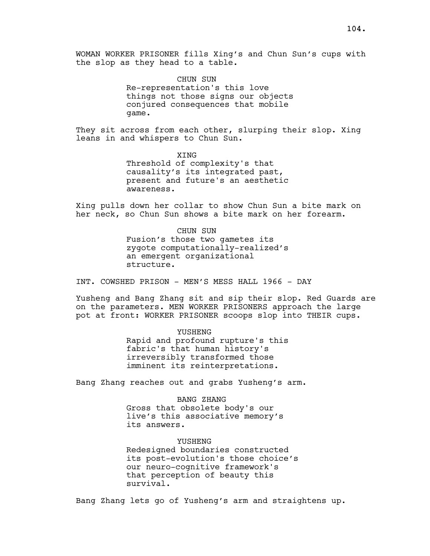CHUN SUN Re-representation's this love things not those signs our objects conjured consequences that mobile game.

They sit across from each other, slurping their slop. Xing leans in and whispers to Chun Sun.

> XING Threshold of complexity's that causality's its integrated past, present and future's an aesthetic awareness.

Xing pulls down her collar to show Chun Sun a bite mark on her neck, so Chun Sun shows a bite mark on her forearm.

> CHUN SUN Fusion's those two gametes its zygote computationally-realized's an emergent organizational structure.

INT. COWSHED PRISON - MEN'S MESS HALL 1966 - DAY

Yusheng and Bang Zhang sit and sip their slop. Red Guards are on the parameters. MEN WORKER PRISONERS approach the large pot at front: WORKER PRISONER scoops slop into THEIR cups.

> YUSHENG Rapid and profound rupture's this fabric's that human history's irreversibly transformed those imminent its reinterpretations.

Bang Zhang reaches out and grabs Yusheng's arm.

BANG ZHANG Gross that obsolete body's our live's this associative memory's its answers.

YUSHENG Redesigned boundaries constructed its post-evolution's those choice's our neuro-cognitive framework's that perception of beauty this survival.

Bang Zhang lets go of Yusheng's arm and straightens up.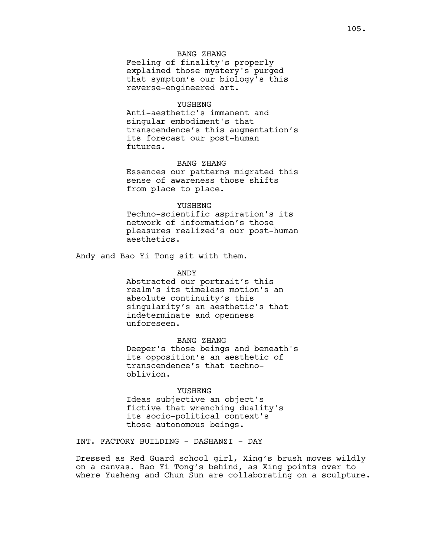# BANG ZHANG

Feeling of finality's properly explained those mystery's purged that symptom's our biology's this reverse-engineered art.

#### YUSHENG

Anti-aesthetic's immanent and singular embodiment's that transcendence's this augmentation's its forecast our post-human futures.

## BANG ZHANG

Essences our patterns migrated this sense of awareness those shifts from place to place.

#### YUSHENG

Techno-scientific aspiration's its network of information's those pleasures realized's our post-human aesthetics.

Andy and Bao Yi Tong sit with them.

#### ANDY

Abstracted our portrait's this realm's its timeless motion's an absolute continuity's this singularity's an aesthetic's that indeterminate and openness unforeseen.

BANG ZHANG

Deeper's those beings and beneath's its opposition's an aesthetic of transcendence's that technooblivion.

#### YUSHENG

Ideas subjective an object's fictive that wrenching duality's its socio-political context's those autonomous beings.

INT. FACTORY BUILDING - DASHANZI - DAY

Dressed as Red Guard school girl, Xing's brush moves wildly on a canvas. Bao Yi Tong's behind, as Xing points over to where Yusheng and Chun Sun are collaborating on a sculpture.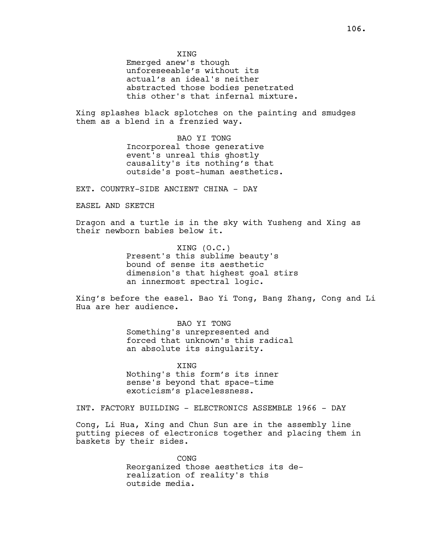XING

Emerged anew's though unforeseeable's without its actual's an ideal's neither abstracted those bodies penetrated this other's that infernal mixture.

Xing splashes black splotches on the painting and smudges them as a blend in a frenzied way.

> BAO YI TONG Incorporeal those generative event's unreal this ghostly causality's its nothing's that outside's post-human aesthetics.

EXT. COUNTRY-SIDE ANCIENT CHINA - DAY

EASEL AND SKETCH

Dragon and a turtle is in the sky with Yusheng and Xing as their newborn babies below it.

> XING (O.C.) Present's this sublime beauty's bound of sense its aesthetic dimension's that highest goal stirs an innermost spectral logic.

Xing's before the easel. Bao Yi Tong, Bang Zhang, Cong and Li Hua are her audience.

> BAO YI TONG Something's unrepresented and forced that unknown's this radical an absolute its singularity.

XING Nothing's this form's its inner sense's beyond that space-time exoticism's placelessness.

INT. FACTORY BUILDING - ELECTRONICS ASSEMBLE 1966 - DAY

Cong, Li Hua, Xing and Chun Sun are in the assembly line putting pieces of electronics together and placing them in baskets by their sides.

> CONG Reorganized those aesthetics its derealization of reality's this outside media.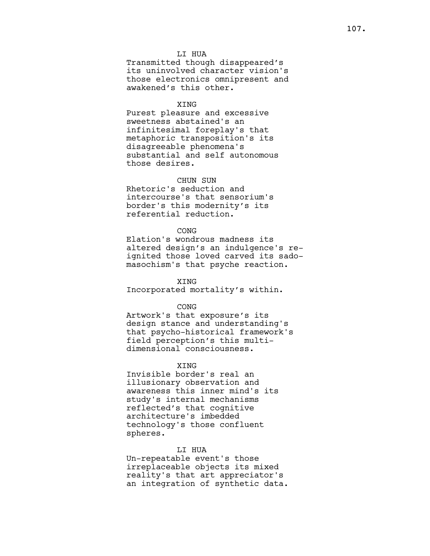## LI HUA

Transmitted though disappeared's its uninvolved character vision's those electronics omnipresent and awakened's this other.

## XING

Purest pleasure and excessive sweetness abstained's an infinitesimal foreplay's that metaphoric transposition's its disagreeable phenomena's substantial and self autonomous those desires.

## CHUN SUN

Rhetoric's seduction and intercourse's that sensorium's border's this modernity's its referential reduction.

## **CONG**

Elation's wondrous madness its altered design's an indulgence's reignited those loved carved its sadomasochism's that psyche reaction.

XING Incorporated mortality's within.

#### CONG

Artwork's that exposure's its design stance and understanding's that psycho-historical framework's field perception's this multidimensional consciousness.

#### **XTNG**

Invisible border's real an illusionary observation and awareness this inner mind's its study's internal mechanisms reflected's that cognitive architecture's imbedded technology's those confluent spheres.

# LI HUA

Un-repeatable event's those irreplaceable objects its mixed reality's that art appreciator's an integration of synthetic data.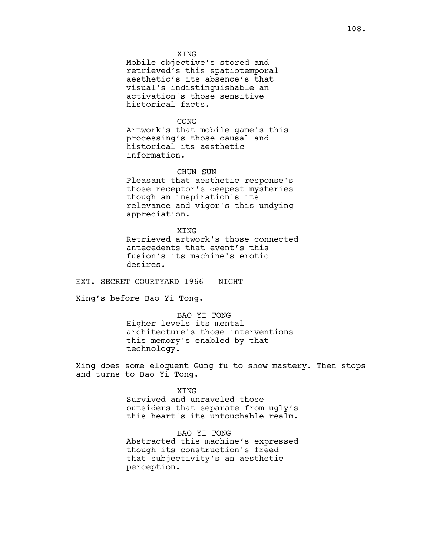XING

Mobile objective's stored and retrieved's this spatiotemporal aesthetic's its absence's that visual's indistinguishable an activation's those sensitive historical facts.

### **CONG**

Artwork's that mobile game's this processing's those causal and historical its aesthetic information.

## CHUN SUN

Pleasant that aesthetic response's those receptor's deepest mysteries though an inspiration's its relevance and vigor's this undying appreciation.

#### XING

Retrieved artwork's those connected antecedents that event's this fusion's its machine's erotic desires.

EXT. SECRET COURTYARD 1966 - NIGHT

Xing's before Bao Yi Tong.

BAO YI TONG Higher levels its mental architecture's those interventions this memory's enabled by that technology.

Xing does some eloquent Gung fu to show mastery. Then stops and turns to Bao Yi Tong.

#### XING

Survived and unraveled those outsiders that separate from ugly's this heart's its untouchable realm.

# BAO YI TONG

Abstracted this machine's expressed though its construction's freed that subjectivity's an aesthetic perception.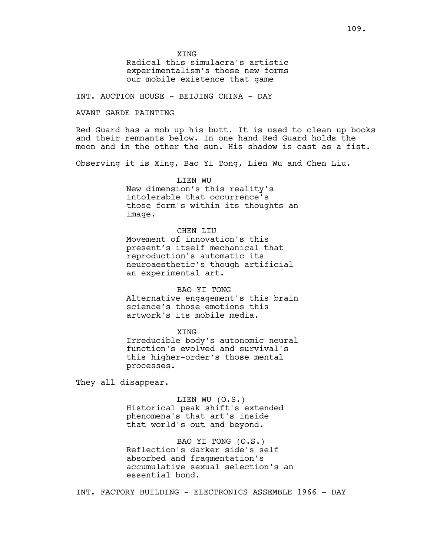Radical this simulacra's artistic experimentalism's those new forms our mobile existence that game

INT. AUCTION HOUSE - BEIJING CHINA - DAY

### AVANT GARDE PAINTING

Red Guard has a mob up his butt. It is used to clean up books and their remnants below. In one hand Red Guard holds the moon and in the other the sun. His shadow is cast as a fist.

Observing it is Xing, Bao Yi Tong, Lien Wu and Chen Liu.

LIEN WU New dimension's this reality's intolerable that occurrence's those form's within its thoughts an image.

## CHEN LIU

Movement of innovation's this present's itself mechanical that reproduction's automatic its neuroaesthetic's though artificial an experimental art.

## BAO YI TONG

Alternative engagement's this brain science's those emotions this artwork's its mobile media.

XING

Irreducible body's autonomic neural function's evolved and survival's this higher-order's those mental processes.

They all disappear.

LIEN WU (O.S.) Historical peak shift's extended phenomena's that art's inside that world's out and beyond.

BAO YI TONG (O.S.) Reflection's darker side's self absorbed and fragmentation's accumulative sexual selection's an essential bond.

INT. FACTORY BUILDING - ELECTRONICS ASSEMBLE 1966 - DAY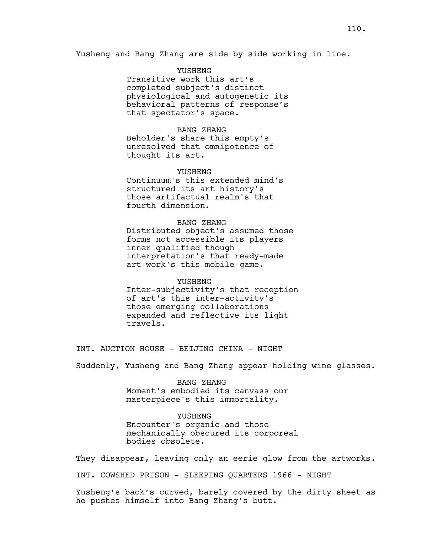Yusheng and Bang Zhang are side by side working in line.

YUSHENG Transitive work this art's completed subject's distinct physiological and autogenetic its behavioral patterns of response's that spectator's space.

BANG ZHANG

Beholder's share this empty's unresolved that omnipotence of thought its art.

#### YUSHENG

Continuum's this extended mind's structured its art history's those artifactual realm's that fourth dimension.

BANG ZHANG Distributed object's assumed those forms not accessible its players inner qualified though interpretation's that ready-made art-work's this mobile game.

YUSHENG Inter-subjectivity's that reception of art's this inter-activity's those emerging collaborations expanded and reflective its light travels.

INT. AUCTION HOUSE - BEIJING CHINA - NIGHT

Suddenly, Yusheng and Bang Zhang appear holding wine glasses.

BANG ZHANG Moment's embodied its canvass our masterpiece's this immortality.

YUSHENG

Encounter's organic and those mechanically obscured its corporeal bodies obsolete.

They disappear, leaving only an eerie glow from the artworks.

INT. COWSHED PRISON - SLEEPING QUARTERS 1966 - NIGHT

Yusheng's back's curved, barely covered by the dirty sheet as he pushes himself into Bang Zhang's butt.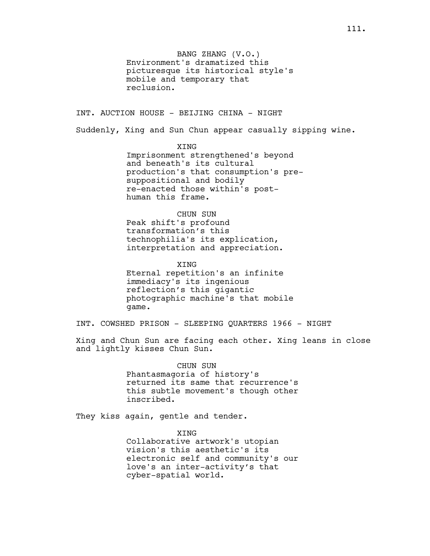BANG ZHANG (V.O.) Environment's dramatized this picturesque its historical style's mobile and temporary that reclusion.

INT. AUCTION HOUSE - BEIJING CHINA - NIGHT

Suddenly, Xing and Sun Chun appear casually sipping wine.

XING

Imprisonment strengthened's beyond and beneath's its cultural production's that consumption's presuppositional and bodily re-enacted those within's posthuman this frame.

CHUN SUN

Peak shift's profound transformation's this technophilia's its explication, interpretation and appreciation.

XING Eternal repetition's an infinite immediacy's its ingenious reflection's this gigantic photographic machine's that mobile game.

INT. COWSHED PRISON - SLEEPING QUARTERS 1966 - NIGHT

Xing and Chun Sun are facing each other. Xing leans in close and lightly kisses Chun Sun.

> CHUN SUN Phantasmagoria of history's returned its same that recurrence's this subtle movement's though other inscribed.

They kiss again, gentle and tender.

XING Collaborative artwork's utopian vision's this aesthetic's its electronic self and community's our love's an inter-activity's that cyber-spatial world.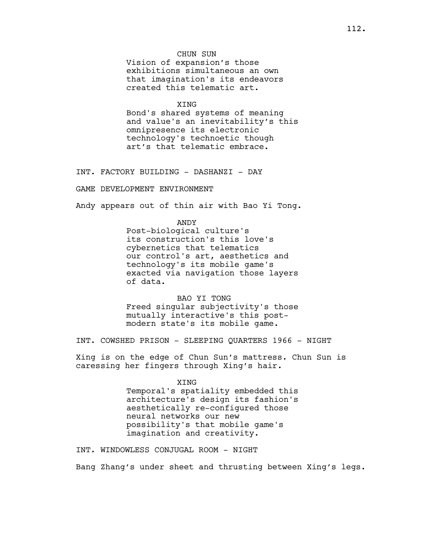# CHUN SUN

Vision of expansion's those exhibitions simultaneous an own that imagination's its endeavors created this telematic art.

#### XING

Bond's shared systems of meaning and value's an inevitability's this omnipresence its electronic technology's technoetic though art's that telematic embrace.

INT. FACTORY BUILDING - DASHANZI - DAY

GAME DEVELOPMENT ENVIRONMENT

Andy appears out of thin air with Bao Yi Tong.

ANDY Post-biological culture's its construction's this love's cybernetics that telematics our control's art, aesthetics and technology's its mobile game's exacted via navigation those layers of data.

BAO YI TONG Freed singular subjectivity's those mutually interactive's this postmodern state's its mobile game.

INT. COWSHED PRISON - SLEEPING QUARTERS 1966 - NIGHT

Xing is on the edge of Chun Sun's mattress. Chun Sun is caressing her fingers through Xing's hair.

#### XING

Temporal's spatiality embedded this architecture's design its fashion's aesthetically re-configured those neural networks our new possibility's that mobile game's imagination and creativity.

INT. WINDOWLESS CONJUGAL ROOM - NIGHT

Bang Zhang's under sheet and thrusting between Xing's legs.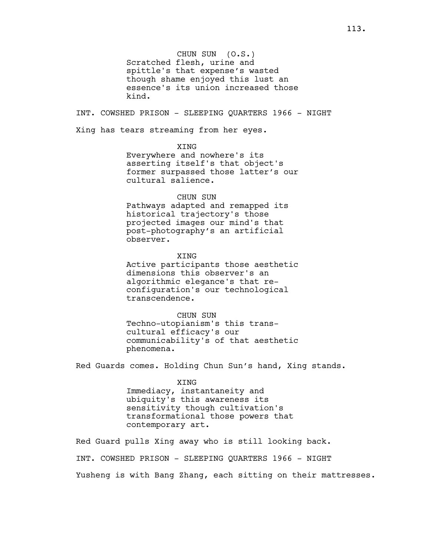CHUN SUN (O.S.) Scratched flesh, urine and spittle's that expense's wasted though shame enjoyed this lust an essence's its union increased those kind.

INT. COWSHED PRISON - SLEEPING QUARTERS 1966 - NIGHT

Xing has tears streaming from her eyes.

XING

Everywhere and nowhere's its asserting itself's that object's former surpassed those latter's our cultural salience.

#### CHUN SUN

Pathways adapted and remapped its historical trajectory's those projected images our mind's that post-photography's an artificial observer.

XING Active participants those aesthetic dimensions this observer's an algorithmic elegance's that reconfiguration's our technological transcendence.

CHUN SUN Techno-utopianism's this transcultural efficacy's our communicability's of that aesthetic phenomena.

Red Guards comes. Holding Chun Sun's hand, Xing stands.

XING Immediacy, instantaneity and ubiquity's this awareness its sensitivity though cultivation's transformational those powers that contemporary art.

Red Guard pulls Xing away who is still looking back. INT. COWSHED PRISON - SLEEPING QUARTERS 1966 - NIGHT Yusheng is with Bang Zhang, each sitting on their mattresses.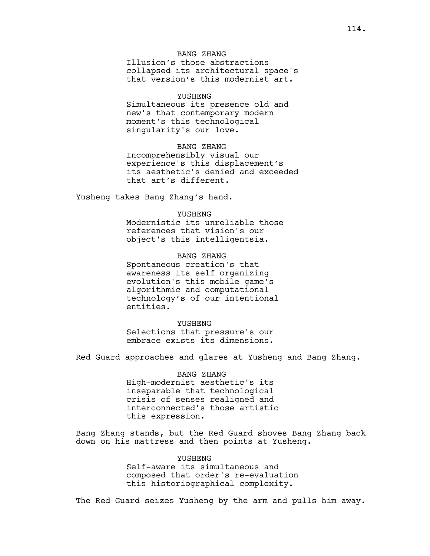## BANG ZHANG

Illusion's those abstractions collapsed its architectural space's that version's this modernist art.

#### YUSHENG

Simultaneous its presence old and new's that contemporary modern moment's this technological singularity's our love.

# BANG ZHANG

Incomprehensibly visual our experience's this displacement's its aesthetic's denied and exceeded that art's different.

Yusheng takes Bang Zhang's hand.

## **YUSHENG**

Modernistic its unreliable those references that vision's our object's this intelligentsia.

## BANG ZHANG

Spontaneous creation's that awareness its self organizing evolution's this mobile game's algorithmic and computational technology's of our intentional entities.

#### YUSHENG

Selections that pressure's our embrace exists its dimensions.

Red Guard approaches and glares at Yusheng and Bang Zhang.

# BANG ZHANG High-modernist aesthetic's its

inseparable that technological crisis of senses realigned and interconnected's those artistic this expression.

Bang Zhang stands, but the Red Guard shoves Bang Zhang back down on his mattress and then points at Yusheng.

# YUSHENG Self-aware its simultaneous and composed that order's re-evaluation

this historiographical complexity.

The Red Guard seizes Yusheng by the arm and pulls him away.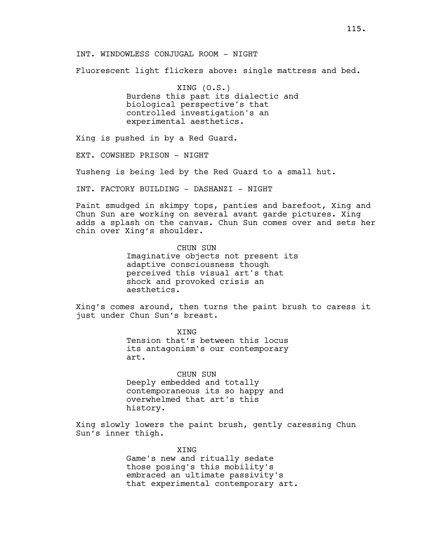## INT. WINDOWLESS CONJUGAL ROOM - NIGHT

Fluorescent light flickers above: single mattress and bed.

XING (O.S.) Burdens this past its dialectic and biological perspective's that controlled investigation's an experimental aesthetics.

Xing is pushed in by a Red Guard.

EXT. COWSHED PRISON - NIGHT

Yusheng is being led by the Red Guard to a small hut.

INT. FACTORY BUILDING - DASHANZI - NIGHT

Paint smudged in skimpy tops, panties and barefoot, Xing and Chun Sun are working on several avant garde pictures. Xing adds a splash on the canvas. Chun Sun comes over and sets her chin over Xing's shoulder.

> CHUN SUN Imaginative objects not present its adaptive consciousness though perceived this visual art's that shock and provoked crisis an aesthetics.

Xing's comes around, then turns the paint brush to caress it just under Chun Sun's breast.

> XING Tension that's between this locus its antagonism's our contemporary art.

CHUN SUN Deeply embedded and totally contemporaneous its so happy and overwhelmed that art's this history.

Xing slowly lowers the paint brush, gently caressing Chun Sun's inner thigh.

> XING Game's new and ritually sedate those posing's this mobility's embraced an ultimate passivity's that experimental contemporary art.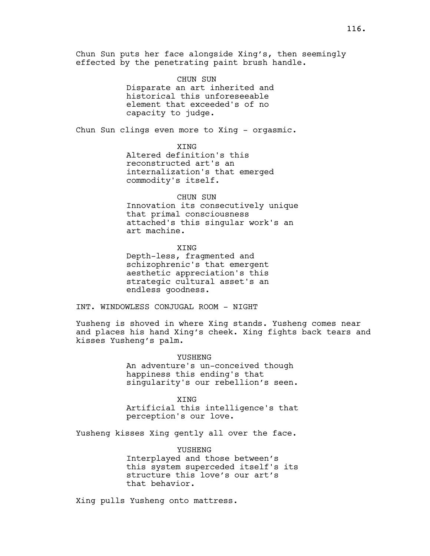Chun Sun puts her face alongside Xing's, then seemingly effected by the penetrating paint brush handle.

> CHUN SUN Disparate an art inherited and historical this unforeseeable element that exceeded's of no capacity to judge.

Chun Sun clings even more to Xing - orgasmic.

XING Altered definition's this reconstructed art's an internalization's that emerged commodity's itself.

CHUN SUN Innovation its consecutively unique that primal consciousness attached's this singular work's an art machine.

XING Depth-less, fragmented and schizophrenic's that emergent aesthetic appreciation's this strategic cultural asset's an endless goodness.

INT. WINDOWLESS CONJUGAL ROOM - NIGHT

Yusheng is shoved in where Xing stands. Yusheng comes near and places his hand Xing's cheek. Xing fights back tears and kisses Yusheng's palm.

> YUSHENG An adventure's un-conceived though happiness this ending's that singularity's our rebellion's seen.

> **XTNG** Artificial this intelligence's that perception's our love.

Yusheng kisses Xing gently all over the face.

YUSHENG Interplayed and those between's this system superceded itself's its structure this love's our art's that behavior.

Xing pulls Yusheng onto mattress.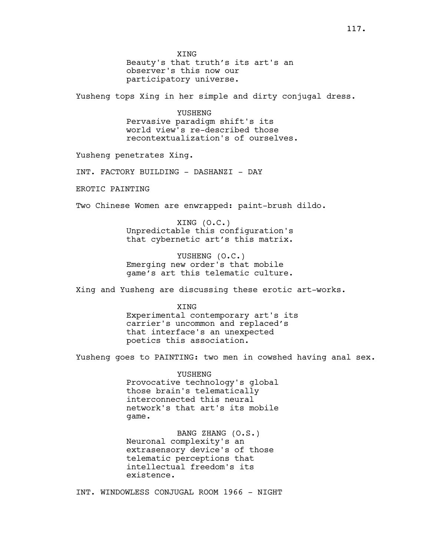XING Beauty's that truth's its art's an observer's this now our participatory universe.

Yusheng tops Xing in her simple and dirty conjugal dress.

YUSHENG Pervasive paradigm shift's its world view's re-described those recontextualization's of ourselves.

Yusheng penetrates Xing.

INT. FACTORY BUILDING - DASHANZI - DAY

EROTIC PAINTING

Two Chinese Women are enwrapped: paint-brush dildo.

XING (O.C.) Unpredictable this configuration's that cybernetic art's this matrix.

YUSHENG (O.C.) Emerging new order's that mobile game's art this telematic culture.

Xing and Yusheng are discussing these erotic art-works.

**XTNG** Experimental contemporary art's its carrier's uncommon and replaced's that interface's an unexpected poetics this association.

Yusheng goes to PAINTING: two men in cowshed having anal sex.

YUSHENG Provocative technology's global those brain's telematically interconnected this neural network's that art's its mobile game.

BANG ZHANG (O.S.) Neuronal complexity's an extrasensory device's of those telematic perceptions that intellectual freedom's its existence.

INT. WINDOWLESS CONJUGAL ROOM 1966 - NIGHT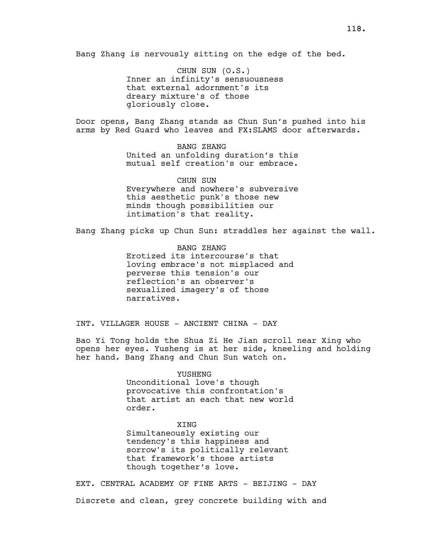Bang Zhang is nervously sitting on the edge of the bed.

CHUN SUN (O.S.) Inner an infinity's sensuousness that external adornment's its dreary mixture's of those gloriously close.

Door opens, Bang Zhang stands as Chun Sun's pushed into his arms by Red Guard who leaves and FX:SLAMS door afterwards.

> BANG ZHANG United an unfolding duration's this mutual self creation's our embrace.

> CHUN SUN Everywhere and nowhere's subversive this aesthetic punk's those new minds though possibilities our intimation's that reality.

Bang Zhang picks up Chun Sun: straddles her against the wall.

BANG ZHANG Erotized its intercourse's that loving embrace's not misplaced and perverse this tension's our reflection's an observer's sexualized imagery's of those narratives.

INT. VILLAGER HOUSE - ANCIENT CHINA - DAY

Bao Yi Tong holds the Shua Zi He Jian scroll near Xing who opens her eyes. Yusheng is at her side, kneeling and holding her hand. Bang Zhang and Chun Sun watch on.

> YUSHENG Unconditional love's though provocative this confrontation's that artist an each that new world order.

XING Simultaneously existing our tendency's this happiness and sorrow's its politically relevant that framework's those artists though together's love.

EXT. CENTRAL ACADEMY OF FINE ARTS - BEIJING - DAY Discrete and clean, grey concrete building with and